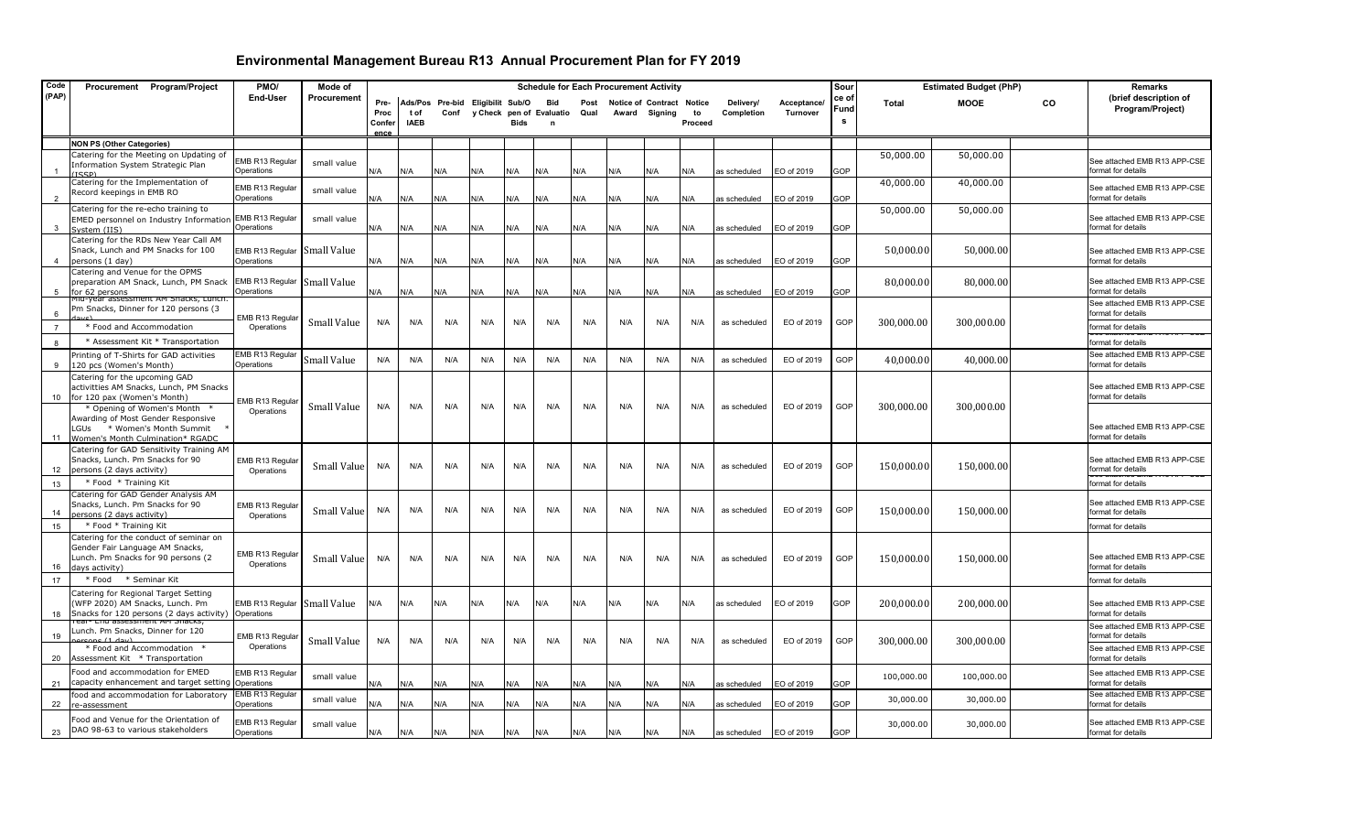| Code                    | Procurement Program/Project                                                                                                                                | PMO/                          | Mode of            |                        |                    |                                          |     |      |                                      |              | <b>Schedule for Each Procurement Activity</b> |               |                                |                         |                         | Sour               |            | <b>Estimated Budget (PhP)</b> |    | <b>Remarks</b>                                                           |
|-------------------------|------------------------------------------------------------------------------------------------------------------------------------------------------------|-------------------------------|--------------------|------------------------|--------------------|------------------------------------------|-----|------|--------------------------------------|--------------|-----------------------------------------------|---------------|--------------------------------|-------------------------|-------------------------|--------------------|------------|-------------------------------|----|--------------------------------------------------------------------------|
| (PAP)                   |                                                                                                                                                            | End-User                      | Procurement        | Pre-<br>Proc<br>Confer | tof<br><b>IAEB</b> | Ads/Pos Pre-bid Eligibilit Sub/O<br>Conf |     | Bids | Bid<br>y Check pen of Evaluatio<br>n | Post<br>Qual | <b>Notice of Contract</b>                     | Award Signing | <b>Notice</b><br>to<br>Proceed | Delivery/<br>Completion | Acceptance/<br>Turnover | ce of<br>Fund<br>s | Total      | <b>MOOE</b>                   | CO | (brief description of<br>Program/Project)                                |
|                         | <b>NON PS (Other Categories)</b>                                                                                                                           |                               |                    | ence                   |                    |                                          |     |      |                                      |              |                                               |               |                                |                         |                         |                    |            |                               |    |                                                                          |
|                         | Catering for the Meeting on Updating of<br>Information System Strategic Plan<br>'TCCD'                                                                     | EMB R13 Regular<br>Operations | small value        | N/A                    | N/A                | N/A                                      | N/A | N/A  | N/A                                  | N/A          | N/A                                           | N/A           | N/A                            | as scheduled            | EO of 2019              | GOP                | 50,000.00  | 50,000.00                     |    | See attached EMB R13 APP-CSE<br>format for details                       |
| $\overline{2}$          | Catering for the Implementation of<br>Record keepings in EMB RO                                                                                            | EMB R13 Regular<br>Operations | small value        | N/A                    | N/A                | N/A                                      | N/A | N/A  | N/A                                  | N/A          | N/A                                           | N/A           | N/A                            | as scheduled            | EO of 2019              | GOP                | 40,000.00  | 40,000.00                     |    | See attached EMB R13 APP-CSE<br>format for details                       |
|                         | Catering for the re-echo training to<br>EMED personnel on Industry Information<br>System (IIS)                                                             | EMB R13 Regular<br>Operations | small value        | N/A                    | N/A                | N/A                                      | N/A | N/A  | N/A                                  | N/A          | N/A                                           | N/A           | N/A                            | as scheduled            | EO of 2019              | GOP                | 50,000.00  | 50,000.00                     |    | See attached EMB R13 APP-CSE<br>format for details                       |
| $\overline{\mathbf{A}}$ | Catering for the RDs New Year Call AM<br>Snack, Lunch and PM Snacks for 100<br>persons (1 day)                                                             | EMB R13 Regular<br>Operations | Small Value        | N/A                    | N/A                | N/A                                      | N/A | N/A  | N/A                                  | N/A          | N/A                                           | N/A           | N/A                            | as scheduled            | EO of 2019              | GOP                | 50,000.00  | 50,000.00                     |    | See attached EMB R13 APP-CSE<br>format for details                       |
| 5                       | Catering and Venue for the OPMS<br>preparation AM Snack, Lunch, PM Snack<br>or 62 persons                                                                  | EMB R13 Regular<br>Operations | <b>Small Value</b> | N/A                    | N/A                | N/A                                      | N/A | N/A  | N/A                                  | N/A          | N/A                                           | N/A           | N/A                            | as scheduled            | EO of 2019              | GOP                | 80,000.00  | 80,000.00                     |    | See attached EMB R13 APP-CSE<br>format for details                       |
| 6                       | 110-year assessment AM Snacks, Luncr<br>Pm Snacks, Dinner for 120 persons (3                                                                               | EMB R13 Regular               | Small Value        | N/A                    | N/A                | N/A                                      | N/A | N/A  | N/A                                  | N/A          | N/A                                           | N/A           | N/A                            | as scheduled            | EO of 2019              | GOP                | 300,000.00 | 300,000.00                    |    | See attached EMB R13 APP-CSE<br>format for details                       |
| $\overline{7}$          | * Food and Accommodation                                                                                                                                   | Operations                    |                    |                        |                    |                                          |     |      |                                      |              |                                               |               |                                |                         |                         |                    |            |                               |    | format for details                                                       |
| $\mathsf{R}$            | * Assessment Kit * Transportation                                                                                                                          |                               |                    |                        |                    |                                          |     |      |                                      |              |                                               |               |                                |                         |                         |                    |            |                               |    | format for details                                                       |
| 9                       | Printing of T-Shirts for GAD activities<br>120 pcs (Women's Month)                                                                                         | EMB R13 Regular<br>Operations | Small Value        | N/A                    | N/A                | N/A                                      | N/A | N/A  | N/A                                  | N/A          | N/A                                           | N/A           | N/A                            | as scheduled            | EO of 2019              | GOP                | 40,000.00  | 40,000.00                     |    | See attached EMB R13 APP-CSE<br>format for details                       |
| 10                      | Catering for the upcoming GAD<br>activitties AM Snacks, Lunch, PM Snacks<br>for 120 pax (Women's Month)                                                    | EMB R13 Regula                |                    |                        |                    |                                          |     |      |                                      |              |                                               |               |                                |                         |                         |                    |            |                               |    | See attached EMB R13 APP-CSE<br>format for details                       |
| 11                      | * Opening of Women's Month<br>Awarding of Most Gender Responsive<br>* Women's Month Summit<br>LGUs<br>Women's Month Culmination* RGADC                     | Operations                    | Small Value        | N/A                    | N/A                | N/A                                      | N/A | N/A  | N/A                                  | N/A          | N/A                                           | N/A           | N/A                            | as scheduled            | EO of 2019              | GOP                | 300,000.00 | 300,000.00                    |    | See attached EMB R13 APP-CSE<br>format for details                       |
| 12                      | Catering for GAD Sensitivity Training AM<br>Snacks, Lunch. Pm Snacks for 90<br>persons (2 days activity)                                                   | EMB R13 Regular<br>Operations | Small Value        | N/A                    | N/A                | N/A                                      | N/A | N/A  | N/A                                  | N/A          | N/A                                           | N/A           | N/A                            | as scheduled            | EO of 2019              | GOP                | 150,000.00 | 150,000.00                    |    | See attached EMB R13 APP-CSE<br>format for details                       |
| 13                      | * Food * Training Kit                                                                                                                                      |                               |                    |                        |                    |                                          |     |      |                                      |              |                                               |               |                                |                         |                         |                    |            |                               |    | format for details                                                       |
| 14                      | Catering for GAD Gender Analysis AM<br>Snacks, Lunch. Pm Snacks for 90<br>persons (2 days activity)                                                        | EMB R13 Regula<br>Operations  | Small Value        | N/A                    | N/A                | N/A                                      | N/A | N/A  | N/A                                  | N/A          | N/A                                           | N/A           | N/A                            | as scheduled            | EO of 2019              | GOP                | 150,000.00 | 150,000.00                    |    | See attached EMB R13 APP-CSE<br>format for details                       |
| 15<br>16                | * Food * Training Kit<br>Catering for the conduct of seminar on<br>Gender Fair Language AM Snacks,<br>Lunch. Pm Snacks for 90 persons (2<br>days activity) | EMB R13 Regular<br>Operations | Small Value        | N/A                    | N/A                | N/A                                      | N/A | N/A  | N/A                                  | N/A          | N/A                                           | N/A           | N/A                            | as scheduled            | EO of 2019              | GOP                | 150,000.00 | 150,000.00                    |    | format for details<br>See attached EMB R13 APP-CSE<br>format for details |
| 17                      | * Seminar Kit<br>* Food                                                                                                                                    |                               |                    |                        |                    |                                          |     |      |                                      |              |                                               |               |                                |                         |                         |                    |            |                               |    | format for details                                                       |
| 18                      | Catering for Regional Target Setting<br>WFP 2020) AM Snacks, Lunch. Pm<br>Snacks for 120 persons (2 days activity)                                         | EMB R13 Regular<br>Operations | Small Value        | N/A                    | N/A                | N/A                                      | N/A | N/A  | N/A                                  | N/A          | N/A                                           | N/A           | N/A                            | as scheduled            | EO of 2019              | GOP                | 200,000.00 | 200,000.00                    |    | See attached EMB R13 APP-CSE<br>format for details                       |
| 19                      | rear- End assessment AM Snacks,<br>Lunch. Pm Snacks, Dinner for 120                                                                                        | EMB R13 Regular               | Small Value        | N/A                    | N/A                | N/A                                      | N/A | N/A  | N/A                                  | N/A          | N/A                                           | N/A           | N/A                            | as scheduled            | EO of 2019              | GOP                | 300,000.00 | 300,000.00                    |    | See attached EMB R13 APP-CSE<br>format for details                       |
| 20                      | * Food and Accommodation<br>Assessment Kit * Transportation                                                                                                | Operations                    |                    |                        |                    |                                          |     |      |                                      |              |                                               |               |                                |                         |                         |                    |            |                               |    | See attached EMB R13 APP-CSE<br>format for details                       |
| 21                      | ood and accommodation for EMED<br>capacity enhancement and target setting                                                                                  | EMB R13 Regular<br>Operations | small value        | N/A                    | N/A                | N/A                                      | N/A | N/A  | N/A                                  | ۷A/          | N/A                                           | N/A           | N/A                            | as scheduled            | EO of 2019              | GOP                | 100,000.00 | 100,000.00                    |    | See attached EMB R13 APP-CSE<br>format for details                       |
| 22                      | ood and accommodation for Laboratory<br>e-assessment                                                                                                       | EMB R13 Regular<br>Operations | small value        | N/A                    | N/A                | N/A                                      | N/A | N/A  | N/A                                  | N/A          | N/A                                           | N/A           | N/A                            | as scheduled            | EO of 2019              | GOP                | 30,000.00  | 30,000.00                     |    | See attached EMB R13 APP-CSE<br>format for details                       |
| 23                      | ood and Venue for the Orientation of<br>DAO 98-63 to various stakeholders                                                                                  | EMB R13 Regular<br>Operations | small value        | N/A                    | N/A                | N/A                                      | N/A | N/A  | N/A                                  | N/A          | N/A                                           | N/A           | N/A                            | as scheduled            | EO of 2019              | GOP                | 30,000.00  | 30,000.00                     |    | See attached EMB R13 APP-CSE<br>format for details                       |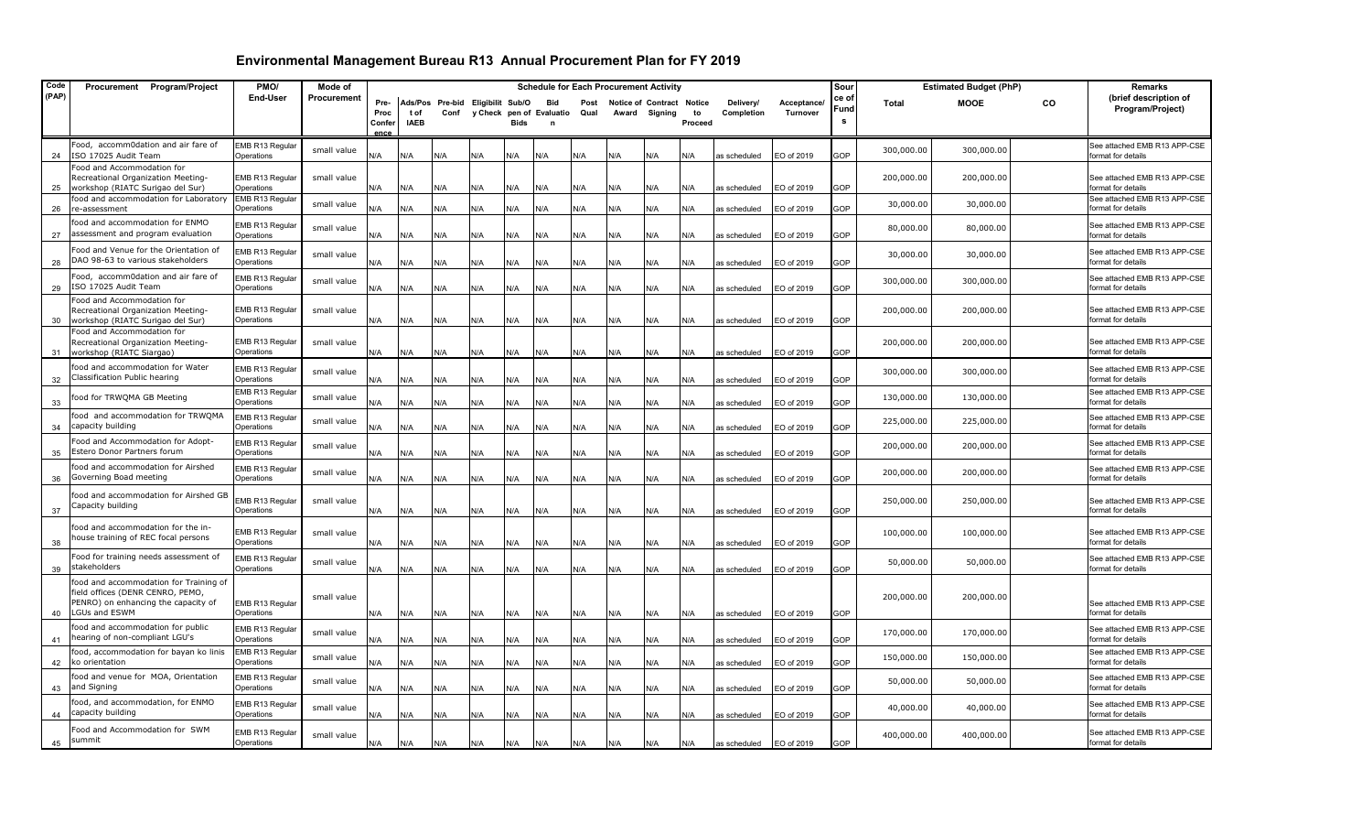| Code  | Procurement Program/Project                                                                                                               | PMO/                                 | Mode of     |                                |                     |                                          |     |      |                                                       |              |     | <b>Schedule for Each Procurement Activity</b> |               |                         |                                | Sour               |            | <b>Estimated Budget (PhP)</b> |    | Remarks                                            |
|-------|-------------------------------------------------------------------------------------------------------------------------------------------|--------------------------------------|-------------|--------------------------------|---------------------|------------------------------------------|-----|------|-------------------------------------------------------|--------------|-----|-----------------------------------------------|---------------|-------------------------|--------------------------------|--------------------|------------|-------------------------------|----|----------------------------------------------------|
| (PAP) |                                                                                                                                           | End-User                             | Procurement | Pre-<br>Proc<br>Confer<br>ence | t of<br><b>IAEB</b> | Ads/Pos Pre-bid Eligibilit Sub/O<br>Conf |     | Bids | <b>Bid</b><br>y Check pen of Evaluatio<br>$\mathbf n$ | Post<br>Qual |     | Notice of Contract Notice<br>Award Signing    | to<br>Proceed | Delivery/<br>Completion | Acceptance/<br><b>Turnover</b> | ce of<br>Fund<br>s | Total      | <b>MOOE</b>                   | CO | (brief description of<br>Program/Project)          |
| 24    | Food, accomm0dation and air fare of<br>ISO 17025 Audit Team                                                                               | EMB R13 Regular<br>Operations        | small value | N/A                            | N/A                 | N/A                                      | N/A | N/A  | A\V                                                   | N/A          | N/A | 4/k                                           | N/A           | as scheduled            | EO of 2019                     | GOP                | 300,000.00 | 300,000.00                    |    | See attached EMB R13 APP-CSE<br>format for details |
| 25    | Food and Accommodation for<br>Recreational Organization Meeting-<br>workshop (RIATC Surigao del Sur)                                      | EMB R13 Regular<br>Operations        | small value | N/A                            | N/A                 | N/A                                      | N/A | N/A  | N/A                                                   | N/A          | N/A | N/A                                           | N/A           | as scheduled            | EO of 2019                     | GOP                | 200,000.00 | 200,000.00                    |    | See attached EMB R13 APP-CSE<br>format for details |
| 26    | food and accommodation for Laboratory<br>re-assessment                                                                                    | EMB R13 Regular<br>Operations        | small value | N/A                            | N/A                 | N/A                                      | N/A | N/A  | N/A                                                   | N/A          | N/A | N/A                                           | N/A           | as scheduled            | EO of 2019                     | <b>GOP</b>         | 30,000.00  | 30,000.00                     |    | See attached EMB R13 APP-CSE<br>format for details |
| 27    | food and accommodation for ENMO<br>assessment and program evaluation                                                                      | EMB R13 Regular<br>Operations        | small value | N/A                            | N/A                 | N/A                                      | N/A | N/A  | N/A                                                   | N/A          | N/A | N/A                                           | N/A           | as scheduled            | EO of 2019                     | GOP                | 80,000.00  | 80,000.00                     |    | See attached EMB R13 APP-CSE<br>format for details |
| 28    | Food and Venue for the Orientation of<br>DAO 98-63 to various stakeholders                                                                | EMB R13 Regular<br>Operations        | small value | N/A                            | N/A                 | N/A                                      | N/A | N/A  | N/A                                                   | N/A          | N/A | N/A                                           | N/A           | as scheduled            | EO of 2019                     | GOP                | 30,000.00  | 30,000.00                     |    | See attached EMB R13 APP-CSE<br>format for details |
| 29    | Food, accomm0dation and air fare of<br>ISO 17025 Audit Team                                                                               | EMB R13 Regular<br>Operations        | small value | N/A                            | N/A                 | N/A                                      | N/A | N/A  | N/A                                                   | N/A          | N/A | N/A                                           | N/A           | as scheduled            | EO of 2019                     | GOP                | 300,000.00 | 300,000.00                    |    | See attached EMB R13 APP-CSE<br>format for details |
| 30    | Food and Accommodation for<br>Recreational Organization Meeting-<br>workshop (RIATC Surigao del Sur)                                      | EMB R13 Regular<br>Operations        | small value | N/A                            | N/A                 | N/A                                      | N/A | N/A  | N/A                                                   | N/A          | N/A | N/A                                           | N/A           | as scheduled            | EO of 2019                     | 3OP                | 200,000.00 | 200,000.00                    |    | See attached EMB R13 APP-CSE<br>format for details |
| -31   | Food and Accommodation for<br>Recreational Organization Meeting-<br>workshop (RIATC Siargao)                                              | EMB R13 Regular<br>Operations        | small value | N/A                            | N/A                 | N/A                                      | N/A | N/A  | N/A                                                   | N/A          | N/A | N/A                                           | N/A           | as scheduled            | EO of 2019                     | GOP                | 200,000.00 | 200,000.00                    |    | See attached EMB R13 APP-CSE<br>format for details |
| 32    | food and accommodation for Water<br>Classification Public hearing                                                                         | EMB R13 Regular<br>Operations        | small value | N/A                            | N/A                 | N/A                                      | N/A | N/A  | N/A                                                   | N/A          | N/A | N/A                                           | N/A           | as scheduled            | EO of 2019                     | GOP                | 300,000.00 | 300,000.00                    |    | See attached EMB R13 APP-CSE<br>format for details |
| 33    | food for TRWQMA GB Meeting                                                                                                                | EMB R13 Regular<br>Operations        | small value | N/A                            | N/A                 | N/A                                      | N/A | N/A  | N/A                                                   | N/A          | N/A | N/A                                           | N/A           | as scheduled            | EO of 2019                     | <b>GOP</b>         | 130,000.00 | 130,000.00                    |    | See attached EMB R13 APP-CSE<br>format for details |
| 34    | food and accommodation for TRWQMA<br>capacity building                                                                                    | EMB R13 Regular<br>Operations        | small value | N/A                            | N/A                 | N/A                                      | N/A | N/A  | N/A                                                   | N/A          | N/A | N/A                                           | N/A           | as scheduled            | EO of 2019                     | <b>GOP</b>         | 225,000.00 | 225,000.00                    |    | See attached EMB R13 APP-CSE<br>format for details |
| 35    | Food and Accommodation for Adopt-<br>Estero Donor Partners forum                                                                          | EMB R13 Regular<br><b>Dperations</b> | small value | N/A                            | N/A                 | N/A                                      | N/A | N/A  | N/A                                                   | N/A          | N/A | N/A                                           | N/A           | as scheduled            | EO of 2019                     | <b>GOP</b>         | 200,000.00 | 200,000.00                    |    | See attached EMB R13 APP-CSE<br>format for details |
| 36    | food and accommodation for Airshed<br>Governing Boad meeting                                                                              | EMB R13 Regular<br>Operations        | small value | N/A                            | N/A                 | N/A                                      | N/A | N/A  | N/A                                                   | N/A          | N/A | N/A                                           | N/A           | as scheduled            | EO of 2019                     | GOP                | 200,000.00 | 200,000.00                    |    | See attached EMB R13 APP-CSE<br>format for details |
| 37    | food and accommodation for Airshed GB<br>Capacity building                                                                                | EMB R13 Regular<br>Operations        | small value | N/A                            | N/A                 | N/A                                      | N/A | N/A  | N/A                                                   | N/A          | N/A | N/A                                           | N/A           | as scheduled            | EO of 2019                     | <b>GOP</b>         | 250,000.00 | 250,000.00                    |    | See attached EMB R13 APP-CSE<br>format for details |
| 38    | food and accommodation for the in-<br>house training of REC focal persons                                                                 | EMB R13 Regular<br>Operations        | small value | N/A                            | N/A                 | N/A                                      | N/A | N/A  | N/A                                                   | N/A          | N/A | N/A                                           | N/A           | as scheduled            | EO of 2019                     | <b>GOP</b>         | 100,000.00 | 100,000.00                    |    | See attached EMB R13 APP-CSE<br>format for details |
| 39    | Food for training needs assessment of<br>stakeholders                                                                                     | EMB R13 Regular<br>Operations        | small value | N/A                            | N/A                 | N/A                                      | N/A | N/A  | N/A                                                   | N/A          | N/A | N/A                                           | N/A           | as scheduled            | EO of 2019                     | GOP                | 50,000.00  | 50,000.00                     |    | See attached EMB R13 APP-CSE<br>format for details |
| 40    | food and accommodation for Training of<br>field offices (DENR CENRO, PEMO,<br>PENRO) on enhancing the capacity of<br><b>LGUs and ESWM</b> | EMB R13 Regular<br>Operations        | small value | N/A                            | N/A                 | N/A                                      | N/A | N/A  | N/A                                                   | N/A          | N/A | N/A                                           | N/A           | as scheduled            | EO of 2019                     | GOP                | 200,000.00 | 200,000.00                    |    | See attached EMB R13 APP-CSE<br>format for details |
| 41    | food and accommodation for public<br>hearing of non-compliant LGU's                                                                       | EMB R13 Regular<br>Operations        | small value | N/A                            | N/A                 | N/A                                      | N/A | N/A  | N/A                                                   | N/A          | N/A | N/A                                           | N/A           | as scheduled            | EO of 2019                     | GOP                | 170,000.00 | 170,000.00                    |    | See attached EMB R13 APP-CSE<br>format for details |
| 42    | food, accommodation for bayan ko linis<br>ko orientation                                                                                  | EMB R13 Regular<br>Operations        | small value | N/A                            | N/A                 | N/A                                      | N/A | N/A  | N/A                                                   | N/A          | N/A | N/A                                           | N/A           | as scheduled            | EO of 2019                     | 3OP                | 150,000.00 | 150,000.00                    |    | See attached EMB R13 APP-CSE<br>format for details |
| 43    | food and venue for MOA, Orientation<br>and Signing                                                                                        | EMB R13 Regular<br><b>Dperations</b> | small value | N/A                            | N/A                 | N/A                                      | N/A | N/A  | N/A                                                   | N/A          | N/A | N/A                                           | N/A           | as scheduled            | EO of 2019                     | GOP                | 50,000.00  | 50,000.00                     |    | See attached EMB R13 APP-CSE<br>format for details |
| 44    | food, and accommodation, for ENMO<br>capacity building                                                                                    | EMB R13 Regular<br>Operations        | small value | N/A                            | N/A                 | N/A                                      | N/A | N/A  | N/A                                                   | N/A          | N/A | N/A                                           | N/A           | as scheduled            | EO of 2019                     | <b>GOP</b>         | 40,000.00  | 40,000.00                     |    | See attached EMB R13 APP-CSE<br>format for details |
| 45    | Food and Accommodation for SWM<br>summit                                                                                                  | EMB R13 Regular<br>Operations        | small value | N/A                            | N/A                 | N/A                                      | N/A | N/A  | N/A                                                   | N/A          | N/A | N/A                                           | N/A           | as scheduled            | EO of 2019                     | GOP                | 400,000.00 | 400,000.00                    |    | See attached EMB R13 APP-CSE<br>format for details |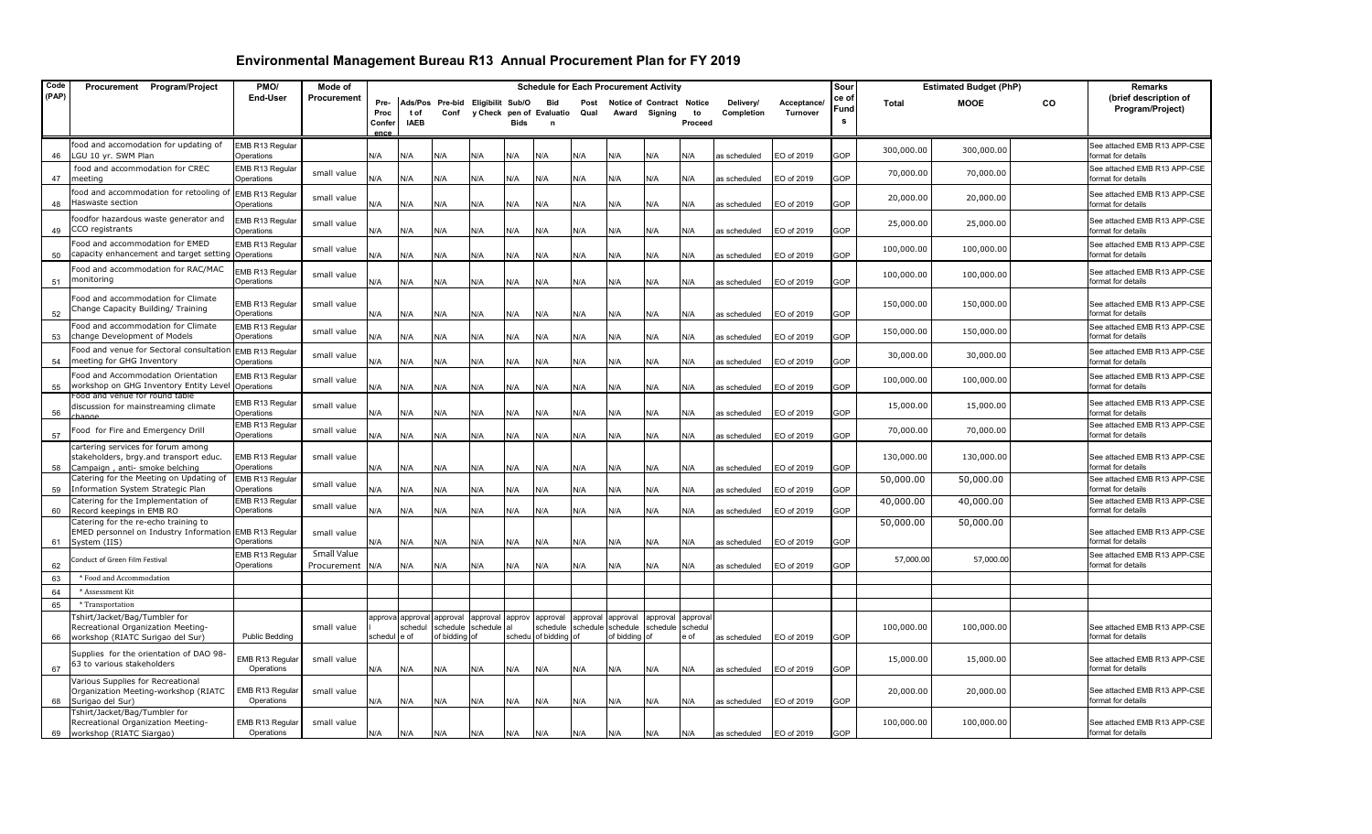| Code     | Procurement Program/Project                                                                                    | PMO/                                                   | Mode of                    |                     |                             |                                       |                      |             | <b>Schedule for Each Procurement Activity</b> |                               |                      |                              |                  |                              |                          | Sour       |              | <b>Estimated Budget (PhP)</b> |    | <b>Remarks</b>                                     |
|----------|----------------------------------------------------------------------------------------------------------------|--------------------------------------------------------|----------------------------|---------------------|-----------------------------|---------------------------------------|----------------------|-------------|-----------------------------------------------|-------------------------------|----------------------|------------------------------|------------------|------------------------------|--------------------------|------------|--------------|-------------------------------|----|----------------------------------------------------|
| (PAP)    |                                                                                                                | End-User                                               | Procurement                | Pre-                |                             | Ads/Pos Pre-bid Eligibilit Sub/O      |                      |             | Bid                                           | Post                          |                      | Notice of Contract Notice    |                  | Delivery/                    | Acceptance/              | ce of      | <b>Total</b> | <b>MOOE</b>                   | CO | (brief description of                              |
|          |                                                                                                                |                                                        |                            | Proc                | t of                        |                                       |                      |             | Conf y Check pen of Evaluatio                 | Qual                          |                      | Award Signing                | to               | Completion                   | <b>Turnover</b>          | Fund       |              |                               |    | Program/Project)                                   |
|          |                                                                                                                |                                                        |                            | Confer<br>ence      | <b>IAEB</b>                 |                                       |                      | <b>Bids</b> |                                               |                               |                      |                              | Proceed          |                              |                          |            |              |                               |    |                                                    |
|          | food and accomodation for updating of                                                                          | EMB R13 Regular                                        |                            |                     |                             |                                       |                      |             |                                               |                               |                      |                              |                  |                              |                          |            | 300,000.00   | 300,000.00                    |    | See attached EMB R13 APP-CSE                       |
| 46       | LGU 10 yr. SWM Plan                                                                                            | Operations                                             |                            | N/A                 | N/A                         | N/A                                   | N/A                  | N/A         | N/A                                           | N/A                           | N/A                  | N/A                          | N/A              | as scheduled                 | EO of 2019               | GOP        |              |                               |    | format for details                                 |
| 47       | food and accommodation for CREC<br>meeting                                                                     | EMB R13 Regular<br>Operations                          | small value                | N/A                 | <b>V/A</b>                  | N/A                                   | N/A                  | N/A         | N/A                                           | N/A                           | N/A                  | N/A                          | N/A              | as scheduled                 | EO of 2019               | GOP        | 70,000.00    | 70,000.00                     |    | See attached EMB R13 APP-CSE<br>format for details |
| 48       | ood and accommodation for retooling of<br>Haswaste section                                                     | EMB R13 Regular<br>Operations                          | small value                | N/A                 | N/A                         | ۷/A                                   | N/A                  | N/A         | N/A                                           | N/A                           | N/A                  | N/A                          | N/A              | as scheduled                 | EO of 2019               | GOP        | 20,000.00    | 20,000.00                     |    | See attached EMB R13 APP-CSE<br>format for details |
| 49       | oodfor hazardous waste generator and<br>CCO registrants                                                        | EMB R13 Regular<br>Operations                          | small value                | N/A                 | N/A                         | N/A                                   | N/A                  | N/A         | N/A                                           | N/A                           | N/A                  | N/A                          | N/A              | as scheduled                 | EO of 2019               | GOP        | 25,000.00    | 25,000.00                     |    | See attached EMB R13 APP-CSE<br>format for details |
| 50       | ood and accommodation for EMED<br>capacity enhancement and target setting                                      | EMB R13 Regular<br>Operations                          | small value                | N/A                 | N/A                         | N/A                                   | N/A                  | N/A         | N/A                                           | N/A                           | N/A                  | N/A                          | N/A              | as scheduled                 | O of 2019                | <b>GOP</b> | 100,000.00   | 100,000.00                    |    | See attached EMB R13 APP-CSE<br>format for details |
| 51       | Food and accommodation for RAC/MAC<br>monitoring                                                               | EMB R13 Regular<br>Operations                          | small value                | N/A                 | N/A                         | N/A                                   | N/A                  | N/A         | N/A                                           | N/A                           | N/A                  | N/A                          | N/A              | as scheduled                 | EO of 2019               | GOP        | 100,000.00   | 100,000.00                    |    | See attached EMB R13 APP-CSE<br>format for details |
| 52       | Food and accommodation for Climate<br>Change Capacity Building/ Training                                       | EMB R13 Regular<br>Operations                          | small value                | N/A                 | N/A                         | N/A                                   | N/A                  | N/A         | N/A                                           | N/A                           | N/A                  | N/A                          | N/A              | as scheduled                 | EO of 2019               | GOP        | 150,000.00   | 150,000.00                    |    | See attached EMB R13 APP-CSE<br>format for details |
| 53       | Food and accommodation for Climate<br>change Development of Models                                             | EMB R13 Regular<br>Operations                          | small value                | N/A                 | N/A                         | N/A                                   | N/A                  | N/A         | N/A                                           | N/A                           | N/A                  | N/A                          | N/A              | as scheduled                 | EO of 2019               | GOP        | 150,000.00   | 150,000.00                    |    | See attached EMB R13 APP-CSE<br>format for details |
| 54       | ood and venue for Sectoral consultatior<br>meeting for GHG Inventory                                           | EMB R13 Regular<br>Operations                          | small value                | N/A                 | N/A                         | N/A                                   | N/A                  | N/A         | N/A                                           | N/A                           | N/A                  | N/A                          | N/A              | as scheduled                 | EO of 2019               | GOP        | 30,000.00    | 30,000.00                     |    | See attached EMB R13 APP-CSE<br>format for details |
| 55       | Food and Accommodation Orientation<br>workshop on GHG Inventory Entity Level                                   | EMB R13 Regular<br>Operations                          | small value                | N/A                 | N/A                         | N/A                                   | N/A                  | N/A         | N/A                                           | N/A                           | N/A                  | N/A                          | N/A              | as scheduled                 | EO of 2019               | GOP        | 100,000.00   | 100,000.00                    |    | See attached EMB R13 APP-CSE<br>format for details |
| 56       | Food and venue for round table<br>discussion for mainstreaming climate<br>hanne                                | EMB R13 Regular<br>Operations                          | small value                | N/A                 | N/A                         | N/A                                   | N/A                  | N/A         | N/A                                           | N/A                           | N/A                  | N/A                          | N/A              | s scheduled                  | EO of 2019               | GOP        | 15,000.00    | 15,000.00                     |    | See attached EMB R13 APP-CSE<br>format for details |
| 57       | Food for Fire and Emergency Drill                                                                              | EMB R13 Regular<br>Operations                          | small value                | N/A                 | N/A                         | N/A                                   | N/A                  | N/A         | N/A                                           | N/A                           | N/A                  | N/A                          | N/A              | as scheduled                 | EO of 2019               | GOP        | 70,000.00    | 70,000.00                     |    | See attached EMB R13 APP-CSE<br>format for details |
| 58       | cartering services for forum among<br>stakeholders, brgy.and transport educ.<br>Campaign, anti- smoke belching | EMB R13 Regular<br>Operations                          | small value                | N/A                 | N/A                         | ۷/A                                   | N/A                  | N/A         | N/A                                           | N/A                           | N/A                  | N/A                          | N/A              | as scheduled                 | O of 2019                | GOP        | 130,000.00   | 130,000.00                    |    | See attached EMB R13 APP-CSE<br>format for details |
| 59       | Catering for the Meeting on Updating of<br>Information System Strategic Plan                                   | EMB R13 Regular<br>Operations                          | small value                | N/A                 | N/A                         | N/A                                   | N/A                  | N/A         | N/A                                           | N/A                           | N/A                  | N/A                          | N/A              | as scheduled                 | EO of 2019               | GOP        | 50,000.00    | 50,000.00                     |    | See attached EMB R13 APP-CSE<br>format for details |
| 60       | Catering for the Implementation of<br>Record keepings in EMB RO                                                | EMB R13 Regular<br>Operations                          | small value                | N/A                 | N/A                         | N/A                                   | N/A                  | N/A         | N/A                                           | N/A                           | N/A                  | N/A                          | N/A              | as scheduled                 | EO of 2019               | <b>GOP</b> | 40,000.00    | 40,000.00                     |    | See attached EMB R13 APP-CSE<br>format for details |
| 61       | Catering for the re-echo training to<br>EMED personnel on Industry Information<br>System (IIS)                 | EMB R13 Regular<br>Operations                          | small value                | N/A                 | N/A                         | N/A                                   | N/A                  | N/A         | N/A                                           | N/A                           | N/A                  | N/A                          | N/A              | as scheduled                 | EO of 2019               | GOP        | 50,000.00    | 50,000.00                     |    | See attached EMB R13 APP-CSE<br>format for details |
| 62       | Conduct of Green Film Festival                                                                                 | EMB R13 Regular<br>Operations                          | Small Value<br>Procurement | N/A                 | N/A                         | ۷/A                                   | N/A                  | N/A         | N/A                                           | N/A                           | N/A                  | N/A                          | N/A              | as scheduled                 | EO of 2019               | GOP        | 57,000.00    | 57,000.00                     |    | See attached EMB R13 APP-CSE<br>format for details |
| 63       | * Food and Accommodation                                                                                       |                                                        |                            |                     |                             |                                       |                      |             |                                               |                               |                      |                              |                  |                              |                          |            |              |                               |    |                                                    |
| 64       | * Assessment Kit                                                                                               |                                                        |                            |                     |                             |                                       |                      |             |                                               |                               |                      |                              |                  |                              |                          |            |              |                               |    |                                                    |
| 65       | * Transportation                                                                                               |                                                        |                            |                     |                             |                                       |                      |             |                                               |                               |                      |                              |                  |                              |                          |            |              |                               |    |                                                    |
|          | Tshirt/Jacket/Bag/Tumbler for<br>Recreational Organization Meeting-                                            |                                                        | small value                |                     | approva approval<br>schedul | approval<br>schedule<br>of bidding of | approval<br>schedule | approv      | approval                                      | approval<br>schedule schedule | approval<br>schedule | approval<br>schedule schedul | approval<br>e of |                              |                          |            | 100,000.00   | 100,000.00                    |    | See attached EMB R13 APP-CSE<br>format for details |
| 66<br>67 | workshop (RIATC Surigao del Sur)<br>Supplies for the orientation of DAO 98-<br>63 to various stakeholders      | <b>Public Bedding</b><br>EMB R13 Regular<br>Operations | small value                | schedul e of<br>N/A | N/A                         | N/A                                   | N/A                  | N/A         | schedu of bidding of<br>N/A                   | N/A                           | of bidding of<br>N/A | N/A                          | N/A              | as scheduled<br>as scheduled | EO of 2019<br>EO of 2019 | GOP<br>GOP | 15,000.00    | 15,000.00                     |    | See attached EMB R13 APP-CSE<br>format for details |
| 68       | Various Supplies for Recreational<br>Organization Meeting-workshop (RIATC<br>Surigao del Sur)                  | EMB R13 Regular<br>Operations                          | small value                | N/A                 | N/A                         | N/A                                   | N/A                  | N/A         | N/A                                           | N/A                           | N/A                  | N/A                          | N/A              | as scheduled                 | EO of 2019               | GOP        | 20,000.00    | 20,000.00                     |    | See attached EMB R13 APP-CSE<br>format for details |
|          | Fshirt/Jacket/Bag/Tumbler for<br>Recreational Organization Meeting-<br>69 workshop (RIATC Siargao)             | EMB R13 Regular<br>Operations                          | small value                | N/A                 | N/A                         | N/A                                   | N/A                  | N/A         | N/A                                           | N/A                           | N/A                  | N/A                          | N/A              | as scheduled                 | EO of 2019               | GOP        | 100,000.00   | 100,000.00                    |    | See attached EMB R13 APP-CSE<br>format for details |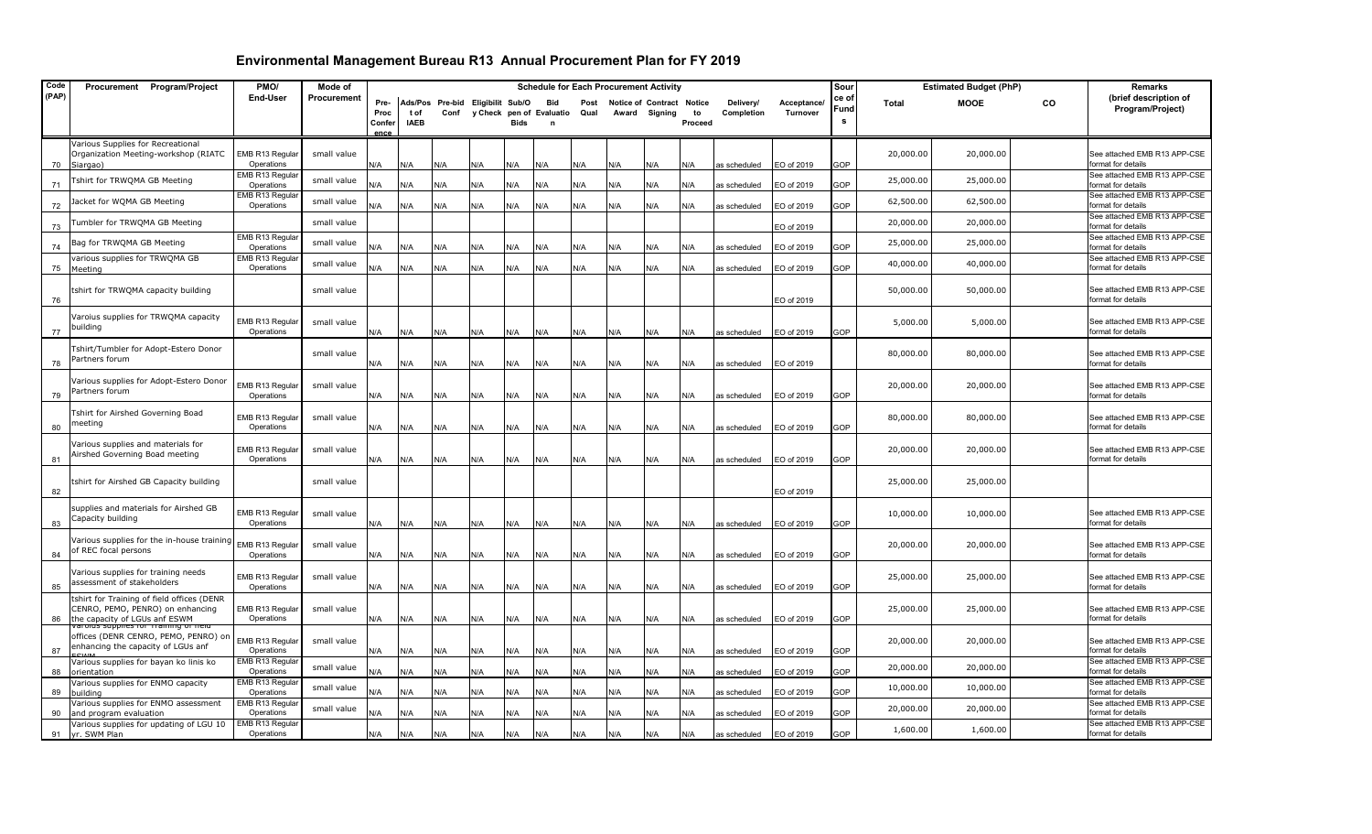| Code  | Procurement Program/Project                                                   | PMO/                          | Mode of     |                       |             |                                  |     |      |                          |      | <b>Schedule for Each Procurement Activity</b> |         |         |              |             | Sour  |              | <b>Estimated Budget (PhP)</b> |    | Remarks                                            |
|-------|-------------------------------------------------------------------------------|-------------------------------|-------------|-----------------------|-------------|----------------------------------|-----|------|--------------------------|------|-----------------------------------------------|---------|---------|--------------|-------------|-------|--------------|-------------------------------|----|----------------------------------------------------|
| (PAP) |                                                                               | End-User                      | Procurement | Pre-                  |             | Ads/Pos Pre-bid Eligibilit Sub/O |     |      | Bid                      | Post | <b>Notice of Contract</b>                     |         | Notice  | Delivery/    | Acceptance/ | ce of | <b>Total</b> | <b>MOOE</b>                   | CO | (brief description of                              |
|       |                                                                               |                               |             | Proc                  | tof         | Conf                             |     |      | y Check pen of Evaluatio | Qual | Award                                         | Signing | to      | Completion   | Turnover    | Fund  |              |                               |    | Program/Project)                                   |
|       |                                                                               |                               |             | Confer<br><b>ADC6</b> | <b>IAEB</b> |                                  |     | Bids |                          |      |                                               |         | Proceed |              |             | s     |              |                               |    |                                                    |
|       | Various Supplies for Recreational                                             |                               |             |                       |             |                                  |     |      |                          |      |                                               |         |         |              |             |       |              |                               |    |                                                    |
|       | Organization Meeting-workshop (RIATC                                          | EMB R13 Regular               | small value |                       |             |                                  |     |      |                          |      |                                               |         |         |              |             |       | 20,000.00    | 20,000.00                     |    | See attached EMB R13 APP-CSE                       |
| 70    | Siargao)                                                                      | Operations                    |             | N/A                   | N/A         | N/A                              | N/A | N/A  | N/A                      | N/A  | N/A                                           | N/A     | N/A     | as scheduled | EO of 2019  | GOP   |              |                               |    | format for details                                 |
| 71    | Tshirt for TRWQMA GB Meeting                                                  | EMB R13 Regular<br>Operations | small value | N/A                   | N/A         | N/A                              |     | N/A  | N/A                      | N/A  | N/A                                           | N/A     | N/A     |              |             | GOP   | 25,000.00    | 25,000.00                     |    | See attached EMB R13 APP-CSE<br>format for details |
|       |                                                                               | EMB R13 Regula                |             |                       |             |                                  | N/A |      |                          |      |                                               |         |         | as scheduled | EO of 2019  |       |              |                               |    | See attached EMB R13 APP-CSE                       |
| 72    | Jacket for WQMA GB Meeting                                                    | Operations                    | small value | N/A                   | N/A         | N/A                              | N/A | N/A  | N/A                      | N/A  | N/A                                           | N/A     | N/A     | as scheduled | EO of 2019  | GOP   | 62,500.00    | 62,500.00                     |    | format for details                                 |
|       | Tumbler for TRWQMA GB Meeting                                                 |                               | small value |                       |             |                                  |     |      |                          |      |                                               |         |         |              |             |       | 20,000.00    | 20,000.00                     |    | See attached EMB R13 APP-CSE                       |
| 73    |                                                                               | EMB R13 Regula                |             |                       |             |                                  |     |      |                          |      |                                               |         |         |              | EO of 2019  |       |              |                               |    | format for details<br>See attached EMB R13 APP-CSE |
| 74    | Bag for TRWQMA GB Meeting                                                     | Operations                    | small value | N/A                   | N/A         | N/A                              | N/A | N/A  | N/A                      | N/A  | N/A                                           | N/A     | N/A     | as scheduled | EO of 2019  | GOP   | 25,000.00    | 25,000.00                     |    | format for details                                 |
|       | various supplies for TRWQMA GB                                                | EMB R13 Regula                | small value |                       |             |                                  |     |      |                          |      |                                               |         |         |              |             |       | 40,000.00    | 40,000.00                     |    | See attached EMB R13 APP-CSE                       |
| 75    | Meeting                                                                       | Operations                    |             | N/A                   | N/A         | N/A                              | N/A | N/A  | N/A                      | N/A  | N/A                                           | N/A     | N/A     | as scheduled | EO of 2019  | GOP   |              |                               |    | format for details                                 |
|       | tshirt for TRWQMA capacity building                                           |                               | small value |                       |             |                                  |     |      |                          |      |                                               |         |         |              |             |       | 50,000.00    | 50,000.00                     |    | See attached EMB R13 APP-CSE                       |
| 76    |                                                                               |                               |             |                       |             |                                  |     |      |                          |      |                                               |         |         |              | EO of 2019  |       |              |                               |    | format for details                                 |
|       | Varoius supplies for TRWQMA capacity                                          |                               |             |                       |             |                                  |     |      |                          |      |                                               |         |         |              |             |       |              |                               |    |                                                    |
|       | building                                                                      | EMB R13 Regular               | small value |                       |             |                                  |     |      |                          |      |                                               |         |         |              |             |       | 5,000.00     | 5,000.00                      |    | See attached EMB R13 APP-CSE                       |
| 77    |                                                                               | Operations                    |             | N/A                   | N/A         | N/A                              | N/A | N/A  | N/A                      | N/A  | N/A                                           | N/A     | N/A     | as scheduled | EO of 2019  | GOP   |              |                               |    | format for details                                 |
|       | Tshirt/Tumbler for Adopt-Estero Donor                                         |                               | small value |                       |             |                                  |     |      |                          |      |                                               |         |         |              |             |       | 80,000.00    | 80,000.00                     |    | See attached EMB R13 APP-CSE                       |
| 78    | Partners forum                                                                |                               |             | N/A                   | N/A         | N/A                              | N/A | N/A  | N/A                      | N/A  | N/A                                           | N/A     | N/A     | as scheduled | EO of 2019  |       |              |                               |    | format for details                                 |
|       | Various supplies for Adopt-Estero Donor                                       |                               |             |                       |             |                                  |     |      |                          |      |                                               |         |         |              |             |       |              |                               |    |                                                    |
| 79    | Partners forum                                                                | EMB R13 Regular<br>Operations | small value | N/A                   | N/A         | N/A                              | N/A | N/A  | N/A                      | N/A  | N/A                                           | N/A     | N/A     | as scheduled | EO of 2019  | GOP   | 20,000.00    | 20,000.00                     |    | See attached EMB R13 APP-CSE<br>format for details |
|       |                                                                               |                               |             |                       |             |                                  |     |      |                          |      |                                               |         |         |              |             |       |              |                               |    |                                                    |
|       | Tshirt for Airshed Governing Boad<br>neeting                                  | EMB R13 Regula                | small value |                       |             |                                  |     |      |                          |      |                                               |         |         |              |             |       | 80,000.00    | 80,000.00                     |    | See attached EMB R13 APP-CSE                       |
| 80    |                                                                               | Operations                    |             | N/A                   | N/A         | N/A                              | N/A | N/A  | N/A                      | N/A  | N/A                                           | N/A     | N/A     | as scheduled | EO of 2019  | GOP   |              |                               |    | format for details                                 |
|       | Various supplies and materials for                                            | EMB R13 Regular               | small value |                       |             |                                  |     |      |                          |      |                                               |         |         |              |             |       | 20,000.00    | 20,000.00                     |    | See attached EMB R13 APP-CSE                       |
| 81    | Airshed Governing Boad meeting                                                | Operations                    |             | N/A                   | N/A         | N/A                              | N/A | N/A  | N/A                      | N/A  | N/A                                           | N/A     | N/A     | as scheduled | EO of 2019  | GOP   |              |                               |    | format for details                                 |
|       |                                                                               |                               |             |                       |             |                                  |     |      |                          |      |                                               |         |         |              |             |       |              |                               |    |                                                    |
|       | shirt for Airshed GB Capacity building                                        |                               | small value |                       |             |                                  |     |      |                          |      |                                               |         |         |              |             |       | 25,000.00    | 25,000.00                     |    |                                                    |
| 82    |                                                                               |                               |             |                       |             |                                  |     |      |                          |      |                                               |         |         |              | EO of 2019  |       |              |                               |    |                                                    |
|       | supplies and materials for Airshed GB                                         | EMB R13 Regular               | small value |                       |             |                                  |     |      |                          |      |                                               |         |         |              |             |       | 10,000.00    | 10,000.00                     |    | See attached EMB R13 APP-CSE                       |
| 83    | Capacity building                                                             | Operations                    |             | N/A                   | N/A         | N/A                              | N/A | N/A  | N/A                      | N/A  | N/A                                           | N/A     | N/A     | as scheduled | EO of 2019  | GOP   |              |                               |    | format for details                                 |
|       | Various supplies for the in-house training                                    |                               |             |                       |             |                                  |     |      |                          |      |                                               |         |         |              |             |       |              |                               |    |                                                    |
| 84    | of REC focal persons                                                          | EMB R13 Regular<br>Operations | small value | N/A                   | N/A         | N/A                              | N/A | N/A  | N/A                      | N/A  | N/A                                           | N/A     | N/A     | as scheduled | EO of 2019  | GOP   | 20,000.00    | 20,000.00                     |    | See attached EMB R13 APP-CSE<br>format for details |
|       |                                                                               |                               |             |                       |             |                                  |     |      |                          |      |                                               |         |         |              |             |       |              |                               |    |                                                    |
|       | Various supplies for training needs<br>assessment of stakeholders             | EMB R13 Regular               | small value |                       |             |                                  |     |      |                          |      |                                               |         |         |              |             |       | 25,000.00    | 25,000.00                     |    | See attached EMB R13 APP-CSE                       |
| 85    |                                                                               | Operations                    |             | N/A                   | N/A         | N/A                              | N/A | N/A  | N/A                      | N/A  | N/A                                           | N/A     | N/A     | as scheduled | EO of 2019  | GOP   |              |                               |    | format for details                                 |
|       | shirt for Training of field offices (DENR<br>CENRO, PEMO, PENRO) on enhancing | EMB R13 Regular               | small value |                       |             |                                  |     |      |                          |      |                                               |         |         |              |             |       | 25,000.00    | 25,000.00                     |    | See attached EMB R13 APP-CSE                       |
| 86    | the capacity of LGUs anf ESWM                                                 | Operations                    |             | N/A                   | N/A         | N/A                              | N/A | N/A  | N/A                      | N/A  | N/A                                           | N/A     | N/A     | as scheduled | EO of 2019  | GOP   |              |                               |    | format for details                                 |
|       | varolus supplies for Training of h<br>offices (DENR CENRO, PEMO, PENRO) or    |                               |             |                       |             |                                  |     |      |                          |      |                                               |         |         |              |             |       |              |                               |    |                                                    |
|       | enhancing the capacity of LGUs anf                                            | EMB R13 Regular               | small value |                       |             |                                  |     |      |                          |      |                                               |         |         |              |             |       | 20,000.00    | 20,000.00                     |    | See attached EMB R13 APP-CSE                       |
| 87    | Various supplies for bayan ko linis ko                                        | Operations<br>EMB R13 Regula  |             | N/A                   | N/A         | N/A                              | N/A | N/A  | N/A                      | N/A  | N/A                                           | N/A     | N/A     | as scheduled | EO of 2019  | GOP   |              |                               |    | format for details<br>See attached EMB R13 APP-CSE |
| 88    | orientation                                                                   | Operations                    | small value | N/A                   | N/A         | N/A                              | N/A | N/A  | N/A                      | N/A  | N/A                                           | N/A     | N/A     | as scheduled | EO of 2019  | GOP   | 20,000.00    | 20,000.00                     |    | format for details                                 |
|       | Various supplies for ENMO capacity                                            | EMB R13 Regula                | small value |                       |             |                                  |     |      |                          |      |                                               |         |         |              |             |       | 10,000.00    | 10,000.00                     |    | See attached EMB R13 APP-CSE                       |
| 89    | building                                                                      | Operations<br>EMB R13 Regula  |             | N/A                   | N/A         | N/A                              | N/A | N/A  | N/A                      | N/A  | N/A                                           | N/A     | N/A     | as scheduled | EO of 2019  | GOP   |              |                               |    | format for details<br>See attached EMB R13 APP-CSE |
| 90    | Various supplies for ENMO assessment<br>and program evaluation                | Operations                    | small value | N/A                   | N/A         | N/A                              | N/A | N/A  | N/A                      | N/A  | N/A                                           | N/A     | N/A     | as scheduled | EO of 2019  | GOP   | 20,000.00    | 20,000.00                     |    | format for details                                 |
|       | Various supplies for updating of LGU 10                                       | EMB R13 Regular               |             |                       |             |                                  |     |      |                          |      |                                               |         |         |              |             |       | 1,600.00     | 1,600.00                      |    | See attached EMB R13 APP-CSE                       |
| 91    | yr. SWM Plan                                                                  | Operations                    |             | N/A                   | N/A         | N/A                              | N/A | N/A  | N/A                      | N/A  | N/A                                           | N/A     | N/A     | as scheduled | EO of 2019  | GOP   |              |                               |    | format for details                                 |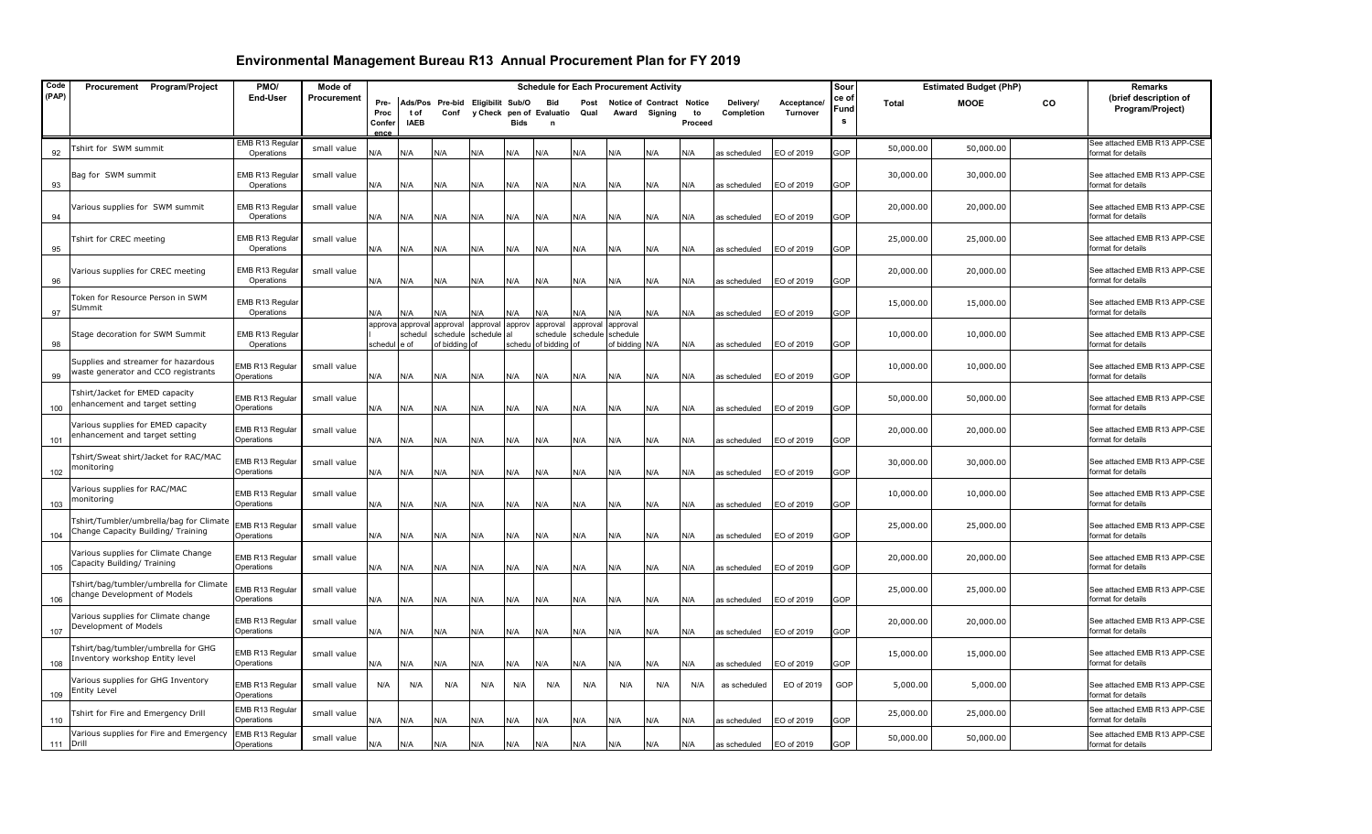| Code  | Procurement Program/Project                                                   | PMO/                                 | Mode of     |                                |                               |                                          |                                |        |                                               |              |                                                 | <b>Schedule for Each Procurement Activity</b> |               |                         |                         | Sour               |           | <b>Estimated Budget (PhP)</b> |    | Remarks                                            |
|-------|-------------------------------------------------------------------------------|--------------------------------------|-------------|--------------------------------|-------------------------------|------------------------------------------|--------------------------------|--------|-----------------------------------------------|--------------|-------------------------------------------------|-----------------------------------------------|---------------|-------------------------|-------------------------|--------------------|-----------|-------------------------------|----|----------------------------------------------------|
| (PAP) |                                                                               | End-User                             | Procurement | Pre-<br>Proc<br>Confer<br>ence | t of<br><b>IAEB</b>           | Ads/Pos Pre-bid Eligibilit Sub/O<br>Conf | y Check                        | Bids   | <b>Bid</b><br>pen of Evaluatio<br>$\mathbf n$ | Post<br>Qual | Award                                           | Notice of Contract Notice<br>Signing          | to<br>Proceed | Delivery/<br>Completion | Acceptance/<br>Turnover | ce of<br>Fund<br>s | Total     | <b>MOOE</b>                   | CO | (brief description of<br>Program/Project)          |
| 92    | Tshirt for SWM summit                                                         | EMB R13 Regular<br>Operations        | small value | N/A                            | N/A                           | N/A                                      | N/A                            | N/A    | N/A                                           | N/A          | N/A                                             | N/A                                           | N/A           | as scheduled            | EO of 2019              | GOP                | 50,000.00 | 50,000.00                     |    | See attached EMB R13 APP-CSE<br>format for details |
| 93    | Bag for SWM summit                                                            | EMB R13 Regular<br>Operations        | small value | N/A                            | N/A                           | N/A                                      | N/A                            | N/A    | N/A                                           | N/A          | N/A                                             | N/A                                           | N/A           | as scheduled            | EO of 2019              | GOP                | 30,000.00 | 30,000.00                     |    | See attached EMB R13 APP-CSE<br>format for details |
| 94    | Various supplies for SWM summit                                               | EMB R13 Regular<br>Operations        | small value | N/A                            | N/A                           | N/A                                      | N/A                            | N/A    | N/A                                           | N/A          | N/A                                             | N/A                                           | N/A           | as scheduled            | EO of 2019              | GOP                | 20,000.00 | 20,000.00                     |    | See attached EMB R13 APP-CSE<br>format for details |
| 95    | Tshirt for CREC meeting                                                       | EMB R13 Regular<br>Operations        | small value | N/A                            | N/A                           | N/A                                      | N/A                            | N/A    | N/A                                           | N/A          | N/A                                             | N/A                                           | N/A           | as scheduled            | EO of 2019              | GOP                | 25,000.00 | 25,000.00                     |    | See attached EMB R13 APP-CSE<br>format for details |
| 96    | Various supplies for CREC meeting                                             | EMB R13 Regular<br>Operations        | small value | N/A                            | N/A                           | N/A                                      | N/A                            | N/A    | N/A                                           | N/A          | N/A                                             | N/A                                           | N/A           | as scheduled            | EO of 2019              | GOP                | 20,000.00 | 20,000.00                     |    | See attached EMB R13 APP-CSE<br>format for details |
| 97    | Token for Resource Person in SWM<br>SUmmit                                    | EMB R13 Regular<br>Operations        |             | N/A                            | N/A                           | N/A                                      | N/A                            | N/A    | N/A                                           | N/A          | N/A                                             | N/A                                           | N/A           | as scheduled            | EO of 2019              | GOP                | 15,000.00 | 15,000.00                     |    | See attached EMB R13 APP-CSE<br>format for details |
| 98    | Stage decoration for SWM Summit                                               | EMB R13 Regular<br>Operations        |             | approva<br>schedul             | approval<br>schedul<br>l e of | approval<br>schedule<br>of bidding of    | approval approv<br>schedule al | schedu | approval<br>schedule<br>of bidding            | approval     | approval<br>schedule schedule<br>of bidding N/A |                                               | N/A           | as scheduled            | EO of 2019              | GOP                | 10,000.00 | 10,000.00                     |    | See attached EMB R13 APP-CSE<br>format for details |
| 99    | Supplies and streamer for hazardous<br>waste generator and CCO registrants    | EMB R13 Regular<br>Operations        | small value | N/A                            | N/A                           | N/A                                      | N/A                            | N/A    | N/A                                           | N/A          | N/A                                             | N/A                                           | N/A           | as scheduled            | EO of 2019              | <b>GOP</b>         | 10,000.00 | 10,000.00                     |    | See attached EMB R13 APP-CSE<br>format for details |
| 100   | Tshirt/Jacket for EMED capacity<br>enhancement and target setting             | EMB R13 Regular<br>Operations        | small value | N/A                            | N/A                           | N/A                                      | N/A                            | N/A    | N/A                                           | N/A          | N/A                                             | N/A                                           | N/A           | as scheduled            | EO of 2019              | GOP                | 50,000.00 | 50,000.00                     |    | See attached EMB R13 APP-CSE<br>format for details |
| 101   | Various supplies for EMED capacity<br>enhancement and target setting          | EMB R13 Regular<br>Operations        | small value | N/A                            | N/A                           | N/A                                      | N/A                            | N/A    | N/A                                           | N/A          | N/A                                             | N/A                                           | N/A           | as scheduled            | EO of 2019              | GOP                | 20,000.00 | 20,000.00                     |    | See attached EMB R13 APP-CSE<br>format for details |
| 102   | Tshirt/Sweat shirt/Jacket for RAC/MAC<br>monitoring                           | EMB R13 Regular<br>Operations        | small value | N/A                            | N/A                           | N/A                                      | N/A                            | N/A    | N/A                                           | N/A          | N/A                                             | N/A                                           | N/A           | as scheduled            | EO of 2019              | 3OP                | 30,000.00 | 30,000.00                     |    | See attached EMB R13 APP-CSE<br>format for details |
| 103   | Various supplies for RAC/MAC<br>monitoring                                    | EMB R13 Regular<br><b>Operations</b> | small value | N/A                            | N/A                           | N/A                                      | N/A                            | N/A    | N/A                                           | N/A          | N/A                                             | N/A                                           | N/A           | as scheduled            | EO of 2019              | 3OP                | 10,000.00 | 10,000.00                     |    | See attached EMB R13 APP-CSE<br>format for details |
| 104   | Tshirt/Tumbler/umbrella/bag for Climate<br>Change Capacity Building/ Training | EMB R13 Regular<br>Operations        | small value | N/A                            | N/A                           | N/A                                      | N/A                            | N/A    | N/A                                           | N/A          | N/A                                             | N/A                                           | N/A           | as scheduled            | EO of 2019              | GOP                | 25,000.00 | 25,000.00                     |    | See attached EMB R13 APP-CSE<br>format for details |
| 105   | Various supplies for Climate Change<br>Capacity Building/ Training            | EMB R13 Regular<br>Operations        | small value | N/A                            | N/A                           | N/A                                      | N/A                            | N/A    | N/A                                           | N/A          | N/A                                             | N/A                                           | N/A           | as scheduled            | EO of 2019              | GOP                | 20,000.00 | 20,000.00                     |    | See attached EMB R13 APP-CSE<br>format for details |
| 106   | Tshirt/bag/tumbler/umbrella for Climate<br>change Development of Models       | EMB R13 Regular<br>Operations        | small value | N/A                            | N/A                           | N/A                                      | N/A                            | N/A    | N/A                                           | N/A          | N/A                                             | N/A                                           | N/A           | as scheduled            | EO of 2019              | GOP                | 25,000.00 | 25,000.00                     |    | See attached EMB R13 APP-CSE<br>format for details |
| 107   | Various supplies for Climate change<br>Development of Models                  | EMB R13 Regular<br>Operations        | small value | N/A                            | N/A                           | N/A                                      | N/A                            | N/A    | N/A                                           | N/A          | N/A                                             | N/A                                           | N/A           | as scheduled            | EO of 2019              | GOP                | 20,000.00 | 20,000.00                     |    | See attached EMB R13 APP-CSE<br>format for details |
| 108   | Tshirt/bag/tumbler/umbrella for GHG<br>Inventory workshop Entity level        | EMB R13 Regular<br>Operations        | small value | N/A                            | N/A                           | N/A                                      | N/A                            | N/A    | N/A                                           | N/A          | N/A                                             | N/A                                           | N/A           | as scheduled            | EO of 2019              | GOP                | 15,000.00 | 15,000.00                     |    | See attached EMB R13 APP-CSE<br>format for details |
| 109   | Various supplies for GHG Inventory<br><b>Entity Level</b>                     | EMB R13 Regular<br>Operations        | small value | N/A                            | N/A                           | N/A                                      | N/A                            | N/A    | N/A                                           | N/A          | N/A                                             | N/A                                           | N/A           | as scheduled            | EO of 2019              | GOP                | 5,000.00  | 5,000.00                      |    | See attached EMB R13 APP-CSE<br>format for details |
| 110   | Tshirt for Fire and Emergency Drill                                           | EMB R13 Regular<br>Operations        | small value | N/A                            | N/A                           | N/A                                      | N/A                            | N/A    | N/A                                           | N/A          | N/A                                             | N/A                                           | N/A           | is scheduled            | EO of 2019              | <b>SOP</b>         | 25,000.00 | 25,000.00                     |    | See attached EMB R13 APP-CSE<br>format for details |
|       | Various supplies for Fire and Emergency<br>111 Drill                          | EMB R13 Regular<br>Operations        | small value | N/A                            | N/A                           | N/A                                      | N/A                            | N/A    | N/A                                           | N/A          | N/A                                             | N/A                                           | N/A           | as scheduled            | EO of 2019              | <b>GOP</b>         | 50,000.00 | 50,000.00                     |    | See attached EMB R13 APP-CSE<br>format for details |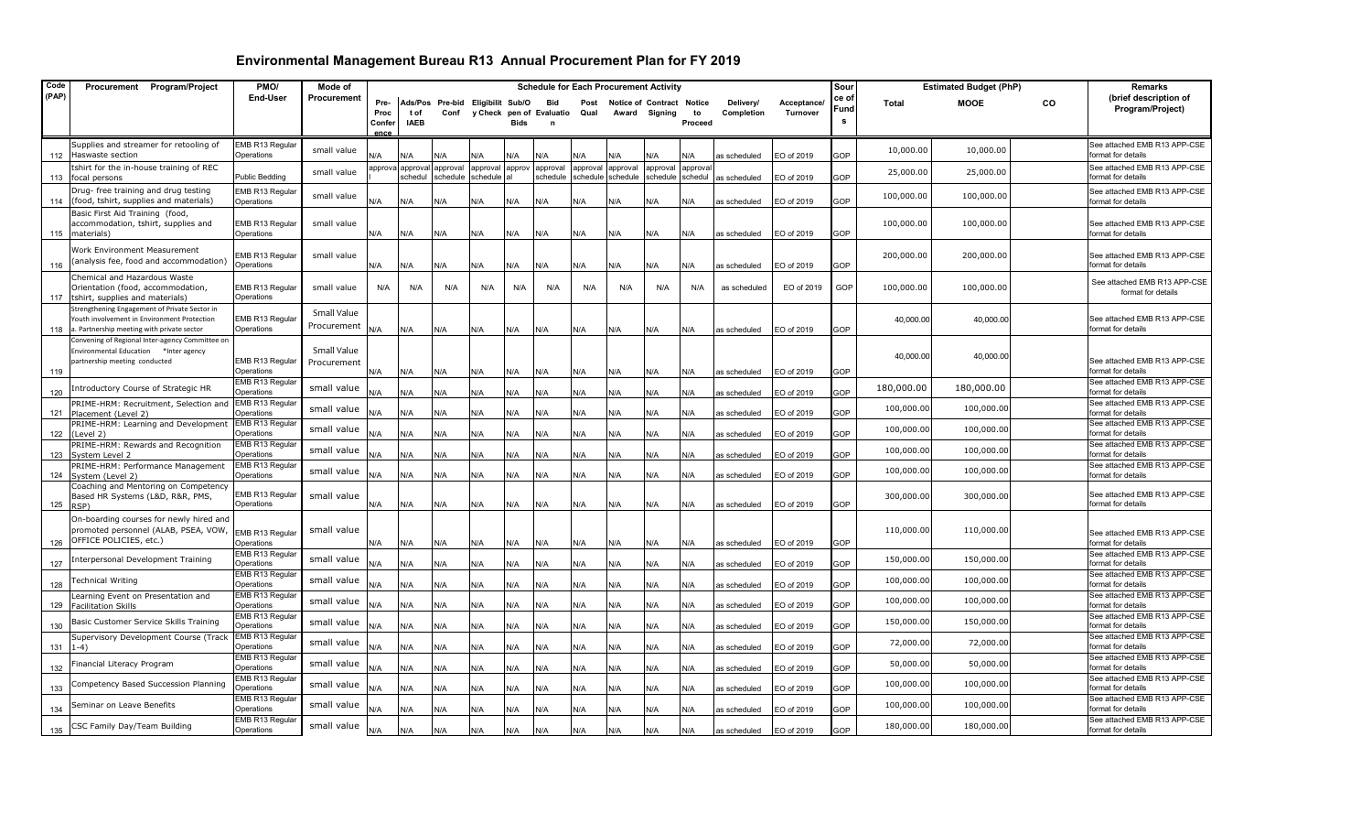| Code  | Procurement Program/Project                                                                                                                | PMO/                          | Mode of                    |                |                     |                                  |                         |        |                          |          | <b>Schedule for Each Procurement Activity</b> |                      |                    |              |             | Sour       |              | <b>Estimated Budget (PhP)</b> |           | Remarks                                            |
|-------|--------------------------------------------------------------------------------------------------------------------------------------------|-------------------------------|----------------------------|----------------|---------------------|----------------------------------|-------------------------|--------|--------------------------|----------|-----------------------------------------------|----------------------|--------------------|--------------|-------------|------------|--------------|-------------------------------|-----------|----------------------------------------------------|
| (PAP) |                                                                                                                                            | <b>End-User</b>               | Procurement                | Pre-           |                     | Ads/Pos Pre-bid Eligibilit Sub/O |                         |        | <b>Bid</b>               | Post     | <b>Notice of Contract Notice</b>              |                      |                    | Delivery/    | Acceptance/ | ce of      | <b>Total</b> | <b>MOOE</b>                   | <b>CO</b> | (brief description of                              |
|       |                                                                                                                                            |                               |                            | Proc           | t of                | Conf                             |                         |        | y Check pen of Evaluatio | Qual     |                                               | Award Signing        | to                 | Completion   | Turnover    | Fund<br>s  |              |                               |           | Program/Project)                                   |
|       |                                                                                                                                            |                               |                            | Confer<br>ence | <b>IAEB</b>         |                                  |                         | Bids   | $\mathbf n$              |          |                                               |                      | Proceed            |              |             |            |              |                               |           |                                                    |
| 112   | Supplies and streamer for retooling of<br>Haswaste section                                                                                 | EMB R13 Regular<br>Operations | small value                | N/A            | N/A                 | ۷A،                              | N/A                     | N/A    | N/A                      | N/A      | N/A                                           | N/A                  | N/A                | as scheduled | EO of 2019  | GOP        | 10,000.00    | 10,000.00                     |           | See attached EMB R13 APP-CSE<br>format for details |
| 113   | tshirt for the in-house training of REC<br>focal persons                                                                                   | Public Bedding                | small value                | approva        | approval<br>schedul | approval<br>schedule             | approval<br>schedule al | approv | approval<br>schedule     | approval | approval<br>schedule schedule                 | approval<br>schedule | approva<br>schedul | as scheduled | EO of 2019  | GOP        | 25,000.00    | 25,000.00                     |           | See attached EMB R13 APP-CSE<br>format for details |
| 114   | Drug- free training and drug testing<br>(food, tshirt, supplies and materials)                                                             | EMB R13 Regular<br>Operations | small value                | N/A            | N/A                 | N/A                              | N/A                     | N/A    | N/A                      | N/A      | N/A                                           | N/A                  | N/A                | as scheduled | EO of 2019  | GOP        | 100,000.00   | 100,000.00                    |           | See attached EMB R13 APP-CSE<br>format for details |
|       | Basic First Aid Training (food,<br>accommodation, tshirt, supplies and<br>115 materials)                                                   | EMB R13 Regular<br>Operations | small value                | N/A            | N/A                 | N/A                              | N/A                     | N/A    | N/A                      | N/A      | N/A                                           | N/A                  | N/A                | as scheduled | EO of 2019  | GOP        | 100,000.00   | 100,000.00                    |           | See attached EMB R13 APP-CSE<br>format for details |
| 116   | Work Environment Measurement<br>analysis fee, food and accommodation)                                                                      | EMB R13 Regular<br>Operations | small value                | N/A            | N/A                 | N/A                              | N/A                     | N/A    | N/A                      | N/A      | N/A                                           | N/A                  | N/A                | as scheduled | EO of 2019  | GOP        | 200,000.00   | 200,000.00                    |           | See attached EMB R13 APP-CSE<br>format for details |
|       | Chemical and Hazardous Waste<br>Orientation (food, accommodation,<br>117 tshirt, supplies and materials)                                   | EMB R13 Regular<br>Operations | small value                | N/A            | N/A                 | N/A                              | N/A                     | N/A    | N/A                      | N/A      | N/A                                           | N/A                  | N/A                | as scheduled | EO of 2019  | GOP        | 100,000.00   | 100,000.00                    |           | See attached EMB R13 APP-CSE<br>format for details |
| 118   | itrengthening Engagement of Private Sector in<br>Youth involvement in Environment Protection<br>a. Partnership meeting with private sector | EMB R13 Regular<br>Operations | Small Value<br>Procurement | N/A            | N/A                 | N/A                              | N/A                     | N/A    | N/A                      | N/A      | N/A                                           | N/A                  | N/A                | as scheduled | EO of 2019  | GOP        | 40,000.00    | 40,000.00                     |           | See attached EMB R13 APP-CSE<br>format for details |
|       | Convening of Regional Inter-agency Committee on<br>Environmental Education *Inter agency<br>partnership meeting conducted                  | EMB R13 Regular               | Small Value<br>Procurement |                |                     |                                  |                         |        |                          |          |                                               |                      |                    |              |             |            | 40,000.00    | 40,000.00                     |           | See attached EMB R13 APP-CSE                       |
| 119   | ntroductory Course of Strategic HR                                                                                                         | Operations<br>EMB R13 Regular | small value                | N/A            | N/A                 | N/A                              | N/A                     | N/A    | N/A                      | N/A      | N/A                                           | N/A                  | N/A                | as scheduled | EO of 2019  | GOP        | 180,000.00   | 180,000.00                    |           | format for details<br>See attached EMB R13 APP-CSE |
| 120   | PRIME-HRM: Recruitment, Selection and                                                                                                      | Operations<br>EMB R13 Regular |                            | <b>J/A</b>     | N/A                 | N/A                              | N/A                     | N/A    | N/A                      | N/A      | N/A                                           | N/A                  | N/A                | as scheduled | EO of 2019  | GOP        |              |                               |           | format for details<br>See attached EMB R13 APP-CSE |
| 121   | Placement (Level 2)                                                                                                                        | Operations<br>EMB R13 Regular | small value                | N/A            | N/A                 | N/A                              | N/A                     | N/A    | N/A                      | N/A      | N/A                                           | N/A                  | N/A                | as scheduled | EO of 2019  | GOP        | 100,000.00   | 100,000.00                    |           | format for details<br>See attached EMB R13 APP-CSE |
| 122   | PRIME-HRM: Learning and Development<br>(Level 2)                                                                                           | Operations                    | small value                | N/A            | N/A                 | N/A                              | N/A                     | N/A    | N/A                      | N/A      | N/A                                           | N/A                  | N/A                | as scheduled | EO of 2019  | GOP        | 100,000.00   | 100,000.00                    |           | format for details                                 |
| 123   | PRIME-HRM: Rewards and Recognition<br>System Level 2                                                                                       | EMB R13 Regular<br>Operations | small value                | N/A            | N/A                 | N/A                              | N/A                     | N/A    | N/A                      | N/A      | N/A                                           | N/A                  | N/A                | as scheduled | EO of 2019  | GOP        | 100,000.00   | 100,000.00                    |           | See attached EMB R13 APP-CSE<br>format for details |
| 124   | PRIME-HRM: Performance Management<br>System (Level 2)                                                                                      | EMB R13 Regular<br>Operations | small value                | N/A            | N/A                 | N/A                              | N/A                     | N/A    | N/A                      | N/A      | N/A                                           | N/A                  | N/A                | as scheduled | EO of 2019  | GOP        | 100,000.00   | 100,000.00                    |           | See attached EMB R13 APP-CSE<br>format for details |
| 125   | Coaching and Mentoring on Competency<br>Based HR Systems (L&D, R&R, PMS,<br>RSP)                                                           | EMB R13 Regular<br>Operations | small value                | N/A            | N/A                 | N/A                              | N/A                     | N/A    | N/A                      | N/A      | N/A                                           | N/A                  | N/A                | as scheduled | EO of 2019  | GOP        | 300,000.00   | 300,000.00                    |           | See attached EMB R13 APP-CSE<br>format for details |
| 126   | On-boarding courses for newly hired and<br>promoted personnel (ALAB, PSEA, VOW,<br>OFFICE POLICIES, etc.)                                  | EMB R13 Regular<br>Operations | small value                | N/A            | N/A                 | N/A                              | N/A                     | N/A    | N/A                      | N/A      | N/A                                           | N/A                  | N/A                | as scheduled | EO of 2019  | GOP        | 110,000.00   | 110,000.00                    |           | See attached EMB R13 APP-CSE<br>format for details |
| 127   | nterpersonal Development Training                                                                                                          | EMB R13 Regular<br>Operations | small value                | N/A            | N/A                 | N/A                              | N/A                     | N/A    | N/A                      | N/A      | N/A                                           | N/A                  | N/A                | as scheduled | EO of 2019  | GOP        | 150,000.00   | 150,000.00                    |           | See attached EMB R13 APP-CSE<br>format for details |
| 128   | echnical Writing                                                                                                                           | EMB R13 Regular<br>Operations | small value                | N/A            | N/A                 | N/A                              | N/A                     | N/A    | N/A                      | N/A      | N/A                                           | N/A                  | N/A                | as scheduled | EO of 2019  | GOP        | 100,000.00   | 100,000.00                    |           | See attached EMB R13 APP-CSE<br>format for details |
|       | earning Event on Presentation and<br>129 Facilitation Skills                                                                               | EMB R13 Regular<br>Operations | small value                | N/A            | N/A                 | N/A                              | N/A                     | N/A    | N/A                      | N/A      | N/A                                           | N/A                  | N/A                | as scheduled | EO of 2019  | GOP        | 100,000.00   | 100,000.00                    |           | See attached EMB R13 APP-CSE<br>format for details |
| 130   | Basic Customer Service Skills Training                                                                                                     | EMB R13 Regular<br>Operations | small value                | <b>V/A</b>     | N/A                 | N/A                              | N/A                     | N/A    | N/A                      | N/A      | N/A                                           | N/A                  | N/A                | is scheduled | EO of 2019  | GOP        | 150,000.00   | 150,000.00                    |           | See attached EMB R13 APP-CSE<br>format for details |
| 131   | Supervisory Development Course (Track<br>l-4)                                                                                              | EMB R13 Regular<br>Operations | small value                | N/A            | N/A                 | N/A                              | N/A                     | N/A    | N/A                      | N/A      | N/A                                           | N/A                  | N/A                | as scheduled | EO of 2019  | GOP        | 72,000.00    | 72,000.00                     |           | See attached EMB R13 APP-CSE<br>format for details |
| 132   | inancial Literacy Program                                                                                                                  | EMB R13 Regular<br>Operations | small value                | N/A            | N/A                 | N/A                              | N/A                     | N/A    | N/A                      | N/A      | N/A                                           | N/A                  | N/A                | as scheduled | EO of 2019  | <b>GOP</b> | 50,000.00    | 50,000.00                     |           | See attached EMB R13 APP-CSE<br>format for details |
| 133   | Competency Based Succession Planning                                                                                                       | EMB R13 Regular<br>Operations | small value                | N/A            | N/A                 | N/A                              | N/A                     | N/A    | N/A                      | N/A      | N/A                                           | N/A                  | N/A                | as scheduled | EO of 2019  | <b>GOP</b> | 100,000.00   | 100,000.00                    |           | See attached EMB R13 APP-CSE<br>format for details |
| 134   | Seminar on Leave Benefits                                                                                                                  | EMB R13 Regular<br>Operations | small value                | N/A            | N/A                 | N/A                              | N/A                     | N/A    | N/A                      | N/A      | N/A                                           | N/A                  | N/A                | as scheduled | EO of 2019  | GOP        | 100,000.00   | 100,000.00                    |           | See attached EMB R13 APP-CSE<br>format for details |
| 135   | CSC Family Day/Team Building                                                                                                               | EMB R13 Regular<br>Operations | small value                | N/A            | N/A                 | N/A                              | N/A                     | N/A    | N/A                      | N/A      | N/A                                           | N/A                  | N/A                | as scheduled | EO of 2019  | GOP        | 180,000.00   | 180,000.00                    |           | See attached EMB R13 APP-CSE<br>format for details |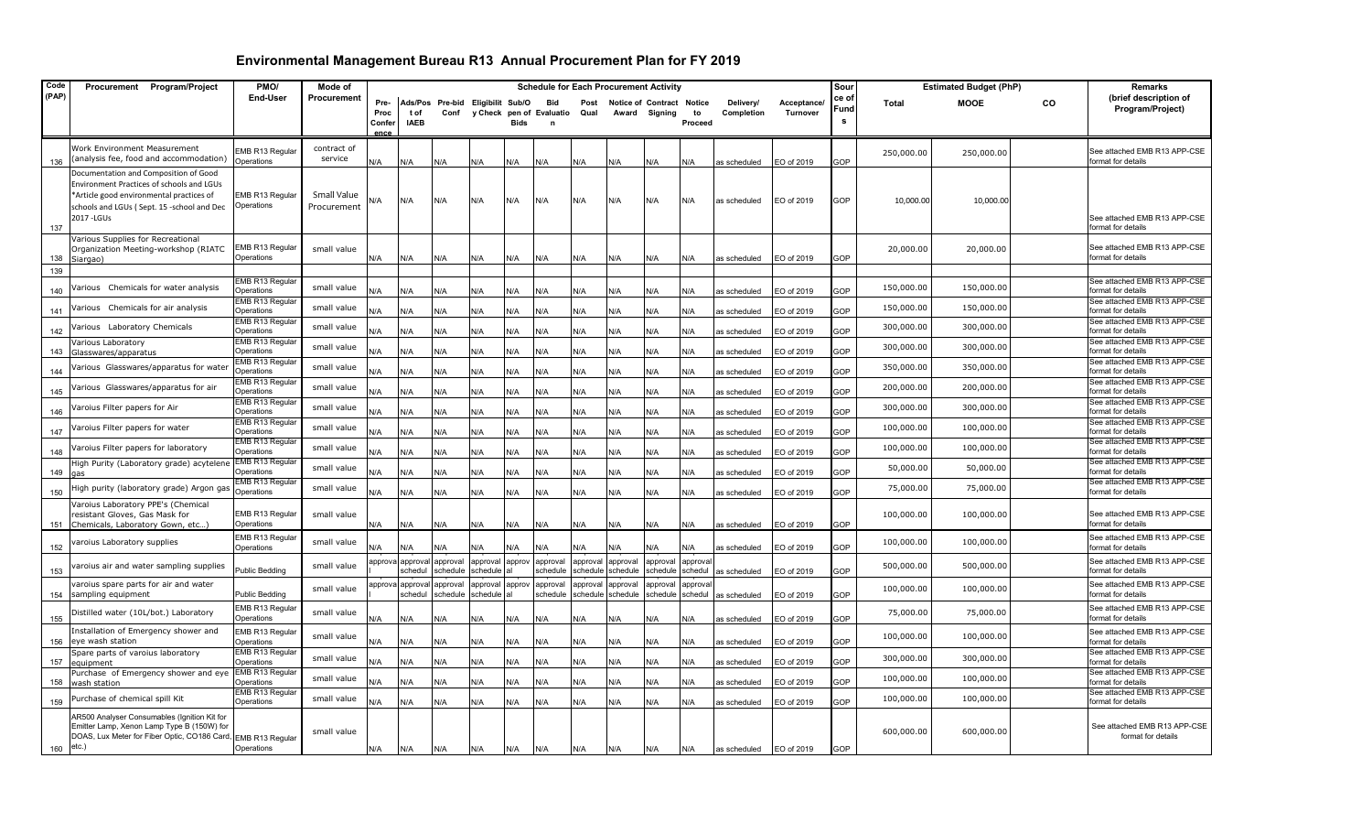| Code        | Procurement Program/Project                                                                                                                                                                 | PMO/                                 | Mode of                    |                                |                     |                      |                                  |             | <b>Schedule for Each Procurement Activity</b> |                               |                               |                                            |                     |                         |                                | Sour          |              | <b>Estimated Budget (PhP)</b> |    | Remarks                                            |
|-------------|---------------------------------------------------------------------------------------------------------------------------------------------------------------------------------------------|--------------------------------------|----------------------------|--------------------------------|---------------------|----------------------|----------------------------------|-------------|-----------------------------------------------|-------------------------------|-------------------------------|--------------------------------------------|---------------------|-------------------------|--------------------------------|---------------|--------------|-------------------------------|----|----------------------------------------------------|
| (PAP)       |                                                                                                                                                                                             | <b>End-User</b>                      | Procurement                | Pre-<br>Proc<br>Confer<br>ence | t of<br><b>IAEB</b> | Conf                 | Ads/Pos Pre-bid Eligibilit Sub/O | <b>Bids</b> | <b>Bid</b><br>y Check pen of Evaluatio        | Post<br>Qual                  |                               | Notice of Contract Notice<br>Award Signing | to<br>Proceed       | Delivery/<br>Completion | Acceptance/<br><b>Turnover</b> | ce ot<br>Fund | <b>Total</b> | <b>MOOE</b>                   | co | (brief description of<br>Program/Project)          |
| 136         | <b>Nork Environment Measurement</b><br>(analysis fee, food and accommodation)                                                                                                               | MB R13 Regular<br>Operations         | contract of<br>service     | N/A                            | N/A                 | N/A                  | N/A                              | N/A         | N/A                                           | N/A                           | N/A                           | N/A                                        | N/A                 | as scheduled            | EO of 2019                     | GOP           | 250,000.00   | 250,000.00                    |    | See attached EMB R13 APP-CSE<br>format for details |
| 137         | Documentation and Composition of Good<br>Environment Practices of schools and LGUs<br>*Article good environmental practices of<br>schools and LGUs (Sept. 15 -school and Dec<br>2017 - LGUs | EMB R13 Regular<br>Operations        | Small Value<br>Procurement | N/A                            | N/A                 | N/A                  | N/A                              | N/A         | N/A                                           | N/A                           | N/A                           | N/A                                        | N/A                 | as scheduled            | EO of 2019                     | GOP           | 10,000.00    | 10,000.00                     |    | See attached EMB R13 APP-CSE<br>format for details |
| 138         | Various Supplies for Recreational<br>Organization Meeting-workshop (RIATC<br>Siargao)                                                                                                       | EMB R13 Regular<br>Operations        | small value                | N/A                            | N/A                 | N/A                  | N/A                              | N/A         | N/A                                           | N/A                           | N/A                           | N/A                                        | N/A                 | as scheduled            | EO of 2019                     | GOP           | 20,000.00    | 20,000.00                     |    | See attached EMB R13 APP-CSE<br>format for details |
| 139<br>140  | /arious Chemicals for water analysis                                                                                                                                                        | EMB R13 Regular<br>Operations        | small value                | N/A                            | N/A                 | N/A                  | N/A                              | N/A         | N/A                                           | N/A                           | N/A                           | N/A                                        | N/A                 | as scheduled            | EO of 2019                     | GOP           | 150,000.00   | 150,000.00                    |    | See attached EMB R13 APP-CSE<br>format for details |
| 141         | /arious Chemicals for air analysis                                                                                                                                                          | EMB R13 Regular<br>Operations        | small value                | N/A                            | N/A                 | N/A                  | N/A                              | N/A         | ۷A                                            | N/A                           | N/A                           | ۷/A                                        | N/A                 | as scheduled            | EO of 2019                     | GOP           | 150,000.00   | 150,000.00                    |    | See attached EMB R13 APP-CSE<br>format for details |
| 142         | /arious Laboratory Chemicals                                                                                                                                                                | EMB R13 Regular<br>Operations        | small value                | N/A                            | N/A                 | N/A                  | N/A                              | N/A         | N/A                                           | N/A                           | N/A                           | N/A                                        | N/A                 | as scheduled            | EO of 2019                     | GOP           | 300,000.00   | 300,000.00                    |    | See attached EMB R13 APP-CSE<br>format for details |
| 143         | arious Laboratory<br>Glasswares/apparatus                                                                                                                                                   | EMB R13 Regular<br>Operations        | small value                | N/A                            | N/A                 | N/A                  | N/A                              | N/A         | N/A                                           | N/A                           | N/A                           | N/A                                        | N/A                 | as scheduled            | EO of 2019                     | GOP           | 300,000.00   | 300,000.00                    |    | See attached EMB R13 APP-CSE<br>format for details |
| 144         | /arious Glasswares/apparatus for water                                                                                                                                                      | EMB R13 Regular<br>Operations        | small value                | N/A                            | N/A                 | N/A                  | N/A                              | N/A         | N/A                                           | N/A                           | N/A                           | N/A                                        | N/A                 | as scheduled            | EO of 2019                     | GOP           | 350,000.00   | 350,000.00                    |    | See attached EMB R13 APP-CSE<br>format for details |
| 145         | 'arious Glasswares/apparatus for air                                                                                                                                                        | EMB R13 Regular<br>Operations        | small value                | N/A                            | N/A                 | N/A                  | N/A                              | N/A         | N/A                                           | N/A                           | N/A                           | <b>N/A</b>                                 | N/A                 | as scheduled            | EO of 2019                     | GOP           | 200,000.00   | 200,000.00                    |    | See attached EMB R13 APP-CSE<br>format for details |
| 146         | aroius Filter papers for Air                                                                                                                                                                | <b>EMB R13 Regular</b><br>Operations | small value                | N/A                            | N/A                 | N/A                  | N/A                              | N/A         | N/A                                           | N/A                           | N/A                           | ۷/A                                        | N/A                 | as scheduled            | EO of 2019                     | GOP           | 300,000.00   | 300,000.00                    |    | See attached EMB R13 APP-CSE<br>format for details |
| 147         | /aroius Filter papers for water                                                                                                                                                             | EMB R13 Regulai<br>Operations        | small value                | N/A                            | N/A                 | N/A                  | N/A                              | N/A         | N/A                                           | N/A                           | N/A                           | N/A                                        | N/A                 | as scheduled            | EO of 2019                     | GOP           | 100,000.00   | 100,000.00                    |    | See attached EMB R13 APP-CSE<br>format for details |
| 148         | /aroius Filter papers for laboratory                                                                                                                                                        | EMB R13 Regular<br>Operations        | small value                | N/A                            | N/A                 | N/A                  | N/A                              | N/A         | N/A                                           | N/A                           | N/A                           | N/A                                        | N/A                 | as scheduled            | EO of 2019                     | GOP           | 100,000.00   | 100,000.00                    |    | See attached EMB R13 APP-CSE<br>format for details |
| 149         | High Purity (Laboratory grade) acytelene<br>qas                                                                                                                                             | EMB R13 Regular<br>Operations        | small value                | N/A                            | N/A                 | N/A                  | N/A                              | N/A         | N/A                                           | N/A                           | N/A                           | N/A                                        | N/A                 | as scheduled            | EO of 2019                     | GOP           | 50,000.00    | 50,000.00                     |    | See attached EMB R13 APP-CSE<br>format for details |
| 150         | ligh purity (laboratory grade) Argon gas                                                                                                                                                    | EMB R13 Regular<br>Operations        | small value                | N/A                            | N/A                 | N/A                  | N/A                              | N/A         | N/A                                           | N/A                           | N/A                           | N/A                                        | N/A                 | as scheduled            | EO of 2019                     | GOP           | 75,000.00    | 75,000.00                     |    | See attached EMB R13 APP-CSE<br>format for details |
| 151         | <b>Jaroius Laboratory PPE's (Chemical</b><br>resistant Gloves, Gas Mask for<br>Chemicals, Laboratory Gown, etc                                                                              | EMB R13 Regular<br>Operations        | small value                | N/A                            | N/A                 | N/A                  | N/A                              | N/A         | N/A                                           | N/A                           | N/A                           | N/A                                        | N/A                 | as scheduled            | EO of 2019                     | GOP           | 100,000.00   | 100,000.00                    |    | See attached EMB R13 APP-CSE<br>format for details |
| 152         | aroius Laboratory supplies                                                                                                                                                                  | EMB R13 Regular<br>Operations        | small value                | N/A                            | N/A                 | N/A                  | N/A                              | N/A         | N/A                                           | N/A                           | N/A                           | N/A                                        | N/A                 | as scheduled            | EO of 2019                     | GOP           | 100,000.00   | 100,000.00                    |    | See attached EMB R13 APP-CSE<br>format for details |
| 153         | aroius air and water sampling supplies                                                                                                                                                      | Public Bedding                       | small value                | approv                         | approval<br>schedul | approval<br>schedule | approval<br>schedule             | approv      | approval<br>schedule                          | approval                      | approval<br>schedule schedule | approval<br>schedule                       | approval<br>schedul | as scheduled            | EO of 2019                     | GOP           | 500,000.00   | 500,000.00                    |    | See attached EMB R13 APP-CSE<br>format for details |
| 154         | varoius spare parts for air and water<br>sampling equipment                                                                                                                                 | <b>Public Bedding</b>                | small value                | approv                         | approv<br>schedul   | approval<br>schedule | approval<br>schedule             | approv      | approval<br>schedule                          | approval<br>schedule schedule | approval                      | approval<br>schedule                       | approval<br>schedul | as scheduled            | EO of 2019                     | GOP           | 100,000.00   | 100,000.00                    |    | See attached EMB R13 APP-CSE<br>format for details |
| 155         | Distilled water (10L/bot.) Laboratory                                                                                                                                                       | EMB R13 Regular<br>Operations        | small value                | N/A                            | N/A                 | N/A                  | N/A                              | N/A         | N/A                                           | N/A                           | N/A                           | N/A                                        | N/A                 | as scheduled            | EO of 2019                     | GOP           | 75,000.00    | 75,000.00                     |    | See attached EMB R13 APP-CSE<br>format for details |
| 156         | nstallation of Emergency shower and<br>eye wash station                                                                                                                                     | EMB R13 Regular<br>Operations        | small value                | N/A                            | N/A                 | N/A                  | N/A                              | N/A         | N/A                                           | N/A                           | N/A                           | N/A                                        | N/A                 | as scheduled            | EO of 2019                     | GOP           | 100,000.00   | 100,000.00                    |    | See attached EMB R13 APP-CSE<br>format for details |
| 157         | Spare parts of varoius laboratory<br>equipment                                                                                                                                              | EMB R13 Regular<br>Operations        | small value                | N/A                            | N/A                 | N/A                  | N/A                              | N/A         | N/A                                           | N/A                           | N/A                           | N/A                                        | N/A                 | as scheduled            | EO of 2019                     | GOP           | 300,000.00   | 300,000.00                    |    | See attached EMB R13 APP-CSE<br>format for details |
|             | Purchase of Emergency shower and eye<br>158 wash station                                                                                                                                    | EMB R13 Regular<br>Operations        | small value                | N/A                            | N/A                 | N/A                  | N/A                              | N/A         | N/A                                           | N/A                           | N/A                           | N/A                                        | N/A                 | as scheduled            | EO of 2019                     | GOP           | 100,000.00   | 100,000.00                    |    | See attached EMB R13 APP-CSE<br>format for details |
| 159         | Purchase of chemical spill Kit                                                                                                                                                              | EMB R13 Regular<br>Operations        | small value                | N/A                            | N/A                 | N/A                  | N/A                              | N/A         | N/A                                           | N/A                           | N/A                           | N/A                                        | N/A                 | as scheduled            | EO of 2019                     | GOP           | 100,000.00   | 100,000.00                    |    | See attached EMB R13 APP-CSE<br>format for details |
| $160$ etc.) | AR500 Analyser Consumables (Ignition Kit for<br>Emitter Lamp, Xenon Lamp Type B (150W) for<br>DOAS, Lux Meter for Fiber Optic, CO186 Card,                                                  | EMB R13 Regular<br>Operations        | small value                | N/A                            | N/A                 | N/A                  | N/A                              | N/A         | N/A                                           | N/A                           | N/A                           | N/A                                        | N/A                 | as scheduled            | EO of 2019                     | GOP           | 600,000.00   | 600,000.00                    |    | See attached EMB R13 APP-CSE<br>format for details |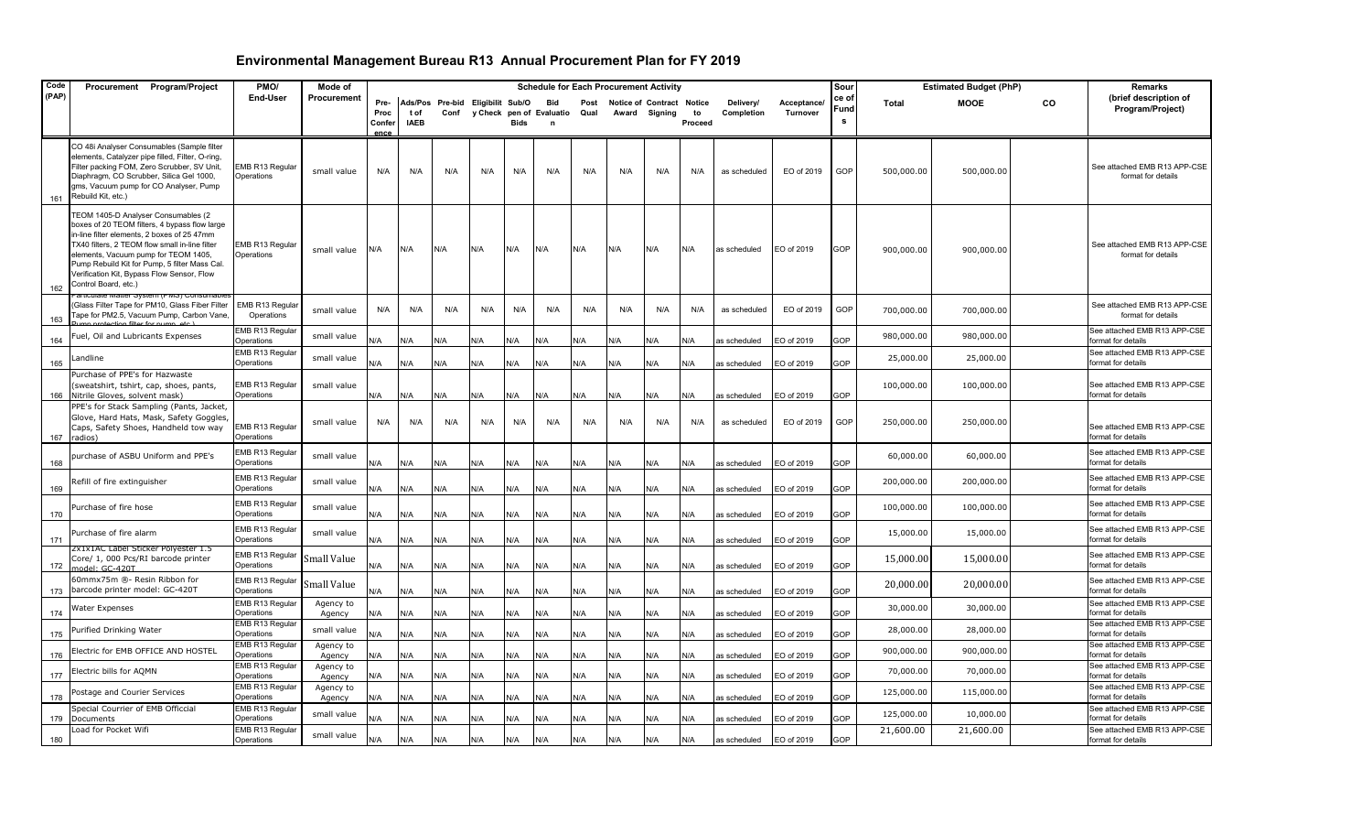| Code  | Procurement Program/Project                                                                                                                                                                                                                                                                                                                          | PMO/                          | Mode of             |                                |                     |      |                                  |             | <b>Schedule for Each Procurement Activity</b> |              |     |                                            |               |                         |                         | Sour               |              | <b>Estimated Budget (PhP)</b> |    | Remarks                                            |
|-------|------------------------------------------------------------------------------------------------------------------------------------------------------------------------------------------------------------------------------------------------------------------------------------------------------------------------------------------------------|-------------------------------|---------------------|--------------------------------|---------------------|------|----------------------------------|-------------|-----------------------------------------------|--------------|-----|--------------------------------------------|---------------|-------------------------|-------------------------|--------------------|--------------|-------------------------------|----|----------------------------------------------------|
| (PAP) |                                                                                                                                                                                                                                                                                                                                                      | End-User                      | Procurement         | Pre-<br>Proc<br>Confer<br>ence | t of<br><b>IAEB</b> | Conf | Ads/Pos Pre-bid Eligibilit Sub/O | <b>Bids</b> | <b>Bid</b><br>y Check pen of Evaluatio<br>n   | Post<br>Qual |     | Notice of Contract Notice<br>Award Signing | to<br>Proceed | Delivery/<br>Completion | Acceptance/<br>Turnover | ce of<br>Fund<br>s | <b>Total</b> | <b>MOOE</b>                   | CO | (brief description of<br>Program/Project)          |
| 161   | CO 48i Analyser Consumables (Sample filter<br>elements, Catalyzer pipe filled, Filter, O-ring,<br>Filter packing FOM, Zero Scrubber, SV Unit,<br>Diaphragm, CO Scrubber, Silica Gel 1000,<br>gms, Vacuum pump for CO Analyser, Pump<br>Rebuild Kit, etc.)                                                                                            | EMB R13 Regular<br>Operations | small value         | N/A                            | N/A                 | N/A  | N/A                              | N/A         | N/A                                           | N/A          | N/A | N/A                                        | N/A           | as scheduled            | EO of 2019              | GOP                | 500,000.00   | 500,000.00                    |    | See attached EMB R13 APP-CSE<br>format for details |
| 162   | TEOM 1405-D Analyser Consumables (2<br>boxes of 20 TEOM filters, 4 bypass flow large<br>in-line filter elements, 2 boxes of 25 47mm<br>TX40 filters, 2 TEOM flow small in-line filter<br>elements, Vacuum pump for TEOM 1405,<br>Pump Rebuild Kit for Pump, 5 filter Mass Cal.<br>Verification Kit, Bypass Flow Sensor, Flow<br>Control Board, etc.) | EMB R13 Regular<br>Operations | small value         | N/A                            | N/A                 | N/A  | N/A                              | N/A         | N/A                                           | N/A          | N/A | N/A                                        | N/A           | as scheduled            | EO of 2019              | GOP                | 900,000.00   | 900,000.00                    |    | See attached EMB R13 APP-CSE<br>format for details |
| 163   | Glass Filter Tape for PM10, Glass Fiber Filter<br>Tape for PM2.5, Vacuum Pump, Carbon Vane,                                                                                                                                                                                                                                                          | EMB R13 Regular<br>Operations | small value         | N/A                            | N/A                 | N/A  | N/A                              | N/A         | N/A                                           | N/A          | N/A | N/A                                        | N/A           | as scheduled            | EO of 2019              | GOP                | 700,000.00   | 700,000.00                    |    | See attached EMB R13 APP-CSE<br>format for details |
| 164   | Fuel, Oil and Lubricants Expenses                                                                                                                                                                                                                                                                                                                    | EMB R13 Regular<br>Operations | small value         | ۷/A                            | N/A                 | ۷/A  | N/A                              | N/A         | N/A                                           | N/A          | N/A | N/A                                        | N/A           | as scheduled            | O of 2019               | GOP                | 980,000.00   | 980,000.00                    |    | See attached EMB R13 APP-CSE<br>format for details |
| 165   | Landline                                                                                                                                                                                                                                                                                                                                             | EMB R13 Regula<br>Operations  | small value         | N/A                            | N/A                 | N/A  | N/A                              | N/A         | N/A                                           | N/A          | N/A | N/A                                        | N/A           | as scheduled            | O of 2019               | GOP                | 25,000.00    | 25,000.00                     |    | See attached EMB R13 APP-CSE<br>format for details |
|       | Purchase of PPE's for Hazwaste<br>(sweatshirt, tshirt, cap, shoes, pants,<br>166 Nitrile Gloves, solvent mask)                                                                                                                                                                                                                                       | EMB R13 Regular<br>Operations | small value         | N/A                            | N/A                 | N/A  | N/A                              | N/A         | N/A                                           | N/A          | N/A | N/A                                        | N/A           | as scheduled            | O of 2019               | GOP                | 100,000.00   | 100,000.00                    |    | See attached EMB R13 APP-CSE<br>format for details |
|       | PPE's for Stack Sampling (Pants, Jacket,<br>Glove, Hard Hats, Mask, Safety Goggles,<br>Caps, Safety Shoes, Handheld tow way<br>167 radios)                                                                                                                                                                                                           | EMB R13 Regular<br>Operations | small value         | N/A                            | N/A                 | N/A  | N/A                              | N/A         | N/A                                           | N/A          | N/A | N/A                                        | N/A           | as scheduled            | EO of 2019              | GOP                | 250,000.00   | 250,000.00                    |    | See attached EMB R13 APP-CSE<br>format for details |
| 168   | purchase of ASBU Uniform and PPE's                                                                                                                                                                                                                                                                                                                   | EMB R13 Regular<br>Operations | small value         | N/A                            | N/A                 | N/A  | N/A                              | N/A         | N/A                                           | N/A          | N/A | N/A                                        | N/A           | as scheduled            | EO of 2019              | GOP                | 60,000.00    | 60,000.00                     |    | See attached EMB R13 APP-CSE<br>format for details |
| 169   | Refill of fire extinguisher                                                                                                                                                                                                                                                                                                                          | EMB R13 Regular<br>Operations | small value         | N/A                            | N/A                 | N/A  | N/A                              | N/A         | N/A                                           | N/A          | N/A | N/A                                        | N/A           | as scheduled            | O of 2019               | GOP                | 200,000.00   | 200,000.00                    |    | See attached EMB R13 APP-CSE<br>format for details |
| 170   | Purchase of fire hose                                                                                                                                                                                                                                                                                                                                | EMB R13 Regular<br>Operations | small value         | N/A                            | N/A                 | N/A  | N/A                              | N/A         | N/A                                           | N/A          | N/A | N/A                                        | N/A           | as scheduled            | EO of 2019              | GOP                | 100,000.00   | 100,000.00                    |    | See attached EMB R13 APP-CSE<br>format for details |
| 171   | Purchase of fire alarm                                                                                                                                                                                                                                                                                                                               | EMB R13 Regular<br>Operations | small value         | N/A                            | N/A                 | N/A  | N/A                              | N/A         | N/A                                           | N/A          | N/A | N/A                                        | N/A           | as scheduled            | EO of 2019              | GOP                | 15,000.00    | 15,000.00                     |    | See attached EMB R13 APP-CSE<br>format for details |
| 172   | 2x1x1AC Label Sticker Polyester 1.5<br>Core/ 1, 000 Pcs/RI barcode printer<br>model: GC-420T                                                                                                                                                                                                                                                         | EMB R13 Regular<br>Operations | Small Value         | N/A                            | N/A                 | N/A  | N/A                              | N/A         | N/A                                           | N/A          | N/A | N/A                                        | N/A           | as scheduled            | EO of 2019              | GOP                | 15,000.00    | 15,000.00                     |    | See attached EMB R13 APP-CSE<br>format for details |
| 173   | 60mmx75m ®- Resin Ribbon for<br>barcode printer model: GC-420T                                                                                                                                                                                                                                                                                       | EMB R13 Regular<br>Operations | Small Value         | N/A                            | N/A                 | N/A  | N/A                              | N/A         | N/A                                           | N/A          | N/A | N/A                                        | N/A           | as scheduled            | O of 2019               | GOP                | 20,000.00    | 20,000.00                     |    | See attached EMB R13 APP-CSE<br>format for details |
| 174   | Nater Expenses                                                                                                                                                                                                                                                                                                                                       | EMB R13 Regular<br>Operations | Agency to<br>Agency | N/A                            | N/A                 | N/A  | N/A                              | N/A         | N/A                                           | N/A          | N/A | N/A                                        | N/A           | as scheduled            | O of 2019               | <b>GOP</b>         | 30,000.00    | 30,000.00                     |    | See attached EMB R13 APP-CSE<br>format for details |
| 175   | Purified Drinking Water                                                                                                                                                                                                                                                                                                                              | EMB R13 Regular<br>Operations | small value         | N/A                            | N/A                 | N/A  | N/A                              | N/A         | N/A                                           | N/A          | N/A | N/A                                        | N/A           | as scheduled            | O of 2019               | GOP                | 28,000.00    | 28,000.00                     |    | See attached EMB R13 APP-CSE<br>format for details |
| 176   | lectric for EMB OFFICE AND HOSTEL                                                                                                                                                                                                                                                                                                                    | EMB R13 Regular<br>Operations | Agency to<br>Agency | N/A                            | N/A                 | N/A  | N/A                              | N/A         | N/A                                           | N/A          | N/A | N/A                                        | N/A           | as scheduled            | EO of 2019              | GOP                | 900,000.00   | 900,000.00                    |    | See attached EMB R13 APP-CSE<br>format for details |
| 177   | Electric bills for AQMN                                                                                                                                                                                                                                                                                                                              | EMB R13 Regular<br>Operations | Agency to<br>Agency | N/A                            | N/A                 | N/A  | N/A                              | N/A         | N/A                                           | N/A          | N/A | N/A                                        | N/A           | as scheduled            | O of 2019               | <b>GOP</b>         | 70,000.00    | 70,000.00                     |    | See attached EMB R13 APP-CSE<br>format for details |
| 178   | Postage and Courier Services                                                                                                                                                                                                                                                                                                                         | EMB R13 Regular<br>Operations | Agency to<br>Agency | N/A                            | N/A                 | N/A  | N/A                              | N/A         | N/A                                           | N/A          | N/A | N/A                                        | N/A           | as scheduled            | EO of 2019              | GOP                | 125,000.00   | 115,000.00                    |    | See attached EMB R13 APP-CSE<br>format for details |
| 179   | Special Courrier of EMB Officcial<br>Documents                                                                                                                                                                                                                                                                                                       | EMB R13 Regular<br>Operations | small value         | <b>J/A</b>                     | N/A                 | N/A  | N/A                              | N/A         | N/A                                           | N/A          | N/A | N/A                                        | N/A           | as scheduled            | O of 2019               | GOP                | 125,000.00   | 10,000.00                     |    | See attached EMB R13 APP-CSE<br>format for details |
| 180   | Load for Pocket Wifi                                                                                                                                                                                                                                                                                                                                 | EMB R13 Regular<br>Operations | small value         | N/A                            | N/A                 | N/A  | N/A                              | N/A         | N/A                                           | N/A          | N/A | N/A                                        | N/A           | as scheduled            | EO of 2019              | GOP                | 21,600.00    | 21,600.00                     |    | See attached EMB R13 APP-CSE<br>format for details |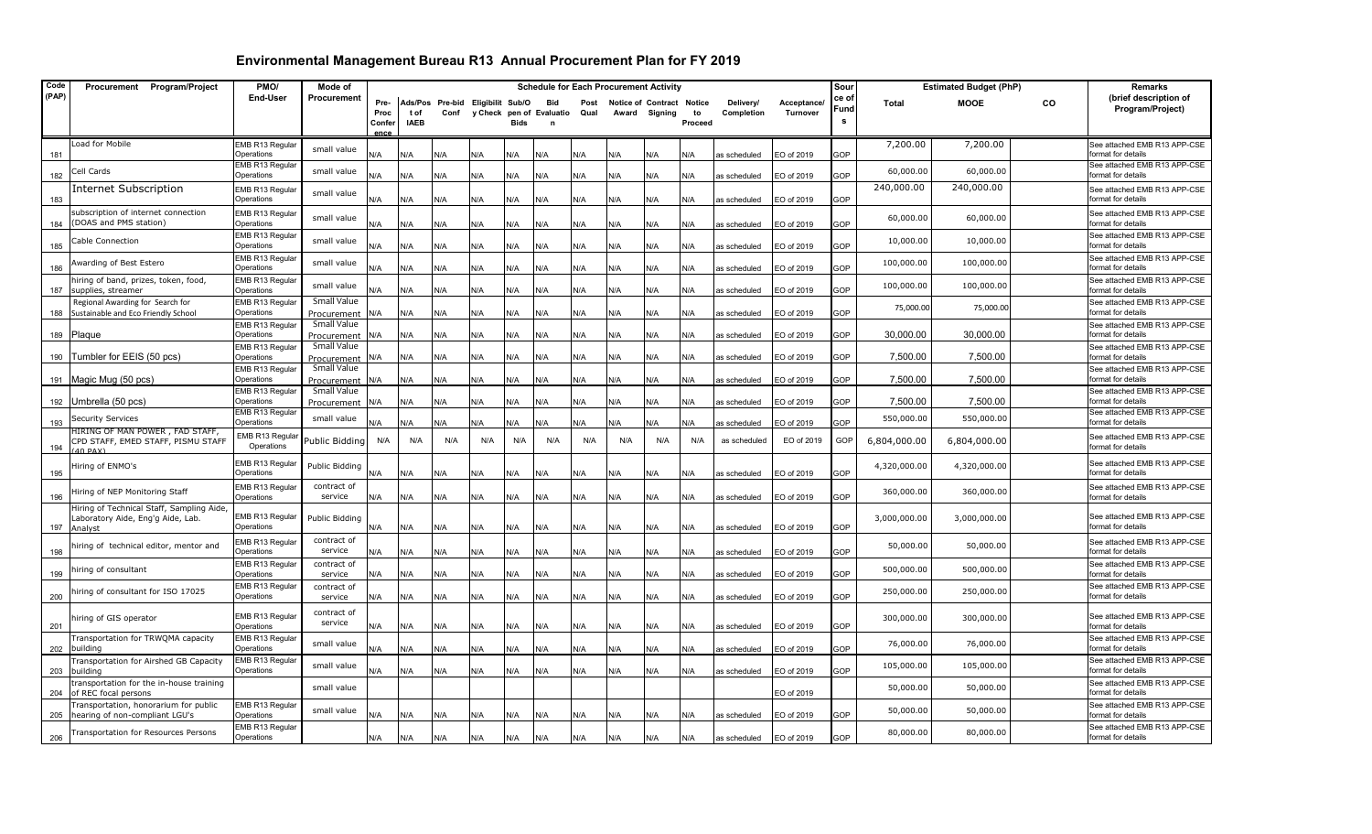| Code  | Procurement Program/Project                                                               | PMO/                          | Mode of                        |                |                     |                                  |     |             | <b>Schedule for Each Procurement Activity</b> |      |                           |               |               |              |                 | Sour       |              | <b>Estimated Budget (PhP)</b> |    | Remarks                                            |
|-------|-------------------------------------------------------------------------------------------|-------------------------------|--------------------------------|----------------|---------------------|----------------------------------|-----|-------------|-----------------------------------------------|------|---------------------------|---------------|---------------|--------------|-----------------|------------|--------------|-------------------------------|----|----------------------------------------------------|
| (PAP) |                                                                                           | End-User                      | Procurement                    | Pre-           |                     | Ads/Pos Pre-bid Eligibilit Sub/O |     |             | Bid                                           | Post | Notice of Contract Notice |               |               | Delivery/    | Acceptance/     | ce of      | <b>Total</b> | <b>MOOE</b>                   | CO | (brief description of                              |
|       |                                                                                           |                               |                                | Proc           | t of<br><b>IAEB</b> | Conf                             |     | <b>Bids</b> | y Check pen of Evaluatio                      | Qual |                           | Award Signing | to<br>Proceed | Completion   | <b>Turnover</b> | Fund       |              |                               |    | Program/Project)                                   |
|       |                                                                                           |                               |                                | Confer<br>ence |                     |                                  |     |             |                                               |      |                           |               |               |              |                 |            |              |                               |    |                                                    |
| 181   | Load for Mobile                                                                           | EMB R13 Regular<br>Operations | small value                    | N/A            | ۷A                  | N/A                              | N/A | N/A         | N/A                                           | N/A  | N/A                       | N/A           | N/A           | as scheduled | O of 2019       | GOP        | 7,200.00     | 7,200.00                      |    | See attached EMB R13 APP-CSE<br>format for details |
| 182   | Cell Cards                                                                                | EMB R13 Regular<br>Operations | small value                    | N/A            | N/A                 | ۷/A                              | N/A | N/A         | N/A                                           | N/A  | N/A                       | N/A           | N/A           | as scheduled | EO of 2019      | <b>GOP</b> | 60,000.00    | 60,000.00                     |    | See attached EMB R13 APP-CSE<br>format for details |
|       | <b>Internet Subscription</b>                                                              | EMB R13 Regular               | small value                    |                |                     |                                  |     |             |                                               |      |                           |               |               |              |                 |            | 240,000.00   | 240,000.00                    |    | See attached EMB R13 APP-CSE                       |
| 183   | subscription of internet connection<br>(DOAS and PMS station)                             | Operations<br>EMB R13 Regular | small value                    | N/A            | N/A                 | N/A                              | N/A | N/A         | N/A                                           | N/A  | N/A                       | N/A           | N/A           | as scheduled | EO of 2019      | GOP        | 60,000.00    | 60,000.00                     |    | format for details<br>See attached EMB R13 APP-CSE |
| 184   | Cable Connection                                                                          | Operations<br>EMB R13 Regular | small value                    | N/A            | N/A                 | ۷/A                              | N/A | N/A         | N/A                                           | N/A  | <b>N/A</b>                | N/A           | N/A           | is scheduled | EO of 2019      | <b>GOP</b> | 10,000.00    | 10,000.00                     |    | format for details<br>See attached EMB R13 APP-CSE |
| 185   | Awarding of Best Estero                                                                   | Operations<br>EMB R13 Regular | small value                    | <b>A</b>       | N/A                 | N/A                              | N/A | N/A         | N/A                                           | N/A  | N/A                       | N/A           | N/A           | as scheduled | EO of 2019      | <b>GOP</b> | 100,000.00   | 100,000.00                    |    | ormat for details<br>See attached EMB R13 APP-CSE  |
| 186   | niring of band, prizes, token, food,                                                      | Operations<br>EMB R13 Regular | small value                    | <b>N/A</b>     | <b>V/A</b>          | ۷/A                              | N/A | N/A         | N/A                                           | N/A  | ۷/A                       | N/A           | N/A           | is scheduled | EO of 2019      | <b>GOP</b> | 100,000.00   | 100,000.00                    |    | format for details<br>See attached EMB R13 APP-CSE |
| 187   | supplies, streamer                                                                        | Operations                    |                                | N/A            | N/A                 | N/A                              | N/A | N/A         | N/A                                           | N/A  | N/A                       | N/A           | N/A           | s scheduled  | EO of 2019      | <b>GOP</b> |              |                               |    | ormat for details                                  |
| 188   | Regional Awarding for Search for<br>Sustainable and Eco Friendly School                   | EMB R13 Regular<br>Operations | Small Value                    | N/A            | N/A                 | N/A                              | N/A | N/A         | N/A                                           | N/A  | <b>N/A</b>                | N/A           | N/A           | s scheduled  | EO of 2019      | 3OP        | 75,000.00    | 75,000.00                     |    | See attached EMB R13 APP-CSE<br>format for details |
|       |                                                                                           | EMB R13 Regular               | Procurement<br>Small Value     |                |                     |                                  |     |             |                                               |      |                           |               |               |              |                 |            |              |                               |    | See attached EMB R13 APP-CSE                       |
| 189   | Plaque                                                                                    | Operations                    | Procurement                    | N/A            | N/A                 | N/A                              | N/A | N/A         | N/A                                           | N/A  | N/A                       | N/A           | N/A           | as scheduled | O of 2019       | GOP        | 30,000.00    | 30,000.00                     |    | format for details                                 |
| 190   | Tumbler for EEIS (50 pcs)                                                                 | EMB R13 Regular<br>Operations | Small Value<br>Procurement     | N/A            | N/A                 | <b>N/A</b>                       | N/A | N/A         | N/A                                           | N/A  | N/A                       | N/A           | N/A           | is scheduled | EO of 2019      | <b>GOP</b> | 7,500.00     | 7,500.00                      |    | See attached EMB R13 APP-CSE<br>format for details |
| 191   | Magic Mug (50 pcs)                                                                        | EMB R13 Regular<br>Operations | Small Value<br>Procurement     | N/A            | N/A                 | N/A                              | N/A | N/A         | N/A                                           | N/A  | N/A                       | N/A           | N/A           | as scheduled | EO of 2019      | GOP        | 7,500.00     | 7,500.00                      |    | See attached EMB R13 APP-CSE<br>format for details |
| 192   | Umbrella (50 pcs)                                                                         | EMB R13 Regular<br>Operations | Small Value<br>Procurement N/A |                | N/A                 | <b>N/A</b>                       | N/A | N/A         | N/A                                           | N/A  | <b>N/A</b>                | N/A           | N/A           | as scheduled | EO of 2019      | <b>GOP</b> | 7,500.00     | 7,500.00                      |    | See attached EMB R13 APP-CSE<br>format for details |
| 193   | Security Services                                                                         | EMB R13 Regular<br>Operations | small value                    | N/A            | N/A                 | <b>N/A</b>                       | N/A | N/A         | N/A                                           | N/A  | N/A                       | N/A           | N/A           | as scheduled | EO of 2019      | GOP        | 550,000.00   | 550,000.00                    |    | See attached EMB R13 APP-CSE<br>format for details |
| 194   | HIRING OF MAN POWER , FAD STAFF,<br>CPD STAFF, EMED STAFF, PISMU STAFF<br>40 PAX)         | EMB R13 Regular<br>Operations | Public Bidding                 | N/A            | N/A                 | N/A                              | N/A | N/A         | N/A                                           | N/A  | N/A                       | N/A           | N/A           | as scheduled | EO of 2019      | GOP        | 6,804,000.00 | 6,804,000.00                  |    | See attached EMB R13 APP-CSE<br>format for details |
| 195   | liring of ENMO's                                                                          | EMB R13 Regular<br>Operations | Public Bidding                 | ۷/A            | ۷A                  | ۷/A                              | N/A | N/A         | N/A                                           | ۷/A  | ۷/A                       | N/A           | N/A           | as scheduled | EO of 2019      | GOP        | 4,320,000.00 | 4,320,000.00                  |    | See attached EMB R13 APP-CSE<br>format for details |
| 196   | liring of NEP Monitoring Staff                                                            | EMB R13 Regular<br>Operations | contract of<br>service         | N/A            | N/A                 | N/A                              | N/A | N/A         | N/A                                           | N/A  | N/A                       | N/A           | N/A           | as scheduled | EO of 2019      | GOP        | 360,000.00   | 360,000.00                    |    | See attached EMB R13 APP-CSE<br>format for details |
| 197   | Hiring of Technical Staff, Sampling Aide,<br>Laboratory Aide, Eng'g Aide, Lab.<br>Analyst | EMB R13 Regular<br>Operations | Public Bidding                 | N/A            | N/A                 | N/A                              | N/A | N/A         | N/A                                           | N/A  | N/A                       | N/A           | N/A           | as scheduled | EO of 2019      | GOP        | 3,000,000.00 | 3,000,000.00                  |    | See attached EMB R13 APP-CSE<br>format for details |
| 198   | niring of technical editor, mentor and                                                    | EMB R13 Regular<br>Operations | contract of<br>service         | N/A            | N/A                 | N/A                              | N/A | N/A         | N/A                                           | N/A  | N/A                       | N/A           | N/A           | as scheduled | EO of 2019      | GOP        | 50,000.00    | 50,000.00                     |    | See attached EMB R13 APP-CSE<br>format for details |
| 199   | niring of consultant                                                                      | EMB R13 Regular<br>Operations | contract of<br>service         | N/A            | N/A                 | N/A                              | N/A | N/A         | N/A                                           | N/A  | N/A                       | N/A           | N/A           | as scheduled | EO of 2019      | GOP        | 500,000.00   | 500,000.00                    |    | See attached EMB R13 APP-CSE<br>format for details |
| 200   | iring of consultant for ISO 17025                                                         | EMB R13 Regular<br>Operations | contract of<br>service         | N/A            | N/A                 | <b>N/A</b>                       | N/A | N/A         | N/A                                           | N/A  | N/A                       | N/A           | N/A           | as scheduled | EO of 2019      | GOP        | 250,000.00   | 250,000.00                    |    | See attached EMB R13 APP-CSE<br>format for details |
| 201   | hiring of GIS operator                                                                    | EMB R13 Regular<br>Operations | contract of<br>service         | N/A            | N/A                 | N/A                              | N/A | N/A         | N/A                                           | N/A  | N/A                       | N/A           | N/A           | as scheduled | EO of 2019      | GOP        | 300,000.00   | 300,000.00                    |    | See attached EMB R13 APP-CSE<br>format for details |
| 202   | Fransportation for TRWQMA capacity<br>building                                            | EMB R13 Regular<br>Operations | small value                    | N/A            | N/A                 | ۷/A                              | N/A | N/A         | N/A                                           | N/A  | N/A                       | N/A           | N/A           | as scheduled | O of 2019       | GOP        | 76,000.00    | 76,000.00                     |    | See attached EMB R13 APP-CSE<br>format for details |
| 203   | Fransportation for Airshed GB Capacity<br>building                                        | EMB R13 Regular<br>Operations | small value                    | N/A            | N/A                 | N/A                              | N/A | N/A         | N/A                                           | N/A  | N/A                       | N/A           | N/A           | as scheduled | EO of 2019      | GOP        | 105,000.00   | 105,000.00                    |    | See attached EMB R13 APP-CSE<br>format for details |
| 204   | transportation for the in-house training<br>of REC focal persons                          |                               | small value                    |                |                     |                                  |     |             |                                               |      |                           |               |               |              | EO of 2019      |            | 50,000.00    | 50,000.00                     |    | See attached EMB R13 APP-CSE<br>format for details |
| 205   | Fransportation, honorarium for public<br>hearing of non-compliant LGU's                   | EMB R13 Regular<br>Operations | small value                    | N/A            | N/A                 | N/A                              | N/A | N/A         | N/A                                           | N/A  | N/A                       | N/A           | N/A           | as scheduled | EO of 2019      | GOP        | 50,000.00    | 50,000.00                     |    | See attached EMB R13 APP-CSE<br>format for details |
| 206   | Transportation for Resources Persons                                                      | EMB R13 Regular<br>Operations |                                | N/A            | N/A                 | N/A                              | N/A | N/A         | N/A                                           | N/A  | N/A                       | N/A           | N/A           | as scheduled | EO of 2019      | GOP        | 80,000.00    | 80,000.00                     |    | See attached EMB R13 APP-CSE<br>format for details |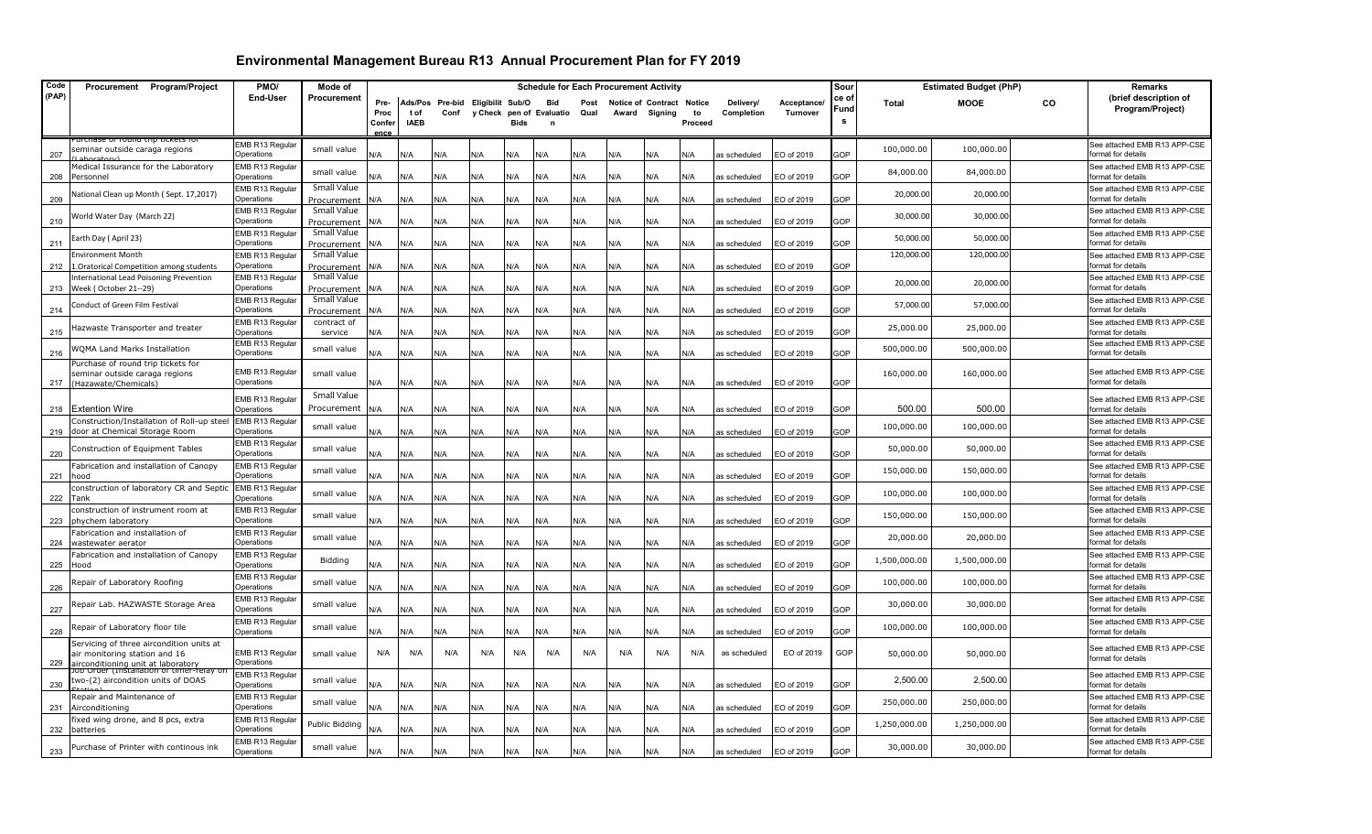| Code       | Procurement Program/Project                                                                                     | PMO/                          | Mode of                    |                               |                     |                                          |            |             |                                             |              | <b>Schedule for Each Procurement Activity</b> |               |               |                              |                          | Sour              |              | <b>Estimated Budget (PhP)</b> |           | Remarks                                            |
|------------|-----------------------------------------------------------------------------------------------------------------|-------------------------------|----------------------------|-------------------------------|---------------------|------------------------------------------|------------|-------------|---------------------------------------------|--------------|-----------------------------------------------|---------------|---------------|------------------------------|--------------------------|-------------------|--------------|-------------------------------|-----------|----------------------------------------------------|
| (PAP)      |                                                                                                                 | <b>End-User</b>               | Procurement                | Pre-<br>Proc<br>Confer<br>enc | t of<br><b>IAEB</b> | Ads/Pos Pre-bid Eligibilit Sub/O<br>Conf |            | <b>Bids</b> | <b>Bid</b><br>y Check pen of Evaluatio<br>n | Post<br>Qual | Notice of Contract Notice                     | Award Signing | to<br>Proceed | Delivery/<br>Completion      | Acceptance/<br>Turnover  | ce o<br>Fund<br>s | Total        | <b>MOOE</b>                   | <b>CO</b> | (brief description of<br>Program/Project)          |
|            | urchase of round trip tickets it                                                                                | EMB R13 Regular               |                            |                               |                     |                                          |            |             |                                             |              |                                               |               |               |                              |                          |                   | 100,000.00   | 100,000.00                    |           | See attached EMB R13 APP-CSE                       |
| 207        | seminar outside caraga regions                                                                                  | Operations                    | small value                | N/A                           | N/A                 | N/A                                      | N/A        | N/A         | N/A                                         | N/A          | N/A                                           | N/A           | N/A           | as scheduled                 | EO of 2019               | GOP               |              |                               |           | format for details                                 |
| 208        | Medical Issurance for the Laboratory<br>Personnel                                                               | EMB R13 Regular<br>Operations | small value                | N/A                           | N/A                 | N/A                                      | N/A        | N/A         | N/A                                         | N/A          | N/A                                           | N/A           | N/A           | as scheduled                 | EO of 2019               | GOP               | 84,000.00    | 84,000.00                     |           | See attached EMB R13 APP-CSE<br>format for details |
| 209        | lational Clean up Month (Sept. 17,2017)                                                                         | EMB R13 Regular<br>Operations | Small Value<br>Procurement | N/A                           | N/A                 | N/A                                      | N/A        | N/A         | N/A                                         | N/A          | N/A                                           | N/A           | N/A           | as scheduled                 | EO of 2019               | GOP               | 20,000.00    | 20,000.00                     |           | See attached EMB R13 APP-CSE<br>format for details |
| 210        | Vorld Water Day (March 22)                                                                                      | EMB R13 Regular<br>Operations | Small Value<br>Procurement | N/A                           | N/A                 | N/A                                      | N/A        | N/A         | N/A                                         | N/A          | N/A                                           | N/A           | N/A           | as scheduled                 | EO of 2019               | <b>GOP</b>        | 30,000.00    | 30,000.00                     |           | See attached EMB R13 APP-CSE<br>format for details |
| 211        | arth Day (April 23)                                                                                             | EMB R13 Regular<br>Operations | Small Value<br>Procurement | N/A                           | N/A                 | N/A                                      | N/A        | N/A         | N/A                                         | N/A          | N/A                                           | N/A           | N/A           | as scheduled                 | EO of 2019               | GOP               | 50,000.00    | 50,000.00                     |           | See attached EMB R13 APP-CSE<br>format for details |
|            | Environment Month                                                                                               | EMB R13 Regular               | Small Value                |                               |                     |                                          |            |             |                                             |              |                                               |               |               |                              |                          |                   | 120,000.00   | 120,000.00                    |           | See attached EMB R13 APP-CSE                       |
| 212        | 1. Oratorical Competition among students                                                                        | Operations                    | Procurement                | N/A                           | N/A                 | N/A                                      | N/A        | N/A         | N/A                                         | N/A          | N/A                                           | N/A           | N/A           | as scheduled                 | EO of 2019               | GOP               |              |                               |           | format for details                                 |
|            | nternational Lead Poisoning Prevention                                                                          | EMB R13 Regular               | Small Value                |                               |                     |                                          |            |             |                                             |              |                                               |               |               |                              |                          |                   | 20,000.00    | 20,000.00                     |           | See attached EMB R13 APP-CSE                       |
| 213        | Week (October 21--29)                                                                                           | Operations<br>EMB R13 Regular | Procurement<br>Small Value | N/A                           | N/A                 | N/A                                      | N/A        | N/A         | N/A                                         | N/A          | N/A                                           | N/A           | N/A           | is scheduled                 | EO of 2019               | <b>GOP</b>        |              |                               |           | format for details<br>See attached EMB R13 APP-CSE |
| 214        | Conduct of Green Film Festival                                                                                  | Operations                    | Procurement                | N/A                           | N/A                 | N/A                                      | N/A        | N/A         | N/A                                         | N/A          | N/A                                           | N/A           | N/A           | as scheduled                 | EO of 2019               | GOP               | 57,000.00    | 57,000.00                     |           | format for details                                 |
| 215        | lazwaste Transporter and treater                                                                                | EMB R13 Regular<br>Operations | contract of<br>service     | N/A                           | N/A                 | N/A                                      | N/A        | N/A         | N/A                                         | N/A          | N/A                                           | N/A           | N/A           | as scheduled                 | EO of 2019               | GOP               | 25,000.00    | 25,000.00                     |           | See attached EMB R13 APP-CSE<br>format for details |
| 216        | VQMA Land Marks Installation                                                                                    | EMB R13 Regular<br>Operations | small value                | ۷/A                           | N/A                 | N/A                                      | N/A        | N/A         | N/A                                         | N/A          | N/A                                           | N/A           | N/A           | as scheduled                 | EO of 2019               | GOP               | 500,000.00   | 500,000.00                    |           | See attached EMB R13 APP-CSE<br>format for details |
| 217        | Purchase of round trip tickets for<br>seminar outside caraga regions<br>Hazawate/Chemicals)                     | EMB R13 Regular<br>Operations | small value                | N/A                           | N/A                 | N/A                                      | N/A        | N/A         | N/A                                         | N/A          | N/A                                           | N/A           | N/A           | as scheduled                 | EO of 2019               | GOP               | 160,000.00   | 160,000.00                    |           | See attached EMB R13 APP-CSE<br>format for details |
|            |                                                                                                                 | EMB R13 Regular               | Small Value                |                               |                     |                                          |            |             |                                             |              |                                               |               |               |                              |                          |                   |              |                               |           | See attached EMB R13 APP-CSE                       |
| 218        | <b>Extention Wire</b>                                                                                           | Operations                    | Procurement                | N/A                           | N/A                 | N/A                                      | N/A        | N/A         | N/A                                         | N/A          | N/A                                           | N/A           | N/A           | as scheduled                 | EO of 2019               | GOP               | 500.00       | 500.00                        |           | format for details                                 |
|            | Construction/Installation of Roll-up steel<br>219 door at Chemical Storage Room                                 | EMB R13 Regular<br>Operations | small value                | N/A                           | N/A                 | N/A                                      | N/A        | N/A         | N/A                                         | N/A          | N/A                                           | N/A           | N/A           | as scheduled                 | EO of 2019               | GOP               | 100,000.00   | 100,000.00                    |           | See attached EMB R13 APP-CSE<br>format for details |
| 220        | Construction of Equipment Tables                                                                                | EMB R13 Regular<br>Operations | small value                | ۷A                            | N/A                 | N/A                                      | N/A        | N/A         | N/A                                         | N/A          | N/A                                           | N/A           | N/A           | as scheduled                 | EO of 2019               | GOP               | 50,000.00    | 50,000.00                     |           | See attached EMB R13 APP-CSE<br>format for details |
| 221        | Fabrication and installation of Canopy<br>hoor                                                                  | EMB R13 Regular<br>Operations | small value                | N/A                           | N/A                 | N/A                                      | N/A        | N/A         | N/A                                         | N/A          | N/A                                           | N/A           | N/A           | as scheduled                 | EO of 2019               | <b>GOP</b>        | 150,000.00   | 150,000.00                    |           | See attached EMB R13 APP-CSE<br>format for details |
| 222        | construction of laboratory CR and Septic<br>Tank                                                                | EMB R13 Regular<br>Operations | small value                | <b>J/A</b>                    | N/A                 | N/A                                      | N/A        | N/A         | N/A                                         | N/A          | N/A                                           | N/A           | N/A           | as scheduled                 | EO of 2019               | <b>GOP</b>        | 100,000.00   | 100,000.00                    |           | See attached EMB R13 APP-CSE<br>format for details |
| 223        | construction of instrument room at<br>ohychem laboratory                                                        | EMB R13 Regular<br>Operations | small value                | N/A                           | N/A                 | N/A                                      | N/A        | N/A         | N/A                                         | N/A          | N/A                                           | N/A           | N/A           | as scheduled                 | EO of 2019               | GOP               | 150,000.00   | 150,000.00                    |           | See attached EMB R13 APP-CSE<br>format for details |
| 224        | abrication and installation of<br>wastewater aerator                                                            | EMB R13 Regular<br>Operations | small value                | N/A                           | N/A                 | N/A                                      | N/A        | N/A         | N/A                                         | N/A          | N/A                                           | N/A           | N/A           | as scheduled                 | EO of 2019               | GOP               | 20,000.00    | 20,000.00                     |           | See attached EMB R13 APP-CSE<br>format for details |
|            | abrication and installation of Canopy<br>boot                                                                   | EMB R13 Regular<br>Operations | Bidding                    | N/A                           | N/A                 |                                          |            | N/A         |                                             | N/A          |                                               | N/A           | N/A           |                              | EO of 2019               | GOP               | 1,500,000.00 | 1,500,000.00                  |           | See attached EMB R13 APP-CSE<br>format for details |
| 225<br>226 | Repair of Laboratory Roofing                                                                                    | EMB R13 Regular<br>Operations | small value                | N/A                           | N/A                 | N/A<br>N/A                               | N/A        | N/A         | N/A<br>N/A                                  | N/A          | N/A<br>N/A                                    | N/A           | N/A           | as scheduled                 | EO of 2019               | <b>GOP</b>        | 100,000.00   | 100,000.00                    |           | See attached EMB R13 APP-CSE<br>format for details |
| 227        | Repair Lab. HAZWASTE Storage Area                                                                               | EMB R13 Regular<br>Operations | small value                |                               |                     |                                          | N/A        |             |                                             |              |                                               |               |               | as scheduled                 |                          | GOP               | 30,000.00    | 30,000.00                     |           | See attached EMB R13 APP-CSE<br>format for details |
| 228        | Repair of Laboratory floor tile                                                                                 | EMB R13 Regular<br>Operations | small value                | N/A<br><b>A</b>               | N/A<br>N/A          | N/A<br>۷/A                               | N/A<br>N/A | N/A<br>N/A  | N/A<br>N/A                                  | N/A<br>N/A   | N/A<br>N/A                                    | N/A<br>N/A    | N/A<br>N/A    | as scheduled<br>as scheduled | EO of 2019<br>EO of 2019 | GOP               | 100,000.00   | 100,000.00                    |           | See attached EMB R13 APP-CSE<br>format for details |
| 229        | Servicing of three aircondition units at<br>air monitoring station and 16<br>airconditioning unit at laboratory | EMB R13 Regular<br>Operations | small value                | N/A                           | N/A                 | N/A                                      | N/A        | N/A         | N/A                                         | N/A          | N/A                                           | N/A           | N/A           | as scheduled                 | EO of 2019               | GOP               | 50,000.00    | 50,000.00                     |           | See attached EMB R13 APP-CSE<br>format for details |
| 230        | <u>Job Order (Installation of timer-relay</u><br>two-(2) aircondition units of DOAS                             | EMB R13 Regular<br>Operations | small value                | ۷A/                           | N/A                 | N/A                                      | N/A        | N/A         | N/A                                         | N/A          | N/A                                           | N/A           | N/A           | as scheduled                 | EO of 2019               | GOP               | 2,500.00     | 2,500.00                      |           | See attached EMB R13 APP-CSE<br>format for details |
| 231        | Repair and Maintenance of<br>Airconditioning                                                                    | EMB R13 Regular<br>Operations | small value                | N/A                           | N/A                 | N/A                                      | N/A        | N/A         | N/A                                         | N/A          | N/A                                           | N/A           | N/A           | as scheduled                 | EO of 2019               | GOP               | 250,000.00   | 250,000.00                    |           | See attached EMB R13 APP-CSE<br>format for details |
| 232        | xed wing drone, and 8 pcs, extra<br>batteries                                                                   | EMB R13 Regular<br>Operations | Public Bidding             | N/A                           | N/A                 | N/A                                      | N/A        | N/A         | N/A                                         | N/A          | N/A                                           | N/A           | N/A           | as scheduled                 | EO of 2019               | GOP               | 1,250,000.00 | 1,250,000.00                  |           | See attached EMB R13 APP-CSE<br>format for details |
| 233        | Purchase of Printer with continous ink                                                                          | EMB R13 Regular<br>Operations | small value                | N/A                           | N/A                 | N/A                                      | N/A        | N/A         | N/A                                         | N/A          | N/A                                           | N/A           | N/A           | as scheduled                 | EO of 2019               | GOP               | 30,000.00    | 30,000.00                     |           | See attached EMB R13 APP-CSE<br>format for details |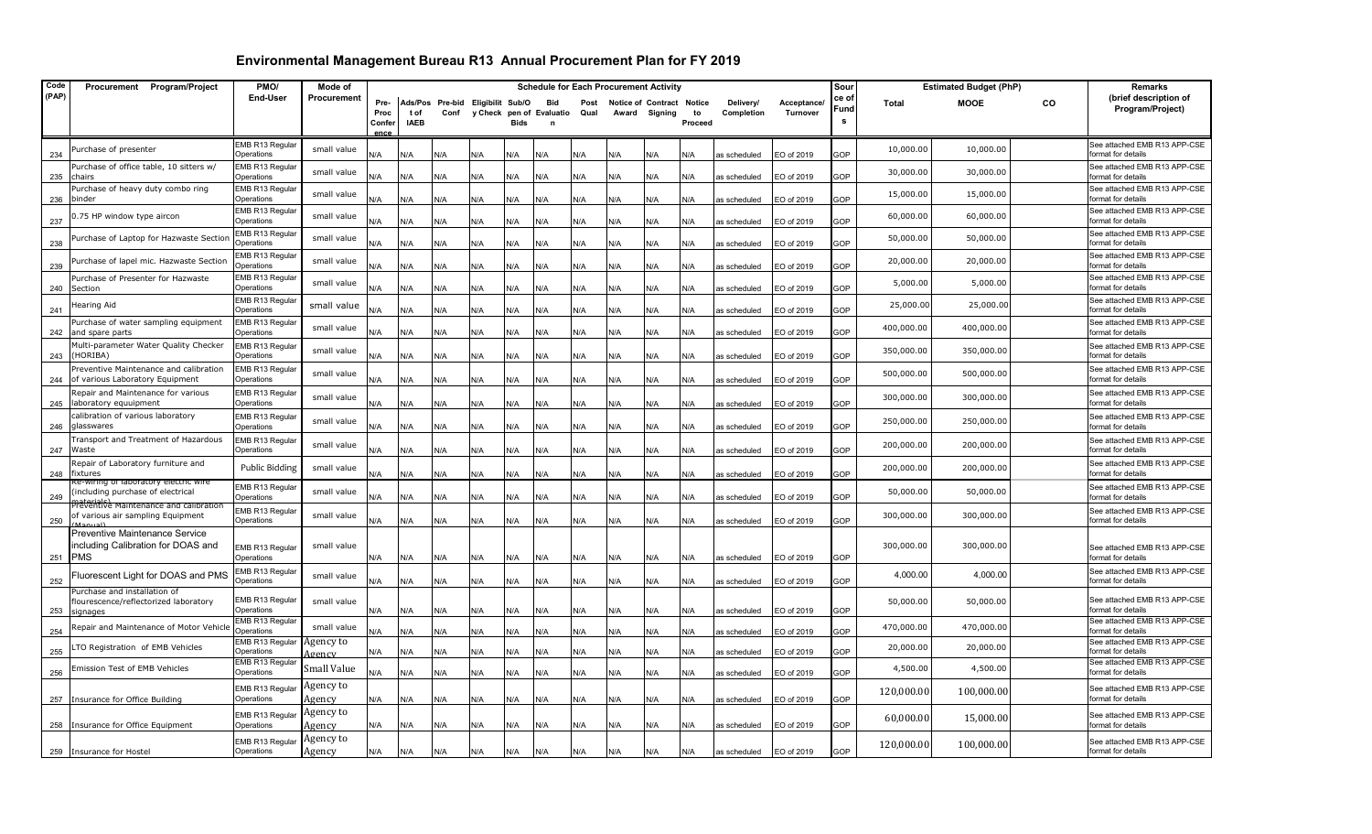| Code  | Procurement Program/Project                                                           | PMO/                                | Mode of             |                       |             |      |                          |             | <b>Schedule for Each Procurement Activity</b> |      |            |                           |            |              |             | Sour       |              | <b>Estimated Budget (PhP)</b> |           | Remarks                                            |
|-------|---------------------------------------------------------------------------------------|-------------------------------------|---------------------|-----------------------|-------------|------|--------------------------|-------------|-----------------------------------------------|------|------------|---------------------------|------------|--------------|-------------|------------|--------------|-------------------------------|-----------|----------------------------------------------------|
| (PAP) |                                                                                       | End-User                            | Procurement         | Pre-                  | Ads/Pos     |      | Pre-bid Eligibilit Sub/O |             | Bid                                           | Post |            | Notice of Contract Notice |            | Delivery/    | Acceptance/ | ce of      | <b>Total</b> | <b>MOOE</b>                   | <b>CO</b> | (brief description of                              |
|       |                                                                                       |                                     |                     | Proc                  | t of        | Conf |                          |             | y Check pen of Evaluatio                      | Qual | Award      | Signing                   | to         | Completion   | Turnover    | Fund<br>s  |              |                               |           | Program/Project)                                   |
|       |                                                                                       |                                     |                     | Confer<br><b>ADC6</b> | <b>IAEB</b> |      |                          | <b>Bids</b> | $\mathbf{r}$                                  |      |            |                           | Proceed    |              |             |            |              |                               |           |                                                    |
| 234   | Purchase of presenter                                                                 | EMB R13 Regular<br>perations        | small value         | N/A                   | N/A         | N/A  | <b>N/A</b>               | N/A         | N/A                                           | N/A  | J/A        | N/A                       | <b>V/A</b> | as scheduled | EO of 2019  | GOP        | 10,000.00    | 10,000.00                     |           | See attached EMB R13 APP-CSE<br>format for details |
| 235   | Purchase of office table, 10 sitters w/<br>chairs                                     | EMB R13 Regular<br>Operations       | small value         | N/A                   | N/A         | N/A  | N/A                      | N/A         | N/A                                           | N/A  | N/A        | N/A                       | N/A        | as scheduled | EO of 2019  | GOP        | 30,000.00    | 30,000.00                     |           | See attached EMB R13 APP-CSE<br>format for details |
| 236   | Purchase of heavy duty combo ring<br>binder                                           | EMB R13 Regular<br>Operations       | small value         | N/A                   | N/A         | N/A  | N/A                      | N/A         | N/A                                           | N/A  | N/A        | N/A                       | N/A        | as scheduled | EO of 2019  | GOP        | 15,000.00    | 15,000.00                     |           | See attached EMB R13 APP-CSE<br>format for details |
| 237   | 0.75 HP window type aircon                                                            | MB R13 Regular<br><b>Operations</b> | small value         | N/A                   | N/A         | N/A  | N/A                      | N/A         | N/A                                           | N/A  | N/A        | N/A                       | N/A        | as scheduled | EO of 2019  | GOP        | 60,000.00    | 60,000.00                     |           | See attached EMB R13 APP-CSE<br>format for details |
| 238   | Purchase of Laptop for Hazwaste Sectior                                               | MB R13 Regular<br>Operations        | small value         | N/A                   | N/A         | N/A  | N/A                      | N/A         | N/A                                           | N/A  | <b>J/A</b> | N/A                       | N/A        | as scheduled | EO of 2019  | GOP        | 50,000.00    | 50,000.00                     |           | See attached EMB R13 APP-CSE<br>format for details |
| 239   | Purchase of lapel mic. Hazwaste Section                                               | MB R13 Regular<br>Operations        | small value         | N/A                   | N/A         | N/A  | N/A                      | N/A         | N/A                                           | N/A  | N/A        | N/A                       | N/A        | as scheduled | EO of 2019  | GOP        | 20,000.00    | 20,000.00                     |           | See attached EMB R13 APP-CSE<br>format for details |
|       | Purchase of Presenter for Hazwaste<br>240 Section                                     | MB R13 Regular<br>)perations        | small value         | N/A                   | N/A         | N/A  | <b>N/A</b>               | N/A         | N/A                                           | N/A  | N/A        | N/A                       | N/A        | as scheduled | EO of 2019  | <b>GOP</b> | 5,000.00     | 5,000.00                      |           | See attached EMB R13 APP-CSE<br>format for details |
| 241   | Hearing Aid                                                                           | EMB R13 Regular<br>Operations       | small value         | N/A                   | N/A         | N/A  | N/A                      | N/A         | N/A                                           | N/A  | N/A        | N/A                       | N/A        | as scheduled | EO of 2019  | GOP        | 25,000.00    | 25,000.00                     |           | See attached EMB R13 APP-CSE<br>format for details |
| 242   | Purchase of water sampling equipment<br>and spare parts                               | MB R13 Regular<br>Operations        | small value         | N/A                   | N/A         | N/A  | N/A                      | N/A         | N/A                                           | N/A  | N/A        | N/A                       | N/A        | as scheduled | EO of 2019  | GOP        | 400,000.00   | 400,000.00                    |           | See attached EMB R13 APP-CSE<br>format for details |
| 243   | Multi-parameter Water Quality Checker<br>(HORIBA)                                     | EMB R13 Regular<br>Operations       | small value         | N/A                   | N/A         | N/A  | N/A                      | N/A         | N/A                                           | N/A  | N/A        | N/A                       | N/A        | as scheduled | EO of 2019  | GOP        | 350,000.00   | 350,000.00                    |           | See attached EMB R13 APP-CSE<br>format for details |
| 244   | Preventive Maintenance and calibration<br>of various Laboratory Equipment             | EMB R13 Regular<br>Operations       | small value         | N/A                   | N/A         | N/A  | N/A                      | N/A         | N/A                                           | N/A  | <b>J/A</b> | N/A                       | N/A        | as scheduled | EO of 2019  | GOP        | 500,000.00   | 500,000.00                    |           | See attached EMB R13 APP-CSE<br>format for details |
| 245   | Repair and Maintenance for various<br>laboratory equuipment                           | MB R13 Regular<br>Operations        | small value         | N/A                   | N/A         | N/A  | N/A                      | N/A         | N/A                                           | N/A  | N/A        | N/A                       | N/A        | as scheduled | EO of 2019  | GOP        | 300,000.00   | 300,000.00                    |           | See attached EMB R13 APP-CSE<br>format for details |
| 246   | calibration of various laboratory<br>glasswares                                       | EMB R13 Regular<br>Operations       | small value         | N/A                   | N/A         | N/A  | N/A                      | N/A         | N/A                                           | N/A  | <b>J/A</b> | N/A                       | N/A        | as scheduled | EO of 2019  | GOP        | 250,000.00   | 250,000.00                    |           | See attached EMB R13 APP-CSE<br>format for details |
|       | Transport and Treatment of Hazardous<br>247 Waste                                     | EMB R13 Regular<br>Operations       | small value         | N/A                   | N/A         | N/A  | <b>A/</b>                | N/A         | N/A                                           | N/A  | <b>N/A</b> | N/A                       | N/A        | as scheduled | EO of 2019  | GOP        | 200,000.00   | 200,000.00                    |           | See attached EMB R13 APP-CSE<br>format for details |
| 248   | Repair of Laboratory furniture and<br>fixtures                                        | Public Bidding                      | small value         | N/A                   | N/A         | N/A  | N/A                      | N/A         | N/A                                           | N/A  | N/A        | N/A                       | N/A        | as scheduled | EO of 2019  | GOP        | 200,000.00   | 200,000.00                    |           | See attached EMB R13 APP-CSE<br>format for details |
| 249   | ke-wiring of laboratory electric wire<br>(including purchase of electrical            | EMB R13 Regular<br>Operations       | small value         | N/A                   | N/A         | N/A  | N/A                      | N/A         | N/A                                           | N/A  | ۷A/        | N/A                       | N/A        | as scheduled | EO of 2019  | GOP        | 50,000.00    | 50,000.00                     |           | See attached EMB R13 APP-CSE<br>format for details |
| 250   | <del>Pratraited Maintenance and calibratic</del><br>of various air sampling Equipment | EMB R13 Regular<br>Operations       | small value         | N/A                   | N/A         | N/A  | N/A                      | N/A         | N/A                                           | N/A  | N/A        | N/A                       | N/A        | as scheduled | EO of 2019  | GOP        | 300,000.00   | 300,000.00                    |           | See attached EMB R13 APP-CSE<br>format for details |
|       | Preventive Maintenance Service<br>including Calibration for DOAS and                  |                                     | small value         |                       |             |      |                          |             |                                               |      |            |                           |            |              |             |            | 300,000.00   | 300,000.00                    |           | See attached EMB R13 APP-CSE                       |
| 251   | <b>PMS</b>                                                                            | MB R13 Regular<br>Operations        |                     | N/A                   | N/A         | N/A  | N/A                      | N/A         | N/A                                           | N/A  | N/A        | N/A                       | N/A        | as scheduled | EO of 2019  | GOP        |              |                               |           | format for details                                 |
| 252   | Fluorescent Light for DOAS and PMS<br>Purchase and installation of                    | MB R13 Regular<br>perations         | small value         | N/A                   | N/A         | N/A  | N/A                      | N/A         | N/A                                           | N/A  | <b>N/A</b> | N/A                       | N/A        | as scheduled | EO of 2019  | GOP        | 4,000.00     | 4,000.00                      |           | See attached EMB R13 APP-CSE<br>format for details |
| 253   | flourescence/reflectorized laboratory<br>ignages                                      | EMB R13 Regular<br>Operations       | small value         | N/A                   | N/A         | N/A  | N/A                      | N/A         | N/A                                           | N/A  | N/A        | N/A                       | N/A        | as scheduled | EO of 2019  | GOP        | 50,000.00    | 50,000.00                     |           | See attached EMB R13 APP-CSE<br>format for details |
| 254   | epair and Maintenance of Motor Vehicle                                                | MB R13 Regular<br>perations         | small value         | N/A                   | N/A         | N/A  | N/A                      | N/A         | N/A                                           | N/A  | <b>J/A</b> | N/A                       | N/A        | as scheduled | EO of 2019  | GOP        | 470,000.00   | 470,000.00                    |           | See attached EMB R13 APP-CSE<br>format for details |
| 255   | LTO Registration of EMB Vehicles                                                      | MB R13 Regular<br>Operations        | Agency to<br>Agency | N/A                   | N/A         | N/A  | N/A                      | N/A         | N/A                                           | N/A  | N/A        | N/A                       | N/A        | as scheduled | EO of 2019  | GOP        | 20,000.00    | 20,000.00                     |           | See attached EMB R13 APP-CSE<br>format for details |
| 256   | Emission Test of EMB Vehicles                                                         | EMB R13 Regular<br>Operations       | Small Value         | N/A                   | N/A         | N/A  | <b>A/</b>                | N/A         | N/A                                           | N/A  | <b>V/A</b> | N/A                       | N/A        | as scheduled | EO of 2019  | GOP        | 4,500.00     | 4,500.00                      |           | See attached EMB R13 APP-CSE<br>format for details |
|       | 257 Insurance for Office Building                                                     | MB R13 Regular<br><b>Dperations</b> | Agency to<br>Agency | N/A                   | N/A         | N/A  | N/A                      | N/A         | N/A                                           | N/A  | <b>J/A</b> | N/A                       | N/A        | as scheduled | EO of 2019  | GOP        | 120,000.00   | 100,000.00                    |           | See attached EMB R13 APP-CSE<br>format for details |
|       | 258 Insurance for Office Equipment                                                    | MB R13 Regular<br>Operations        | Agency to<br>Agency | N/A                   | N/A         | N/A  | N/A                      | N/A         | N/A                                           | N/A  | <b>V/A</b> | N/A                       | N/A        | as scheduled | EO of 2019  | GOP        | 60,000.00    | 15,000.00                     |           | See attached EMB R13 APP-CSE<br>format for details |
|       | 259 Insurance for Hostel                                                              | MB R13 Regular<br>Operations        | Agency to<br>Agency | N/A                   | N/A         | N/A  | N/A                      | N/A         | N/A                                           | N/A  | N/A        | N/A                       | N/A        | as scheduled | EO of 2019  | GOP        | 120,000.00   | 100,000.00                    |           | See attached EMB R13 APP-CSE<br>format for details |
|       |                                                                                       |                                     |                     |                       |             |      |                          |             |                                               |      |            |                           |            |              |             |            |              |                               |           |                                                    |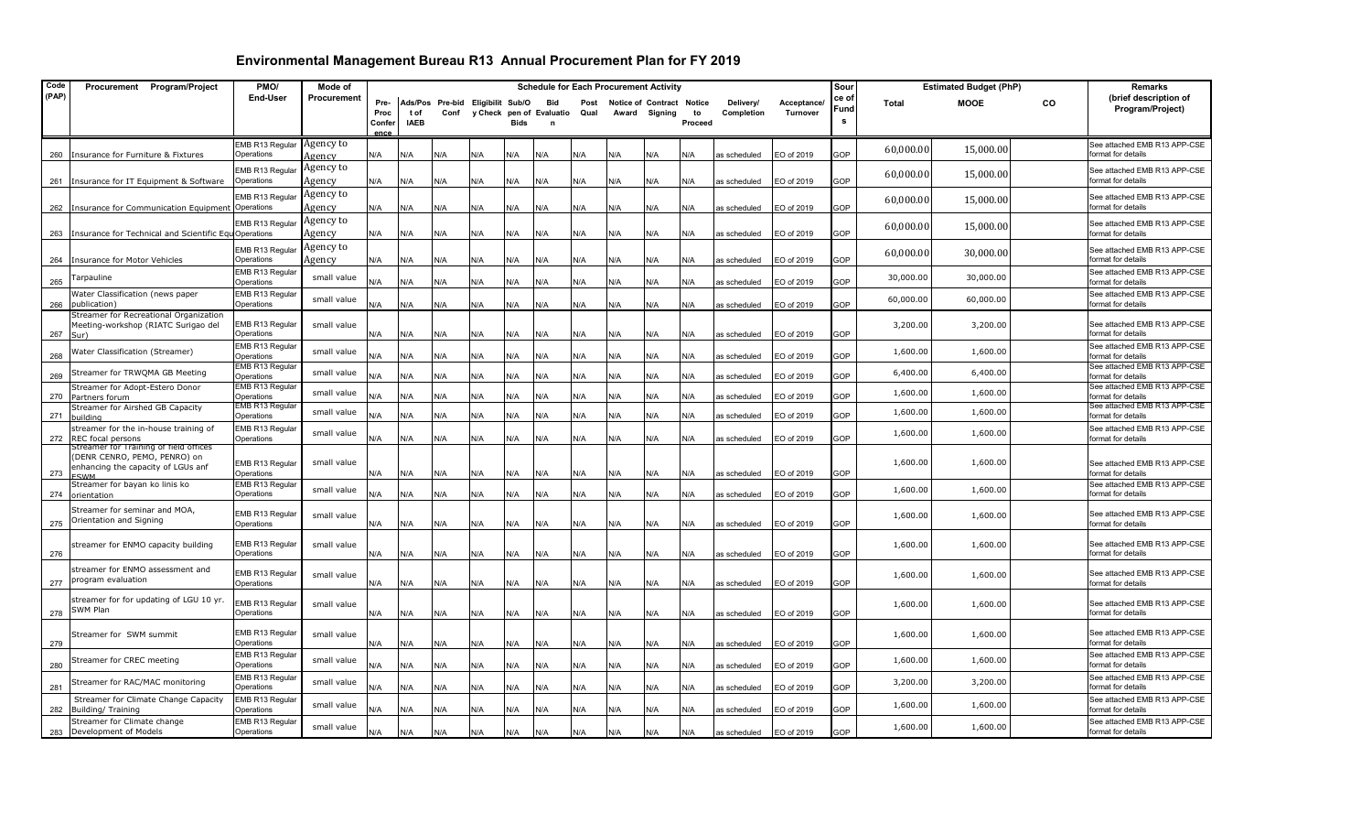| (PAP)<br>End-User<br>Procurement<br>ce of<br>Pre-<br>Ads/Pos<br>Pre-bid Eligibilit Sub/O<br>Acceptance/<br><b>MOOE</b><br>co<br>Bid<br>Post<br>Notice of Contract Notice<br>Delivery/<br><b>Total</b><br>Fund<br>Proc<br>Conf<br>y Check pen of Evaluatio<br>Qual<br>to<br>Completion<br>Turnover<br>t of<br>Award Signing<br>s<br><b>IAEB</b><br>Bids<br>Proceed<br>Confer<br>ence<br>Agency to<br>EMB R13 Regular<br>15,000.00<br>60,000.00<br>Insurance for Furniture & Fixtures<br>Operations<br>N/A<br>N/A<br>N/A<br>N/A<br>N/A<br>EO of 2019<br>GOP<br>format for details<br>260<br>N/A<br>N/A<br>N/A<br>N/A<br>N/A<br>as scheduled<br>Agency<br>Agency to<br><b>EMB R13 Regular</b><br>60,000.00<br>15,000.00<br>format for details<br>Operations<br>insurance for IT Equipment & Software<br>Agency<br>N/A<br>N/A<br>N/A<br>N/A<br>EO of 2019<br>GOP<br>261<br>N/A<br>N/A<br>N/A<br>N/A<br>N/A<br>N/A<br>as scheduled<br>Agency to<br>EMB R13 Regula<br>60,000.00<br>15,000.00<br>Insurance for Communication Equipment Operations<br>GOP<br>format for details<br>Agency<br>N/A<br>N/A<br>N/A<br>N/A<br>N/A<br>N/A<br>N/A<br>N/A<br>N/A<br>N/A<br>as scheduled<br>EO of 2019<br>262<br>Agency to<br>EMB R13 Regular<br>60,000.00<br>15,000.00<br>format for details<br>Operations<br>Agency<br>GOP<br>insurance for Technical and Scientific Eq<br>N/A<br>N/A<br>N/A<br>N/A<br>N/A<br>N/A<br>N/A<br>N/A<br>N/A<br>N/A<br>as scheduled<br>EO of 2019<br>263<br>Agency to<br>See attached EMB R13 APP-CSE<br>EMB R13 Regular<br>30,000.00<br>60,000.00 | Remarks                      |
|---------------------------------------------------------------------------------------------------------------------------------------------------------------------------------------------------------------------------------------------------------------------------------------------------------------------------------------------------------------------------------------------------------------------------------------------------------------------------------------------------------------------------------------------------------------------------------------------------------------------------------------------------------------------------------------------------------------------------------------------------------------------------------------------------------------------------------------------------------------------------------------------------------------------------------------------------------------------------------------------------------------------------------------------------------------------------------------------------------------------------------------------------------------------------------------------------------------------------------------------------------------------------------------------------------------------------------------------------------------------------------------------------------------------------------------------------------------------------------------------------------------------------------------------------------------|------------------------------|
|                                                                                                                                                                                                                                                                                                                                                                                                                                                                                                                                                                                                                                                                                                                                                                                                                                                                                                                                                                                                                                                                                                                                                                                                                                                                                                                                                                                                                                                                                                                                                               | (brief description of        |
|                                                                                                                                                                                                                                                                                                                                                                                                                                                                                                                                                                                                                                                                                                                                                                                                                                                                                                                                                                                                                                                                                                                                                                                                                                                                                                                                                                                                                                                                                                                                                               | Program/Project)             |
|                                                                                                                                                                                                                                                                                                                                                                                                                                                                                                                                                                                                                                                                                                                                                                                                                                                                                                                                                                                                                                                                                                                                                                                                                                                                                                                                                                                                                                                                                                                                                               |                              |
|                                                                                                                                                                                                                                                                                                                                                                                                                                                                                                                                                                                                                                                                                                                                                                                                                                                                                                                                                                                                                                                                                                                                                                                                                                                                                                                                                                                                                                                                                                                                                               | See attached EMB R13 APP-CSE |
|                                                                                                                                                                                                                                                                                                                                                                                                                                                                                                                                                                                                                                                                                                                                                                                                                                                                                                                                                                                                                                                                                                                                                                                                                                                                                                                                                                                                                                                                                                                                                               | See attached EMB R13 APP-CSE |
|                                                                                                                                                                                                                                                                                                                                                                                                                                                                                                                                                                                                                                                                                                                                                                                                                                                                                                                                                                                                                                                                                                                                                                                                                                                                                                                                                                                                                                                                                                                                                               | See attached EMB R13 APP-CSE |
|                                                                                                                                                                                                                                                                                                                                                                                                                                                                                                                                                                                                                                                                                                                                                                                                                                                                                                                                                                                                                                                                                                                                                                                                                                                                                                                                                                                                                                                                                                                                                               |                              |
|                                                                                                                                                                                                                                                                                                                                                                                                                                                                                                                                                                                                                                                                                                                                                                                                                                                                                                                                                                                                                                                                                                                                                                                                                                                                                                                                                                                                                                                                                                                                                               | See attached EMB R13 APP-CSE |
|                                                                                                                                                                                                                                                                                                                                                                                                                                                                                                                                                                                                                                                                                                                                                                                                                                                                                                                                                                                                                                                                                                                                                                                                                                                                                                                                                                                                                                                                                                                                                               |                              |
| GOP<br>Operations<br>format for details<br>insurance for Motor Vehicles<br>Agency<br>N/A<br>N/A<br>N/A<br>N/A<br>N/A<br>N/A<br>N/A<br>N/A<br>EO of 2019<br>264<br>N/A<br>N/A<br>as scheduled                                                                                                                                                                                                                                                                                                                                                                                                                                                                                                                                                                                                                                                                                                                                                                                                                                                                                                                                                                                                                                                                                                                                                                                                                                                                                                                                                                  |                              |
| EMB R13 Regular<br>30,000.00<br>small value                                                                                                                                                                                                                                                                                                                                                                                                                                                                                                                                                                                                                                                                                                                                                                                                                                                                                                                                                                                                                                                                                                                                                                                                                                                                                                                                                                                                                                                                                                                   | See attached EMB R13 APP-CSE |
| 30,000.00<br><b>Farpauline</b><br>265<br>Operations<br><b>GOP</b><br>format for details<br>N/A<br>N/A<br>N/A<br>N/A<br>N/A<br>N/A<br>N/A<br>N/A<br>N/A<br>N/A<br>as scheduled<br>O of 2019                                                                                                                                                                                                                                                                                                                                                                                                                                                                                                                                                                                                                                                                                                                                                                                                                                                                                                                                                                                                                                                                                                                                                                                                                                                                                                                                                                    |                              |
| EMB R13 Regular<br>Water Classification (news paper<br>60,000.00<br>60,000.00<br>small value<br><b>GOP</b><br>Operations<br>N/A<br>N/A<br>N/A<br>N/A<br>EO of 2019<br>format for details<br>266<br>publication)<br>۷/A<br>N/A<br>N/A<br>N/A<br>N/A<br>N/A<br>as scheduled                                                                                                                                                                                                                                                                                                                                                                                                                                                                                                                                                                                                                                                                                                                                                                                                                                                                                                                                                                                                                                                                                                                                                                                                                                                                                     | See attached EMB R13 APP-CSE |
| Streamer for Recreational Organization<br>EMB R13 Regular<br>Meeting-workshop (RIATC Surigao del<br>small value<br>3,200.00<br>3,200.00<br>Operations<br>format for details<br>N/A<br>N/A<br>EO of 2019<br>GOP<br>267<br>۷/A<br>N/A<br>N/A<br>N/A<br>N/A<br>N/A<br>N/A<br>as scheduled<br>N/A<br>Sur)                                                                                                                                                                                                                                                                                                                                                                                                                                                                                                                                                                                                                                                                                                                                                                                                                                                                                                                                                                                                                                                                                                                                                                                                                                                         | See attached EMB R13 APP-CSE |
| EMB R13 Regular<br>Nater Classification (Streamer)<br>small value<br>1,600.00<br>1,600.00<br>GOP<br>268<br>Operations<br><b>VA</b><br>N/A<br>N/A<br>N/A<br>N/A<br>N/A<br>N/A<br>N/A<br>N/A<br>N/A<br>EO of 2019<br>format for details<br>as scheduled                                                                                                                                                                                                                                                                                                                                                                                                                                                                                                                                                                                                                                                                                                                                                                                                                                                                                                                                                                                                                                                                                                                                                                                                                                                                                                         | See attached EMB R13 APP-CSE |
| EMB R13 Regular<br>6,400.00<br>6,400.00<br>Streamer for TRWQMA GB Meeting<br>small value<br>GOP<br>269<br>Operations<br>N/A<br>N/A<br>N/A<br>N/A<br>N/A<br>N/A<br>N/A<br>N/A<br>N/A<br>EO of 2019<br>format for details<br>N/A<br>as scheduled                                                                                                                                                                                                                                                                                                                                                                                                                                                                                                                                                                                                                                                                                                                                                                                                                                                                                                                                                                                                                                                                                                                                                                                                                                                                                                                | See attached EMB R13 APP-CSE |
| EMB R13 Regular<br>Streamer for Adopt-Estero Donor<br>1,600.00<br>1,600.00<br>small value<br><b>GOP</b><br>Operations<br><b>N/A</b><br>N/A<br>N/A<br>N/A<br>N/A<br>N/A<br>N/A<br>O of 2019<br>270<br>N/A<br>N/A<br>N/A<br>format for details<br>Partners forum<br>as scheduled                                                                                                                                                                                                                                                                                                                                                                                                                                                                                                                                                                                                                                                                                                                                                                                                                                                                                                                                                                                                                                                                                                                                                                                                                                                                                | See attached EMB R13 APP-CSE |
| EMB R13 Regular<br>Streamer for Airshed GB Capacity<br>1,600.00<br>1,600.00<br>small value<br>GOP<br>format for details<br>Operations<br>N/A                                                                                                                                                                                                                                                                                                                                                                                                                                                                                                                                                                                                                                                                                                                                                                                                                                                                                                                                                                                                                                                                                                                                                                                                                                                                                                                                                                                                                  | See attached EMB R13 APP-CSE |
| 271<br><b>N/A</b><br>N/A<br>N/A<br>N/A<br>N/A<br>N/A<br>N/A<br>N/A<br>N/A<br>EO of 2019<br>as scheduled<br>building<br>streamer for the in-house training of<br>EMB R13 Regular                                                                                                                                                                                                                                                                                                                                                                                                                                                                                                                                                                                                                                                                                                                                                                                                                                                                                                                                                                                                                                                                                                                                                                                                                                                                                                                                                                               | See attached EMB R13 APP-CSE |
| 1,600.00<br>1,600.00<br>small value<br>GOP<br>REC focal persons<br>Operations<br>N/A<br>N/A<br>N/A<br>N/A<br>N/A<br>N/A<br>N/A<br>EO of 2019<br>format for details<br>272<br>N/A<br>N/A<br>N/A<br>as scheduled                                                                                                                                                                                                                                                                                                                                                                                                                                                                                                                                                                                                                                                                                                                                                                                                                                                                                                                                                                                                                                                                                                                                                                                                                                                                                                                                                |                              |
| Streamer for Training of field offices<br>(DENR CENRO, PEMO, PENRO) on                                                                                                                                                                                                                                                                                                                                                                                                                                                                                                                                                                                                                                                                                                                                                                                                                                                                                                                                                                                                                                                                                                                                                                                                                                                                                                                                                                                                                                                                                        |                              |
| 1,600.00<br>1,600.00<br>small value<br>EMB R13 Regular<br>enhancing the capacity of LGUs anf                                                                                                                                                                                                                                                                                                                                                                                                                                                                                                                                                                                                                                                                                                                                                                                                                                                                                                                                                                                                                                                                                                                                                                                                                                                                                                                                                                                                                                                                  | See attached EMB R13 APP-CSE |
| Operations<br>GOP<br>format for details<br>N/A<br>N/A<br>N/A<br>N/A<br>EO of 2019<br>273<br>N/A<br>N/A<br>N/A<br>N/A<br>N/A<br>N/A<br>as scheduled<br><b>CIMM</b><br>EMB R13 Regular<br>Streamer for bayan ko linis ko                                                                                                                                                                                                                                                                                                                                                                                                                                                                                                                                                                                                                                                                                                                                                                                                                                                                                                                                                                                                                                                                                                                                                                                                                                                                                                                                        | See attached EMB R13 APP-CSE |
| small value<br>1,600.00<br>1,600.00<br>3OP<br>Operations<br>N/A<br>N/A<br>N/A<br>N/A<br>N/A<br>N/A<br>EO of 2019<br>format for details<br>274<br>orientation<br>N/A<br>N/A<br>N/A<br>N/A<br>as scheduled                                                                                                                                                                                                                                                                                                                                                                                                                                                                                                                                                                                                                                                                                                                                                                                                                                                                                                                                                                                                                                                                                                                                                                                                                                                                                                                                                      |                              |
| Streamer for seminar and MOA,<br>EMB R13 Regular<br>1,600.00<br>1,600.00<br>small value                                                                                                                                                                                                                                                                                                                                                                                                                                                                                                                                                                                                                                                                                                                                                                                                                                                                                                                                                                                                                                                                                                                                                                                                                                                                                                                                                                                                                                                                       | See attached EMB R13 APP-CSE |
| Orientation and Signing<br>Operations<br>N/A<br>N/A<br>EO of 2019<br>GOP<br>format for details<br>275<br>N/A<br>N/A<br>N/A<br>N/A<br>N/A<br>N/A<br>N/A<br>N/A<br>as scheduled                                                                                                                                                                                                                                                                                                                                                                                                                                                                                                                                                                                                                                                                                                                                                                                                                                                                                                                                                                                                                                                                                                                                                                                                                                                                                                                                                                                 |                              |
| EMB R13 Regular<br>1,600.00<br>1,600.00<br>streamer for ENMO capacity building<br>small value<br>GOP<br>276<br>Operations<br>N/A<br>N/A<br>N/A<br>N/A<br>N/A<br>N/A<br>N/A<br>EO of 2019<br>format for details<br>N/A<br>N/A<br>N/A<br>as scheduled                                                                                                                                                                                                                                                                                                                                                                                                                                                                                                                                                                                                                                                                                                                                                                                                                                                                                                                                                                                                                                                                                                                                                                                                                                                                                                           | See attached EMB R13 APP-CSE |
| streamer for ENMO assessment and<br>EMB R13 Regular<br>small value<br>1,600.00<br>1,600.00<br>program evaluation<br>format for details<br>Operations<br>GOP<br>277<br>N/A<br>N/A<br>N/A<br>N/A<br>N/A<br>N/A<br>N/A<br>N/A<br>N/A<br>N/A<br>as scheduled<br>EO of 2019                                                                                                                                                                                                                                                                                                                                                                                                                                                                                                                                                                                                                                                                                                                                                                                                                                                                                                                                                                                                                                                                                                                                                                                                                                                                                        | See attached EMB R13 APP-CSE |
| streamer for for updating of LGU 10 yr.<br>EMB R13 Regular<br>1,600.00<br>1,600.00<br>small value<br>SWM Plan<br>GOP<br>278<br>Operations<br>N/A<br>N/A<br>N/A<br>EO of 2019<br>format for details<br>N/A<br>N/A<br>N/A<br>N/A<br>N/A<br>N/A<br>as scheduled<br>N/A                                                                                                                                                                                                                                                                                                                                                                                                                                                                                                                                                                                                                                                                                                                                                                                                                                                                                                                                                                                                                                                                                                                                                                                                                                                                                           | See attached EMB R13 APP-CSE |
| EMB R13 Regular<br>Streamer for SWM summit<br>1,600.00<br>1,600.00<br>small value<br>GOP<br>279<br>Operations<br>N/A<br>N/A<br>N/A<br>N/A<br>N/A<br>N/A<br>N/A<br>EO of 2019<br>format for details<br>N/A<br>N/A<br>N/A<br>as scheduled                                                                                                                                                                                                                                                                                                                                                                                                                                                                                                                                                                                                                                                                                                                                                                                                                                                                                                                                                                                                                                                                                                                                                                                                                                                                                                                       | See attached EMB R13 APP-CSE |
| EMB R13 Regular<br>Streamer for CREC meeting<br>1,600.00<br>1,600.00<br>small value<br>Operations<br><b>N/A</b><br>N/A<br>N/A<br>N/A<br>GOP<br>ormat for details<br>280<br>N/A<br>N/A<br>N/A<br>N/A<br>N/A<br>N/A<br>as scheduled<br>EO of 2019                                                                                                                                                                                                                                                                                                                                                                                                                                                                                                                                                                                                                                                                                                                                                                                                                                                                                                                                                                                                                                                                                                                                                                                                                                                                                                               | See attached EMB R13 APP-CSE |
| EMB R13 Regular<br>3,200.00<br>Streamer for RAC/MAC monitoring<br>3,200.00<br>small value<br>281<br>Operations<br><b>A/A</b><br>N/A<br>N/A<br>N/A<br>EO of 2019<br><b>GOP</b><br>ormat for details<br>N/A<br>N/A<br>N/A<br>N/A<br>N/A<br>N/A<br>as scheduled                                                                                                                                                                                                                                                                                                                                                                                                                                                                                                                                                                                                                                                                                                                                                                                                                                                                                                                                                                                                                                                                                                                                                                                                                                                                                                  |                              |
| EMB R13 Regular<br>Streamer for Climate Change Capacity<br>1,600.00<br>1,600.00<br>small value<br>Building/ Training<br>Operations<br>ormat for details<br>J/A<br><b>V/A</b><br>N/A<br>N/A<br>N/A<br>N/A<br>N/A<br>N/A<br>N/A<br>N/A<br>EO of 2019<br>GOP<br>282<br>as scheduled                                                                                                                                                                                                                                                                                                                                                                                                                                                                                                                                                                                                                                                                                                                                                                                                                                                                                                                                                                                                                                                                                                                                                                                                                                                                              | See attached EMB R13 APP-CSE |
| See attached EMB R13 APP-CSE<br>Streamer for Climate change<br>EMB R13 Regular<br>1,600.00<br>1,600.00<br>small value<br>Operations<br>N/A<br>N/A<br>N/A<br><b>GOP</b><br>format for details<br>283 Development of Models<br>N/A<br>N/A<br>N/A<br>N/A<br>N/A<br>N/A<br>N/A<br>as scheduled<br>EO of 2019                                                                                                                                                                                                                                                                                                                                                                                                                                                                                                                                                                                                                                                                                                                                                                                                                                                                                                                                                                                                                                                                                                                                                                                                                                                      | See attached EMB R13 APP-CSE |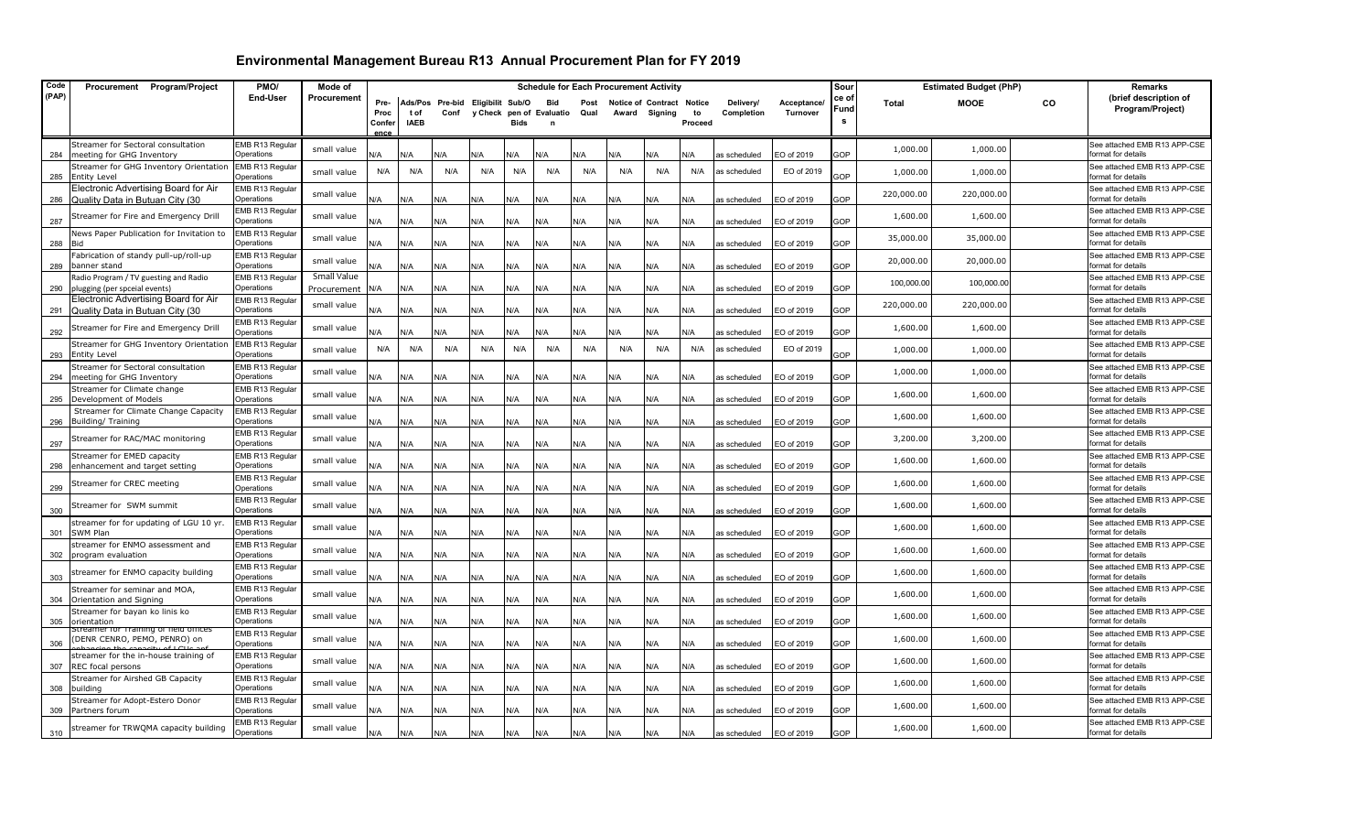| Code  | Procurement Program/Project                                             | PMO/                                 | Mode of                    |                                |                     |                                          |                          |      |                            |              |     | <b>Schedule for Each Procurement Activity</b> |                                |                         |                         | Sour               |            | <b>Estimated Budget (PhP)</b> |    | Remarks                                            |
|-------|-------------------------------------------------------------------------|--------------------------------------|----------------------------|--------------------------------|---------------------|------------------------------------------|--------------------------|------|----------------------------|--------------|-----|-----------------------------------------------|--------------------------------|-------------------------|-------------------------|--------------------|------------|-------------------------------|----|----------------------------------------------------|
| (PAP) |                                                                         | End-User                             | Procurement                | Pre-<br>Proc<br>Confer<br>ence | t of<br><b>IAEB</b> | Ads/Pos Pre-bid Eligibilit Sub/O<br>Conf | y Check pen of Evaluatio | Bids | <b>Bid</b><br>$\mathbf{r}$ | Post<br>Qual |     | <b>Notice of Contract</b><br>Award Signing    | <b>Notice</b><br>to<br>Proceed | Delivery/<br>Completion | Acceptance/<br>Turnover | ce of<br>Fund<br>s | Total      | <b>MOOE</b>                   | co | (brief description of<br>Program/Project)          |
| 284   | Streamer for Sectoral consultation<br>meeting for GHG Inventory         | EMB R13 Regular<br>Operations        | small value                | N/A                            | N/A                 | ۷/A                                      | N/A                      | N/A  | J/A                        | ۷A           | ۷A  | J/A                                           | N/A                            | as scheduled            | EO of 2019              | <b>GOP</b>         | 1,000.00   | 1,000.00                      |    | See attached EMB R13 APP-CSE<br>format for details |
| 285   | Streamer for GHG Inventory Orientation<br><b>Entity Level</b>           | EMB R13 Regular<br>Operations        | small value                | N/A                            | N/A                 | N/A                                      | N/A                      | N/A  | N/A                        | N/A          | N/A | N/A                                           | N/A                            | as scheduled            | EO of 2019              | <b>GOP</b>         | 1,000.00   | 1,000.00                      |    | See attached EMB R13 APP-CSE<br>format for details |
| 286   | Electronic Advertising Board for Air<br>Quality Data in Butuan City (30 | EMB R13 Regular<br><b>Operations</b> | small value                | N/A                            | N/A                 | N/A                                      | N/A                      | N/A  | N/A                        | N/A          | N/A | 4/k                                           | N/A                            | as scheduled            | EO of 2019              | <b>GOP</b>         | 220,000.00 | 220,000.00                    |    | See attached EMB R13 APP-CSE<br>format for details |
| 287   | Streamer for Fire and Emergency Drill                                   | EMB R13 Regular<br>Operations        | small value                | N/A                            | N/A                 | N/A                                      | N/A                      | N/A  | N/A                        | N/A          | N/A | 4/k                                           | N/A                            | as scheduled            | EO of 2019              | 3OP                | 1,600.00   | 1,600.00                      |    | See attached EMB R13 APP-CSE<br>format for details |
| 288   | News Paper Publication for Invitation to<br>Bid                         | EMB R13 Regular<br><b>Operations</b> | small value                | N/A                            | N/A                 | N/A                                      | N/A                      | N/A  | N/A                        | N/A          | N/A | <b>AV</b>                                     | N/A                            | as scheduled            | EO of 2019              | <b>GOP</b>         | 35,000.00  | 35,000.00                     |    | See attached EMB R13 APP-CSE<br>format for details |
| 289   | Fabrication of standy pull-up/roll-up<br>banner stand                   | EMB R13 Regular<br>Operations        | small value                | N/A                            | N/A                 | N/A                                      | N/A                      | N/A  | N/A                        | N/A          | N/A | N/A                                           | N/A                            | as scheduled            | EO of 2019              | 3OP                | 20,000.00  | 20,000.00                     |    | See attached EMB R13 APP-CSE<br>format for details |
| 290   | Radio Program / TV guesting and Radio<br>plugging (per spceial events)  | EMB R13 Regular<br><b>Operations</b> | Small Value<br>Procurement | N/A                            | N/A                 | N/A                                      | N/A                      | N/A  | N/A                        | N/A          | N/A | 4/k                                           | N/A                            | as scheduled            | EO of 2019              | <b>GOP</b>         | 100,000.00 | 100,000.00                    |    | See attached EMB R13 APP-CSE<br>format for details |
| 291   | Electronic Advertising Board for Air<br>Quality Data in Butuan City (30 | EMB R13 Regular<br>Operations        | small value                | N/A                            | N/A                 | N/A                                      | N/A                      | N/A  | N/A                        | N/A          | N/A | 4/k                                           | N/A                            | as scheduled            | EO of 2019              | 3OP                | 220,000.00 | 220,000.00                    |    | See attached EMB R13 APP-CSE<br>format for details |
| 292   | Streamer for Fire and Emergency Drill                                   | EMB R13 Regular<br><b>Operations</b> | small value                | N/A                            | N/A                 | N/A                                      | N/A                      | N/A  | N/A                        | N/A          | N/A | <b>A/</b>                                     | N/A                            | as scheduled            | EO of 2019              | <b>GOP</b>         | 1,600.00   | 1,600.00                      |    | See attached EMB R13 APP-CSE<br>format for details |
| 293   | Streamer for GHG Inventory Orientation<br><b>Entity Level</b>           | EMB R13 Regular<br>Operations        | small value                | N/A                            | N/A                 | N/A                                      | N/A                      | N/A  | N/A                        | N/A          | N/A | N/A                                           | N/A                            | as scheduled            | EO of 2019              | GOP                | 1,000.00   | 1,000.00                      |    | See attached EMB R13 APP-CSE<br>format for details |
| 294   | Streamer for Sectoral consultation<br>meeting for GHG Inventory         | EMB R13 Regular<br><b>Operations</b> | small value                | N/A                            | N/A                 | N/A                                      | N/A                      | N/A  | N/A                        | N/A          | N/A | <b>A/</b>                                     | N/A                            | as scheduled            | EO of 2019              | GOP                | 1,000.00   | 1,000.00                      |    | See attached EMB R13 APP-CSE<br>format for details |
| 295   | Streamer for Climate change<br>Development of Models                    | EMB R13 Regular<br>Operations        | small value                | N/A                            | N/A                 | N/A                                      | N/A                      | N/A  | N/A                        | N/A          | N/A | ۷A/                                           | N/A                            | as scheduled            | EO of 2019              | <b>GOP</b>         | 1,600.00   | 1,600.00                      |    | See attached EMB R13 APP-CSE<br>format for details |
| 296   | Streamer for Climate Change Capacity<br>Building/ Training              | EMB R13 Regular<br>Operations        | small value                | N/A                            | N/A                 | N/A                                      | N/A                      | N/A  | N/A                        | N/A          | N/A | <b>A/</b>                                     | N/A                            | as scheduled            | EO of 2019              | <b>GOP</b>         | 1,600.00   | 1,600.00                      |    | See attached EMB R13 APP-CSE<br>format for details |
| 297   | Streamer for RAC/MAC monitoring                                         | EMB R13 Regular<br>Operations        | small value                | N/A                            | N/A                 | N/A                                      | N/A                      | N/A  | N/A                        | N/A          | N/A | N/A                                           | N/A                            | as scheduled            | EO of 2019              | 3OP                | 3,200.00   | 3,200.00                      |    | See attached EMB R13 APP-CSE<br>format for details |
| 298   | Streamer for EMED capacity<br>enhancement and target setting            | EMB R13 Regular<br>Operations        | small value                | N/A                            | N/A                 | N/A                                      | N/A                      | N/A  | N/A                        | N/A          | N/A | N/A                                           | N/A                            | as scheduled            | EO of 2019              | <b>SOP</b>         | 1,600.00   | 1,600.00                      |    | See attached EMB R13 APP-CSE<br>format for details |
| 299   | Streamer for CREC meeting                                               | EMB R13 Regular<br>Operations        | small value                | N/A                            | N/A                 | N/A                                      | N/A                      | N/A  | N/A                        | N/A          | N/A | ۷A/                                           | N/A                            | as scheduled            | EO of 2019              | <b>GOP</b>         | 1,600.00   | 1,600.00                      |    | See attached EMB R13 APP-CSE<br>format for details |
| 300   | Streamer for SWM summit                                                 | EMB R13 Regular<br>Operations        | small value                | N/A                            | N/A                 | N/A                                      | N/A                      | N/A  | N/A                        | N/A          | N/A | ۷A/                                           | N/A                            | as scheduled            | EO of 2019              | <b>SOP</b>         | 1,600.00   | 1,600.00                      |    | See attached EMB R13 APP-CSE<br>format for details |
| 301   | streamer for for updating of LGU 10 yr.<br>SWM Plan                     | EMB R13 Regular<br>Operations        | small value                | N/A                            | N/A                 | N/A                                      | N/A                      | N/A  | N/A                        | N/A          | N/A | N/A                                           | N/A                            | as scheduled            | EO of 2019              | <b>GOP</b>         | 1,600.00   | 1,600.00                      |    | See attached EMB R13 APP-CSE<br>format for details |
| 302   | streamer for ENMO assessment and<br>program evaluation                  | EMB R13 Regular<br>Operations        | small value                | N/A                            | N/A                 | N/A                                      | N/A                      | N/A  | N/A                        | N/A          | N/A | ۷A/                                           | N/A                            | as scheduled            | EO of 2019              | <b>SOP</b>         | 1,600.00   | 1,600.00                      |    | See attached EMB R13 APP-CSE<br>format for details |
| 303   | streamer for ENMO capacity building                                     | EMB R13 Regular<br>Operations        | small value                | N/A                            | N/A                 | N/A                                      | N/A                      | N/A  | N/A                        | N/A          | N/A | ۷A/                                           | N/A                            | as scheduled            | EO of 2019              | <b>GOP</b>         | 1,600.00   | 1,600.00                      |    | See attached EMB R13 APP-CSE<br>format for details |
| 304   | Streamer for seminar and MOA.<br>Orientation and Signing                | EMB R13 Regular<br>Operations        | small value                | N/A                            | N/A                 | N/A                                      | N/A                      | N/A  | N/A                        | N/A          | N/A | N/A                                           | N/A                            | as scheduled            | EO of 2019              | GOP                | 1,600.00   | 1,600.00                      |    | See attached EMB R13 APP-CSE<br>format for details |
| 305   | Streamer for bayan ko linis ko<br>orientation                           | EMB R13 Regular<br>Operations        | small value                | N/A                            | N/A                 | N/A                                      | N/A                      | N/A  | N/A                        | N/A          | N/A | N/A                                           | N/A                            | as scheduled            | EO of 2019              | GOP                | 1,600.00   | 1,600.00                      |    | See attached EMB R13 APP-CSE<br>format for details |
| 306   | streamer for Training of field offices<br>DENR CENRO, PEMO, PENRO) on   | EMB R13 Regular<br>Operations        | small value                | N/A                            | N/A                 | N/A                                      | N/A                      | N/A  | N/A                        | N/A          | N/A | ۷A/                                           | N/A                            | as scheduled            | EO of 2019              | <b>SOP</b>         | 1,600.00   | 1,600.00                      |    | See attached EMB R13 APP-CSE<br>format for details |
| 307   | streamer for the in-house training of<br>REC focal persons              | EMB R13 Regular<br>Operations        | small value                | N/A                            | N/A                 | N/A                                      | N/A                      | N/A  | N/A                        | N/A          | N/A | N/A                                           | N/A                            | as scheduled            | EO of 2019              | <b>GP</b>          | 1,600.00   | 1,600.00                      |    | See attached EMB R13 APP-CSE<br>format for details |
| 308   | Streamer for Airshed GB Capacity<br>building                            | EMB R13 Regular<br>Operations        | small value                | N/A                            | N/A                 | N/A                                      | N/A                      | N/A  | N/A                        | N/A          | N/A | ۷A/                                           | N/A                            | as scheduled            | EO of 2019              | <b>GOP</b>         | 1,600.00   | 1,600.00                      |    | See attached EMB R13 APP-CSE<br>format for details |
|       | Streamer for Adopt-Estero Donor<br>309 Partners forum                   | EMB R13 Regular<br>Operations        | small value                | N/A                            | N/A                 | N/A                                      | N/A                      | N/A  | N/A                        | N/A          | N/A | N/A                                           | N/A                            | as scheduled            | EO of 2019              | <b>SOP</b>         | 1,600.00   | 1,600.00                      |    | See attached EMB R13 APP-CSE<br>format for details |
| 310   | streamer for TRWQMA capacity building                                   | EMB R13 Regular<br>Operations        | small value                | N/A                            | N/A                 | N/A                                      | N/A                      | N/A  | N/A                        | N/A          | N/A | N/A                                           | N/A                            | as scheduled            | EO of 2019              | <b>GOP</b>         | 1,600.00   | 1,600.00                      |    | See attached EMB R13 APP-CSE<br>format for details |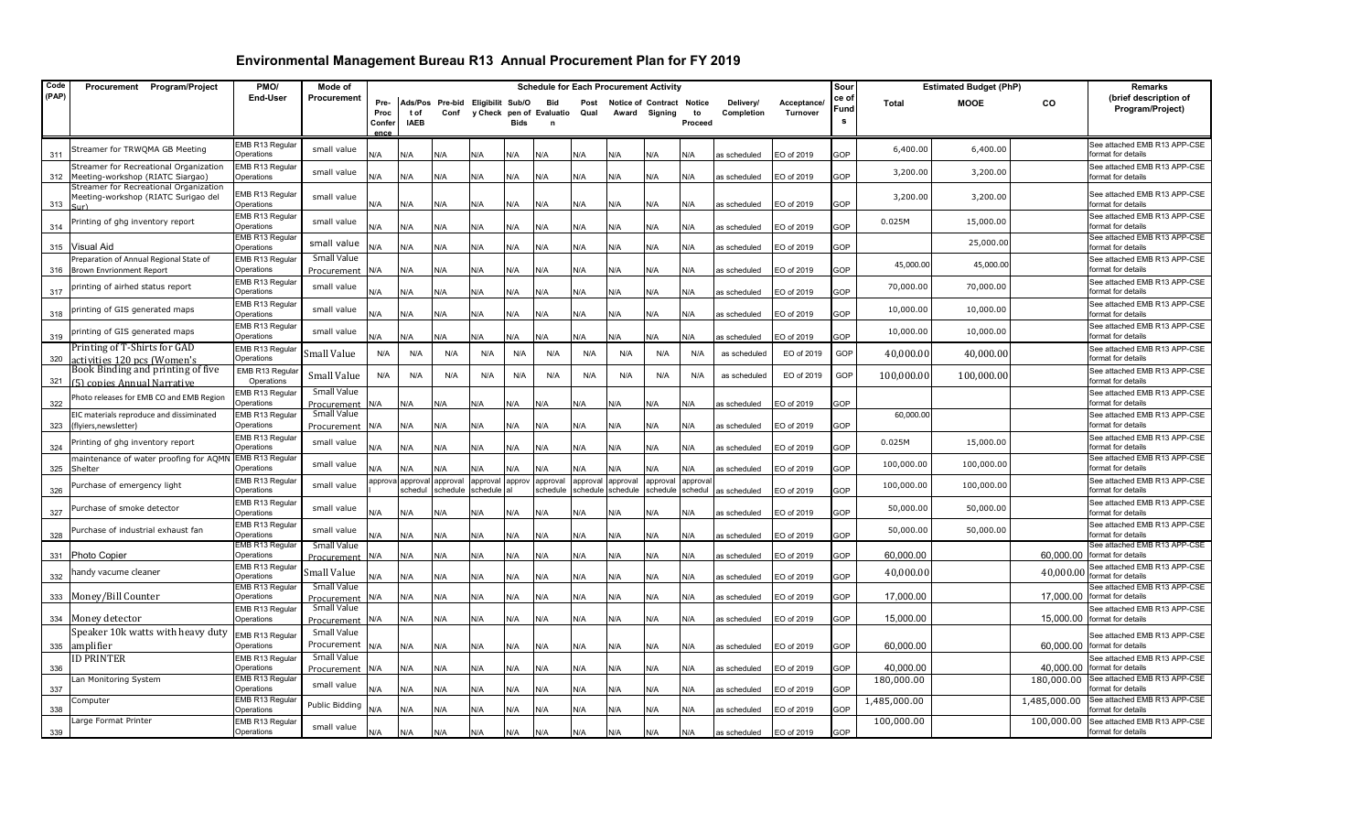| Code  | Procurement Program/Project                                                                                | PMO/                          | Mode of                    |               |                     |                                  |                      |             |                               |          | <b>Schedule for Each Procurement Activity</b> |                      |                    |              |             | Sour       |              | <b>Estimated Budget (PhP)</b> |              | Remarks                                                      |
|-------|------------------------------------------------------------------------------------------------------------|-------------------------------|----------------------------|---------------|---------------------|----------------------------------|----------------------|-------------|-------------------------------|----------|-----------------------------------------------|----------------------|--------------------|--------------|-------------|------------|--------------|-------------------------------|--------------|--------------------------------------------------------------|
| (PAP) |                                                                                                            | <b>End-User</b>               | Procurement                | Pre-          |                     | Ads/Pos Pre-bid Eligibilit Sub/O |                      |             | Bid                           | Post     | <b>Notice of Contract</b>                     |                      | Notice             | Delivery/    | Acceptance/ | ce of      | <b>Total</b> | <b>MOOE</b>                   | CO           | (brief description of                                        |
|       |                                                                                                            |                               |                            | Proc<br>Confe | t of<br><b>IAEB</b> | Conf                             |                      | <b>Bids</b> | y Check pen of Evaluatio<br>n | Qual     |                                               | Award Signing        | to<br>Proceed      | Completion   | Turnover    | Fund<br>s  |              |                               |              | Program/Project)                                             |
|       |                                                                                                            |                               |                            | ence          |                     |                                  |                      |             |                               |          |                                               |                      |                    |              |             |            |              |                               |              |                                                              |
| 311   | Streamer for TRWQMA GB Meeting                                                                             | EMB R13 Regular<br>Operations | small value                | N/A           | N/A                 | N/A                              | N/A                  | N/A         | N/A                           | N/A      | N/A                                           | N/A                  | N/A                | as scheduled | EO of 2019  | GOP        | 6,400.00     | 6,400.00                      |              | See attached EMB R13 APP-CSE<br>format for details           |
| 312   | Streamer for Recreational Organization<br>Meeting-workshop (RIATC Siargao)                                 | EMB R13 Regular<br>Operations | small value                | ۷/A           | N/A                 | N/A                              | N/A                  | N/A         | N/A                           | N/A      | N/A                                           | N/A                  | N/A                | as scheduled | EO of 2019  | GOP        | 3,200.00     | 3,200.00                      |              | See attached EMB R13 APP-CSE<br>format for details           |
| 313   | Streamer for Recreational Organization<br>Meeting-workshop (RIATC Surigao del<br>$\mathsf{S}(\mathsf{tr})$ | EMB R13 Regular<br>Operations | small value                | N/A           | N/A                 | N/A                              | N/A                  | N/A         | N/A                           | N/A      | N/A                                           | N/A                  | N/A                | as scheduled | EO of 2019  | <b>GOP</b> | 3,200.00     | 3,200.00                      |              | See attached EMB R13 APP-CSE<br>format for details           |
| 314   | rinting of ghg inventory report                                                                            | EMB R13 Regular<br>Operations | small value                | N/A           | N/A                 | N/A                              | N/A                  | N/A         | N/A                           | N/A      | N/A                                           | N/A                  | N/A                | as scheduled | EO of 2019  | GOP        | 0.025M       | 15,000.00                     |              | See attached EMB R13 APP-CSE<br>format for details           |
|       |                                                                                                            | EMB R13 Regular<br>Operations | small value                |               |                     |                                  |                      |             |                               |          |                                               |                      |                    |              |             |            |              | 25,000.00                     |              | See attached EMB R13 APP-CSE                                 |
| 315   | Visual Aid<br>reparation of Annual Regional State of                                                       | EMB R13 Regular               | Small Value                | <b>V/A</b>    | N/A                 | N/A                              | N/A                  | N/A         | N/A                           | N/A      | N/A                                           | N/A                  | N/A                | as scheduled | EO of 2019  | GOP        |              |                               |              | format for details<br>See attached EMB R13 APP-CSE           |
|       | 316 Brown Envrionment Report                                                                               | Operations                    | Procurement                | N/A           | N/A                 | N/A                              | N/A                  | N/A         | N/A                           | N/A      | N/A                                           | N/A                  | N/A                | as scheduled | EO of 2019  | GOP        | 45,000.00    | 45,000.00                     |              | format for details                                           |
| 317   | printing of airhed status report                                                                           | EMB R13 Regular<br>Operations | small value                | ۷/A           | N/A                 | N/A                              | N/A                  | N/A         | N/A                           | N/A      | N/A                                           | N/A                  | N/A                | as scheduled | EO of 2019  | GOP        | 70,000.00    | 70,000.00                     |              | See attached EMB R13 APP-CSE<br>format for details           |
| 318   | rinting of GIS generated maps                                                                              | EMB R13 Regular<br>Operations | small value                | <b>V/A</b>    | N/A                 | N/A                              | N/A                  | N/A         | N/A                           | N/A      | N/A                                           | N/A                  | N/A                | as scheduled | EO of 2019  | GOP        | 10,000.00    | 10,000.00                     |              | See attached EMB R13 APP-CSE<br>format for details           |
| 319   | printing of GIS generated maps                                                                             | EMB R13 Regular<br>Operations | small value                | J/A           | N/A                 | ۷A/                              | N/A                  | N/A         | ۷/A                           | N/A      | ۷/A                                           | N/A                  | N/A                | as scheduled | EO of 2019  | GOP        | 10,000.00    | 10,000.00                     |              | See attached EMB R13 APP-CSE<br>format for details           |
| 320   | Printing of T-Shirts for GAD<br>ctivities 120 pcs (Women's                                                 | EMB R13 Regular<br>Operations | Small Value                | N/A           | N/A                 | N/A                              | N/A                  | N/A         | N/A                           | N/A      | N/A                                           | N/A                  | N/A                | as scheduled | EO of 2019  | GOP        | 40,000.00    | 40,000.00                     |              | See attached EMB R13 APP-CSE<br>format for details           |
| 321   | Book Binding and printing of five<br>[5] copies Annual Narrative                                           | EMB R13 Regula<br>Operations  | Small Value                | N/A           | N/A                 | N/A                              | N/A                  | N/A         | N/A                           | N/A      | N/A                                           | N/A                  | N/A                | as scheduled | EO of 2019  | GOP        | 100,000.00   | 100,000.00                    |              | See attached EMB R13 APP-CSE<br>format for details           |
| 322   | hoto releases for EMB CO and EMB Region                                                                    | EMB R13 Regular<br>Operations | Small Value<br>Procurement | N/A           | N/A                 | N/A                              | N/A                  | N/A         | N/A                           | N/A      | N/A                                           | N/A                  | N/A                | as scheduled | EO of 2019  | GOP        |              |                               |              | See attached EMB R13 APP-CSE<br>format for details           |
| 323   | EIC materials reproduce and dissiminated<br>flyiers, newsletter)                                           | EMB R13 Regular<br>Operations | Small Value<br>Procurement | N/A           | N/A                 | N/A                              | N/A                  | N/A         | N/A                           | N/A      | N/A                                           | N/A                  | N/A                | as scheduled | EO of 2019  | GOP        | 60,000.00    |                               |              | See attached EMB R13 APP-CSE<br>format for details           |
| 324   | Printing of ghg inventory report                                                                           | EMB R13 Regular<br>Operations | small value                | N/A           | N/A                 | N/A                              | N/A                  | N/A         | N/A                           | N/A      | N/A                                           | N/A                  | N/A                | as scheduled | EO of 2019  | GOP        | 0.025M       | 15,000.00                     |              | See attached EMB R13 APP-CSE<br>format for details           |
| 325   | maintenance of water proofing for AQMN<br>Shelter                                                          | EMB R13 Regular<br>Operations | small value                | <b>V/A</b>    | N/A                 | N/A                              | N/A                  | N/A         | N/A                           | N/A      | N/A                                           | N/A                  | N/A                | as scheduled | EO of 2019  | GOP        | 100,000.00   | 100,000.00                    |              | See attached EMB R13 APP-CSE<br>format for details           |
| 326   | Purchase of emergency light                                                                                | EMB R13 Regular<br>Operations | small value                | approva       | approval<br>schedu  | approval<br>schedule             | approval<br>schedule | approv      | approval<br>schedule          | approval | approval<br>schedule schedule                 | approval<br>schedule | approva<br>schedul | as scheduled | EO of 2019  | GOP        | 100,000.00   | 100,000.00                    |              | See attached EMB R13 APP-CSE<br>format for details           |
| 327   | Purchase of smoke detector                                                                                 | EMB R13 Regular<br>Operations | small value                | <b>J/A</b>    | N/A                 | N/A                              | N/A                  | N/A         | N/A                           | N/A      | N/A                                           | N/A                  | N/A                | as scheduled | EO of 2019  | GOP        | 50,000.00    | 50,000.00                     |              | See attached EMB R13 APP-CSE<br>format for details           |
| 328   | Purchase of industrial exhaust fan                                                                         | EMB R13 Regular<br>Operations | small value                | J/A           | N/A                 | N/A                              | N/A                  | N/A         | N/A                           | N/A      | N/A                                           | N/A                  | N/A                | as scheduled | EO of 2019  | GOP        | 50,000.00    | 50,000.00                     |              | See attached EMB R13 APP-CSE<br>format for details           |
|       | 331 Photo Copier                                                                                           | EMB R13 Regular<br>Operations | Small Value<br>Procurement | N/A           | N/A                 | N/A                              | N/A                  | N/A         | N/A                           | N/A      | N/A                                           | N/A                  | N/A                | as scheduled | EO of 2019  | <b>GOP</b> | 60,000.00    |                               |              | See attached EMB R13 APP-CSE<br>60.000.00 format for details |
| 332   | handy vacume cleaner                                                                                       | EMB R13 Regular<br>Operations | Small Value                | ۷A            | N/A                 | N/A                              | N/A                  | N/A         | N/A                           | N/A      | N/A                                           | N/A                  | N/A                | as scheduled | EO of 2019  | GOP        | 40,000.00    |                               | 40,000.00    | See attached EMB R13 APP-CSE<br>format for details           |
|       | 333 Money/Bill Counter                                                                                     | EMB R13 Regular<br>Operations | Small Value<br>Procurement | N/A           | N/A                 | N/A                              | N/A                  | N/A         | N/A                           | N/A      | N/A                                           | N/A                  | N/A                | as scheduled | EO of 2019  | GOP        | 17,000.00    |                               | 17,000.00    | See attached EMB R13 APP-CSE<br>format for details           |
|       | 334 Money detector                                                                                         | EMB R13 Regular<br>Operations | Small Value<br>Procurement | N/A           | N/A                 | N/A                              | N/A                  | N/A         | N/A                           | N/A      | N/A                                           | N/A                  | N/A                | as scheduled | EO of 2019  | GOP        | 15,000.00    |                               | 15,000.00    | See attached EMB R13 APP-CSE<br>format for details           |
|       | Speaker 10k watts with heavy duty                                                                          | EMB R13 Regular               | Small Value                |               |                     |                                  |                      |             |                               |          |                                               |                      |                    |              |             |            |              |                               |              | See attached EMB R13 APP-CSE                                 |
| 335   | amplifier                                                                                                  | Operations                    | Procurement<br>Small Value | N/A           | N/A                 | N/A                              | N/A                  | N/A         | N/A                           | N/A      | N/A                                           | N/A                  | N/A                | as scheduled | EO of 2019  | <b>GOP</b> | 60,000.00    |                               | 60,000.00    | format for details                                           |
| 336   | <b>D PRINTER</b>                                                                                           | EMB R13 Regular<br>Operations | Procurement                | N/A           | N/A                 | N/A                              | N/A                  | N/A         | N/A                           | N/A      | N/A                                           | N/A                  | N/A                | as scheduled | EO of 2019  | GOP        | 40,000.00    |                               | 40,000.00    | See attached EMB R13 APP-CSE<br>format for details           |
| 337   | an Monitoring System.                                                                                      | EMB R13 Regular<br>Operations | small value                | N/A           | N/A                 | N/A                              | N/A                  | N/A         | N/A                           | N/A      | N/A                                           | N/A                  | N/A                | as scheduled | EO of 2019  | GOP        | 180,000.00   |                               | 180,000.00   | See attached EMB R13 APP-CSE<br>format for details           |
| 338   | Computer                                                                                                   | EMB R13 Regular<br>Operations | Public Bidding             | N/A           | N/A                 | N/A                              | N/A                  | N/A         | N/A                           | N/A      | N/A                                           | N/A                  | N/A                | as scheduled | EO of 2019  | GOP        | 1,485,000.00 |                               | 1,485,000.00 | See attached EMB R13 APP-CSE<br>format for details           |
| 339   | Large Format Printer                                                                                       | EMB R13 Regular<br>Operations | small value                | N/A           | N/A                 | N/A                              | N/A                  | N/A         | N/A                           | N/A      | N/A                                           | N/A                  | N/A                | as scheduled | EO of 2019  | GOP        | 100,000.00   |                               | 100,000.00   | See attached EMB R13 APP-CSE<br>format for details           |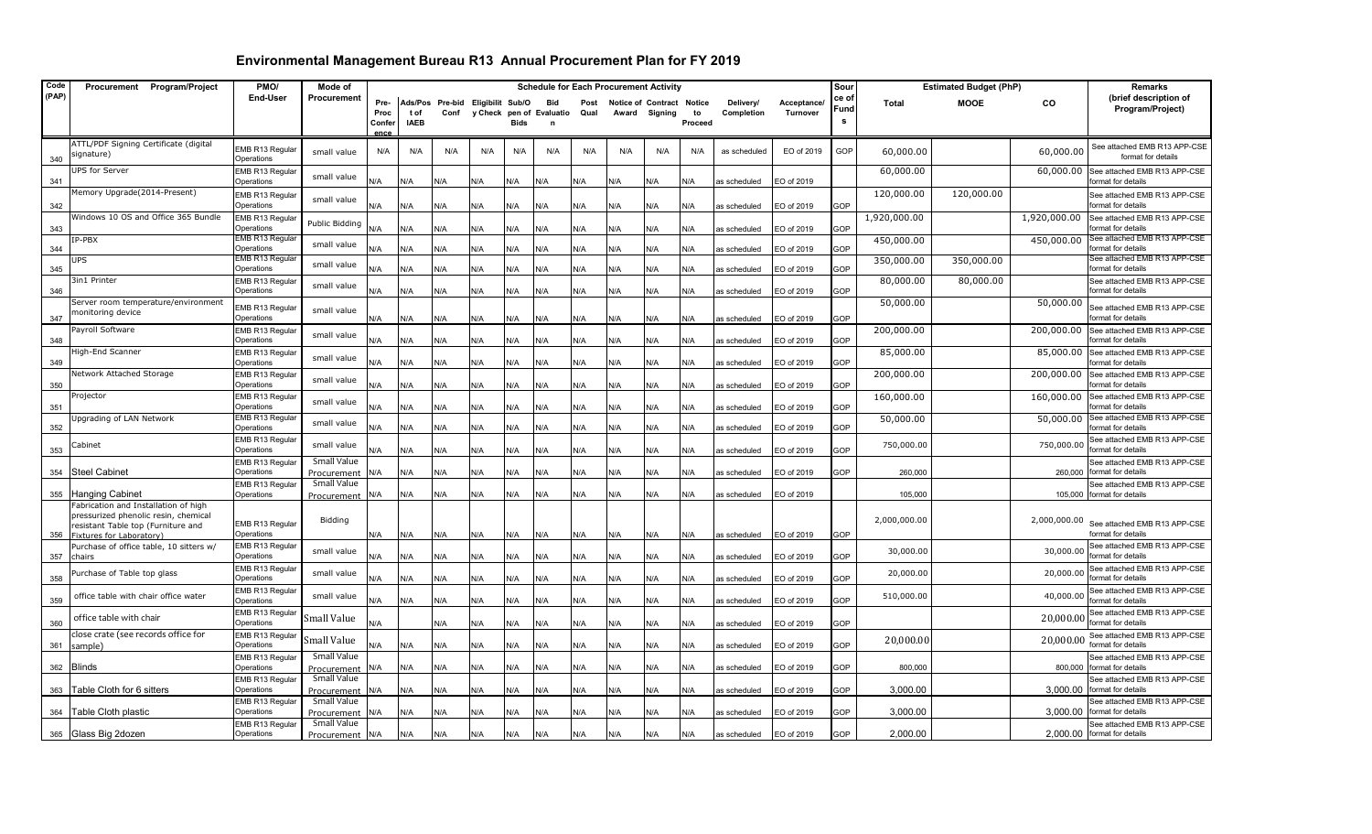| Code  | Procurement Program/Project                                                  | PMO/                                | Mode of                        |                |                    |                                  |           |             |                               |      | <b>Schedule for Each Procurement Activity</b> |                           |               |              |             | Sour      | <b>Estimated Budget (PhP)</b> | <b>Remarks</b> |              |                                                    |
|-------|------------------------------------------------------------------------------|-------------------------------------|--------------------------------|----------------|--------------------|----------------------------------|-----------|-------------|-------------------------------|------|-----------------------------------------------|---------------------------|---------------|--------------|-------------|-----------|-------------------------------|----------------|--------------|----------------------------------------------------|
| (PAP) |                                                                              | End-User                            | Procurement                    | Pre-           |                    | Ads/Pos Pre-bid Eligibilit Sub/O |           |             | <b>Bid</b>                    | Post |                                               | Notice of Contract Notice |               | Delivery/    | Acceptance/ | ce of     | <b>Total</b>                  | <b>MOOE</b>    | CO           | (brief description of                              |
|       |                                                                              |                                     |                                | Proc<br>Confer | tof<br><b>IAEB</b> | Conf                             |           | <b>Bids</b> | y Check pen of Evaluatio<br>n | Qual |                                               | Award Signing             | to<br>Proceed | Completion   | Turnover    | Fund<br>s |                               |                |              | Program/Project)                                   |
|       |                                                                              |                                     |                                | <b>ADC6</b>    |                    |                                  |           |             |                               |      |                                               |                           |               |              |             |           |                               |                |              |                                                    |
|       | ATTL/PDF Signing Certificate (digital                                        | <b>EMB R13 Regular</b>              | small value                    | N/A            | N/A                | N/A                              | N/A       | N/A         | N/A                           | N/A  | N/A                                           | N/A                       | N/A           | as scheduled | EO of 2019  | GOP       | 60,000.00                     |                | 60,000.00    | See attached EMB R13 APP-CSE                       |
| 340   | signature)                                                                   | Operations                          |                                |                |                    |                                  |           |             |                               |      |                                               |                           |               |              |             |           |                               |                |              | format for details                                 |
| 341   | <b>UPS</b> for Server                                                        | EMB R13 Regular<br>Operations       | small value                    | N/A            | N/A                | N/A                              | N/A       | N/A         | N/A                           | N/A  | N/A                                           | N/A                       | N/A           | as scheduled | EO of 2019  |           | 60,000.00                     |                | 60,000.00    | See attached EMB R13 APP-CSE<br>format for details |
| 342   | Memory Upgrade(2014-Present)                                                 | EMB R13 Regular<br>Operations       | small value                    | N/A            | N/A                | N/A                              | N/A       | N/A         | N/A                           | N/A  | <b>N/A</b>                                    | N/A                       | N/A           | as scheduled | EO of 2019  | GOP       | 120,000.00                    | 120,000.00     |              | See attached EMB R13 APP-CSE<br>format for details |
|       | Windows 10 OS and Office 365 Bundle                                          | <b>EMB R13 Regular</b>              | Public Bidding                 |                |                    |                                  |           |             |                               |      |                                               |                           |               |              |             |           | 1,920,000.00                  |                | 1,920,000.00 | See attached EMB R13 APP-CSE                       |
| 343   | IP-PBX                                                                       | perations<br><b>EMB R13 Regular</b> | small value                    | N/A            | N/A                | N/A                              | N/A       | N/A         | N/A                           | N/A  | N/A                                           | N/A                       | N/A           | as scheduled | EO of 2019  | GOP       | 450,000.00                    |                | 450,000.00   | format for details<br>See attached EMB R13 APP-CSE |
| 344   | <b>UPS</b>                                                                   | Operations<br>EMB R13 Regular       |                                | N/A            | N/A                | N/A                              | N/A       | N/A         | N/A                           | N/A  | <b>N/A</b>                                    | N/A                       | N/A           | as scheduled | EO of 2019  | GOP       |                               |                |              | format for details<br>See attached EMB R13 APP-CSE |
| 345   |                                                                              | Operations                          | small value                    | N/A            | N/A                | N/A                              | N/A       | N/A         | N/A                           | N/A  | N/A                                           | N/A                       | N/A           | as scheduled | EO of 2019  | GOP       | 350,000.00                    | 350,000.00     |              | format for details                                 |
| 346   | 3in1 Printer                                                                 | MB R13 Regular<br>Operations        | small value                    | N/A            | N/A                | N/A                              | N/A       | N/A         | N/A                           | N/A  | N/A                                           | N/A                       | N/A           | as scheduled | EO of 2019  | GOP       | 80,000.00                     | 80,000.00      |              | See attached EMB R13 APP-CSE<br>format for details |
|       | Server room temperature/environment                                          | MB R13 Regular                      |                                |                |                    |                                  |           |             |                               |      |                                               |                           |               |              |             |           | 50,000.00                     |                | 50,000.00    | See attached EMB R13 APP-CSE                       |
| 347   | monitoring device                                                            | Operations                          | small value                    | N/A            | N/A                | N/A                              | N/A       | N/A         | N/A                           | N/A  | N/A                                           | N/A                       | N/A           | as scheduled | EO of 2019  | GOP       |                               |                |              | format for details                                 |
| 348   | Payroll Software                                                             | EMB R13 Regular<br>Operations       | small value                    | N/A            | N/A                | N/A                              | N/A       | N/A         | N/A                           | N/A  | N/A                                           | N/A                       | N/A           | as scheduled | EO of 2019  | GOP       | 200,000.00                    |                | 200,000.00   | See attached EMB R13 APP-CSE<br>format for details |
|       | High-End Scanner                                                             | MB R13 Regular                      | small value                    |                |                    |                                  |           |             |                               |      |                                               |                           |               |              |             | GOP       | 85,000.00                     |                | 85,000.00    | See attached EMB R13 APP-CSE<br>format for details |
| 349   | Network Attached Storage                                                     | Operations<br>EMB R13 Regular       | small value                    | N/A            | N/A                | N/A                              | N/A       | N/A         | N/A                           | N/A  | N/A                                           | N/A                       | N/A           | as scheduled | EO of 2019  |           | 200,000.00                    |                | 200,000.00   | See attached EMB R13 APP-CSE                       |
| 350   | Projector                                                                    | Operations                          |                                | N/A            | N/A                | N/A                              | N/A       | N/A         | N/A                           | N/A  | N/A                                           | N/A                       | N/A           | as scheduled | EO of 2019  | GOP       | 160,000.00                    |                |              | format for details                                 |
| 351   |                                                                              | EMB R13 Regular<br>Operations       | small value                    | N/A            | N/A                | N/A                              | N/A       | N/A         | N/A                           | N/A  | N/A                                           | N/A                       | N/A           | as scheduled | EO of 2019  | GOP       |                               |                | 160,000.00   | See attached EMB R13 APP-CSE<br>ormat for details  |
|       | Upgrading of LAN Network                                                     | EMB R13 Regular                     | small value                    |                |                    |                                  |           |             |                               |      |                                               |                           |               |              |             |           | 50,000.00                     |                | 50,000.00    | See attached EMB R13 APP-CSE                       |
| 352   |                                                                              | Operations<br>EMB R13 Regular       |                                | N/A            | N/A                | N/A                              | N/A       | N/A         | N/A                           | N/A  | <b>N/A</b>                                    | N/A                       | N/A           | as scheduled | EO of 2019  | GOP       |                               |                |              | format for details<br>See attached EMB R13 APP-CSE |
| 353   | Cabinet                                                                      | Operations                          | small value                    | N/A            | N/A                | N/A                              | N/A       | N/A         | N/A                           | N/A  | <b>V/A</b>                                    | N/A                       | N/A           | as scheduled | EO of 2019  | GOP       | 750,000.00                    |                | 750,000.00   | format for details                                 |
|       | 354 Steel Cabinet                                                            | EMB R13 Regular<br>)perations       | Small Value                    |                | N/A                | N/A                              | N/A       | N/A         | N/A                           | N/A  | ۷A                                            | N/A                       | N/A           | as scheduled |             | GOP       | 260,000                       |                | 260,000      | See attached EMB R13 APP-CSE<br>format for details |
|       |                                                                              | EMB R13 Regular                     | Procurement N/A<br>Small Value |                |                    |                                  |           |             |                               |      |                                               |                           |               |              | EO of 2019  |           |                               |                |              | See attached EMB R13 APP-CSE                       |
|       | 355 Hanging Cabinet                                                          | Operations                          | Procurement N/A                |                | N/A                | N/A                              | N/A       | N/A         | N/A                           | N/A  | N/A                                           | N/A                       | N/A           | as scheduled | EO of 2019  |           | 105,000                       |                | 105,000      | format for details                                 |
|       | Fabrication and Installation of high<br>pressurized phenolic resin, chemical |                                     |                                |                |                    |                                  |           |             |                               |      |                                               |                           |               |              |             |           |                               |                |              |                                                    |
|       | resistant Table top (Furniture and                                           | EMB R13 Regular                     | Bidding                        |                |                    |                                  |           |             |                               |      |                                               |                           |               |              |             |           | 2,000,000.00                  |                |              | 2,000,000.00 See attached EMB R13 APP-CSE          |
| 356   | Fixtures for Laboratory)                                                     | Operations                          |                                | N/A            | N/A                | N/A                              | N/A       | N/A         | N/A                           | N/A  | N/A                                           | N/A                       | N/A           | as scheduled | EO of 2019  | GOP       |                               |                |              | format for details                                 |
|       | Purchase of office table, 10 sitters w/<br>357 chairs                        | EMB R13 Regular<br>Operations       | small value                    | N/A            | N/A                | N/A                              | ۷A/       | N/A         | N/A                           | N/A  | ۷/A                                           | N/A                       | N/A           | as scheduled | EO of 2019  | GOP       | 30,000.00                     |                | 30,000.00    | See attached EMB R13 APP-CSE<br>format for details |
| 358   | Purchase of Table top glass                                                  | EMB R13 Regular<br>Operations       | small value                    | N/A            | N/A                | N/A                              | N/A       | N/A         | N/A                           | N/A  | <b>V/A</b>                                    | N/A                       | N/A           | as scheduled | EO of 2019  | GOP       | 20,000.00                     |                | 20,000.0     | See attached EMB R13 APP-CSE<br>format for details |
|       | office table with chair office water                                         | EMB R13 Regular<br>perations        | small value                    | N/A            | N/A                | N/A                              |           |             | N/A                           | N/A  |                                               | N/A                       | N/A           |              |             | GOP       | 510,000.00                    |                | 40,000.00    | See attached EMB R13 APP-CSE<br>format for details |
| 359   | office table with chair                                                      | EMB R13 Regular                     | Small Value                    |                |                    |                                  | N/A       | N/A         |                               |      | N/A                                           |                           |               | as scheduled | EO of 2019  |           |                               |                | 20,000.0     | See attached EMB R13 APP-CSE                       |
| 360   | close crate (see records office for                                          | Operations<br>EMB R13 Regular       |                                | N/A            |                    | N/A                              | <b>A/</b> | N/A         | N/A                           | N/A  | <b>V/A</b>                                    | N/A                       | N/A           | as scheduled | EO of 2019  | GOP       |                               |                |              | format for details<br>See attached EMB R13 APP-CSE |
|       | 361 sample)                                                                  | Operations                          | Small Value                    | N/A            | N/A                | N/A                              | N/A       | N/A         | N/A                           | N/A  | <b>V/A</b>                                    | N/A                       | N/A           | as scheduled | EO of 2019  | GOP       | 20,000.00                     |                | 20,000.00    | format for details                                 |
|       | 362 Blinds                                                                   | EMB R13 Regular<br>Operations       | Small Value<br>Procurement N/A |                | N/A                | N/A                              | N/A       | N/A         | N/A                           | N/A  | <b>V/A</b>                                    | N/A                       | N/A           | as scheduled | EO of 2019  | GOP       | 800,000                       |                | 800,000      | See attached EMB R13 APP-CSE<br>format for details |
|       |                                                                              | EMB R13 Regular                     | Small Value                    |                |                    |                                  |           |             |                               |      |                                               |                           |               |              |             |           |                               |                |              | See attached EMB R13 APP-CSE                       |
|       | 363 Table Cloth for 6 sitters                                                | perations                           | Procurement N/A                |                | N/A                | N/A                              | N/A       | N/A         | N/A                           | N/A  | N/A                                           | N/A                       | N/A           | as scheduled | EO of 2019  | GOP       | 3,000.00                      |                | 3,000.00     | format for details                                 |
|       | 364 Table Cloth plastic                                                      | EMB R13 Regular<br>Operations       | Small Value<br>Procurement N/A |                | N/A                | N/A                              | N/A       | N/A         | N/A                           | N/A  | <b>V/A</b>                                    | N/A                       | N/A           | as scheduled | EO of 2019  | GOP       | 3,000.00                      |                | 3,000.00     | See attached EMB R13 APP-CSE<br>format for details |
|       |                                                                              | EMB R13 Regular                     | Small Value                    |                |                    |                                  |           |             |                               |      |                                               |                           |               |              |             |           |                               |                |              | See attached EMB R13 APP-CSE                       |
|       | 365 Glass Big 2dozen                                                         | Operations                          | Procurement N/A                |                | N/A                | N/A                              | N/A       | N/A         | N/A                           | N/A  | N/A                                           | N/A                       | N/A           | as scheduled | EO of 2019  | GOP       | 2,000.00                      |                |              | 2,000.00 format for details                        |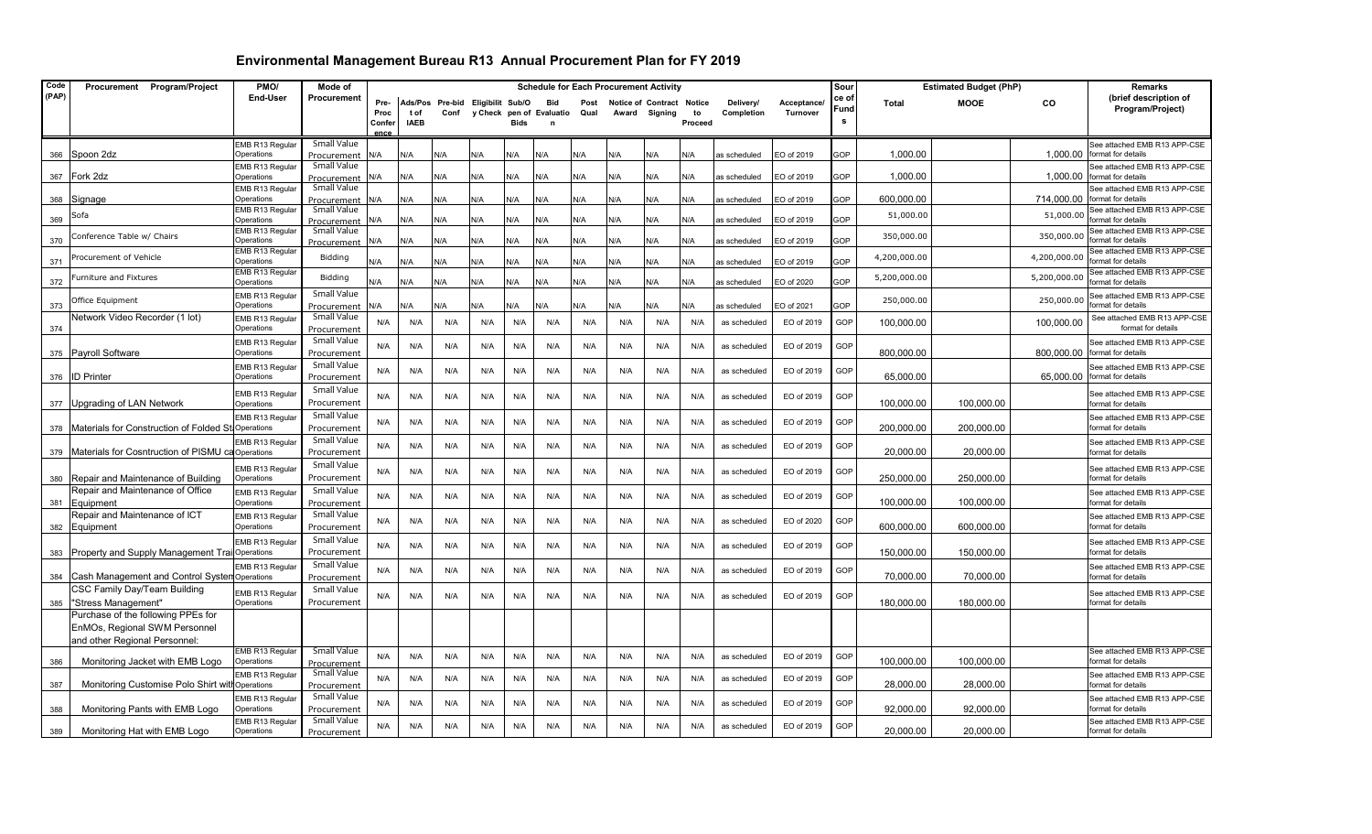| Code  | Procurement Program/Project                                                | PMO/                          | Mode of                           | <b>Schedule for Each Procurement Activity</b> |             |                                  |     |             |                          |      |                           |               | Sour    |              | <b>Estimated Budget (PhP)</b> |            | Remarks      |             |              |                                                               |
|-------|----------------------------------------------------------------------------|-------------------------------|-----------------------------------|-----------------------------------------------|-------------|----------------------------------|-----|-------------|--------------------------|------|---------------------------|---------------|---------|--------------|-------------------------------|------------|--------------|-------------|--------------|---------------------------------------------------------------|
| (PAP) |                                                                            | <b>End-User</b>               | Procurement                       | Pre-                                          |             | Ads/Pos Pre-bid Eligibilit Sub/O |     |             | Bid                      | Post | <b>Notice of Contract</b> |               | Notice  | Delivery/    | Acceptance/                   | ce of      | <b>Total</b> | <b>MOOE</b> | CO           | (brief description of                                         |
|       |                                                                            |                               |                                   | Proc                                          | t of        | Conf                             |     |             | y Check pen of Evaluatio | Qual |                           | Award Signing | to      | Completion   | Turnover                      | Fund       |              |             |              | Program/Project)                                              |
|       |                                                                            |                               |                                   | Confer                                        | <b>IAEB</b> |                                  |     | <b>Bids</b> | n                        |      |                           |               | Proceed |              |                               | s          |              |             |              |                                                               |
|       |                                                                            | EMB R13 Regular               | Small Value                       | ence                                          |             |                                  |     |             |                          |      |                           |               |         |              |                               |            |              |             |              | See attached EMB R13 APP-CSE                                  |
|       | 366 Spoon 2dz                                                              | Operations                    | Procurement                       | N/A                                           | N/A         | <b>N/A</b>                       | N/A | N/A         | <b>N/A</b>               | N/A  | N/A                       | N/A           | N/A     | as scheduled | EO of 2019                    | GOP        | 1,000.00     |             |              | 1.000.00 format for details                                   |
|       |                                                                            | EMB R13 Regular               | Small Value                       |                                               |             |                                  |     |             |                          |      |                           |               |         |              |                               |            |              |             |              | See attached EMB R13 APP-CSE                                  |
|       | 367 Fork 2dz                                                               | Operations                    | Procurement                       | N/A                                           | N/A         | N/A                              | N/A | N/A         | N/A                      | N/A  | N/A                       | N/A           | N/A     | as scheduled | EO of 2019                    | GOP        | 1,000.00     |             |              | 1,000.00 format for details                                   |
|       |                                                                            | EMB R13 Regular               | Small Value                       |                                               |             |                                  |     |             |                          |      |                           |               |         |              |                               |            |              |             |              | See attached EMB R13 APP-CSE                                  |
| 368   | Signage                                                                    | Operations<br>EMB R13 Regular | Procurement<br>Small Value        | N/A                                           | N/A         | N/A                              | N/A | N/A         | N/A                      | N/A  | N/A                       | N/A           | N/A     | as scheduled | EO of 2019                    | GOP        | 600,000.00   |             |              | 714,000.00 format for details<br>See attached EMB R13 APP-CSE |
| 369   | Sofa                                                                       | Operations                    | Procurement                       | N/A                                           | N/A         | N/A                              | N/A | N/A         | N/A                      | N/A  | N/A                       | N/A           | N/A     | as scheduled | EO of 2019                    | GOP        | 51,000.00    |             | 51,000.00    | format for details                                            |
|       | Conference Table w/ Chairs                                                 | EMB R13 Regular               | Small Value                       |                                               |             |                                  |     |             |                          |      |                           |               |         |              |                               |            | 350,000.00   |             | 350,000.00   | See attached EMB R13 APP-CSE                                  |
| 370   |                                                                            | Operations<br>EMB R13 Regular | Procurement                       | N/A                                           | N/A         | N/A                              | N/A | N/A         | N/A                      | N/A  | N/A                       | N/A           | N/A     | as scheduled | EO of 2019                    | GOP        |              |             |              | format for details<br>See attached EMB R13 APP-CSE            |
| 371   | rocurement of Vehicle                                                      | Operations                    | Bidding                           | N/A                                           | N/A         | N/A                              | N/A | N/A         | N/A                      | N/A  | N/A                       | N/A           | N/A     | as scheduled | EO of 2019                    | GOP        | 4,200,000.00 |             | 4,200,000.00 | format for details                                            |
|       |                                                                            | EMB R13 Regular               |                                   |                                               |             |                                  |     |             |                          |      |                           |               |         |              |                               |            | 5,200,000.00 |             | 5,200,000.00 | See attached EMB R13 APP-CSE                                  |
| 372   | urniture and Fixtures                                                      | Operations                    | Bidding                           | N/A                                           | N/A         | N/A                              | N/A | N/A         | N/A                      | N/A  | N/A                       | N/A           | N/A     | as scheduled | EO of 2020                    | <b>GOP</b> |              |             |              | format for details                                            |
|       | Office Equipment                                                           | EMB R13 Regular               | Small Value                       |                                               |             |                                  |     |             |                          |      |                           |               |         |              |                               |            | 250,000.00   |             | 250,000.00   | See attached EMB R13 APP-CSE                                  |
| 373   |                                                                            | Operations                    | Procurement<br>Small Value        | N/A                                           | N/A         | <b>N/A</b>                       | N/A | N/A         | N/A                      | N/A  | N/A                       | N/A           | N/A     | as scheduled | EO of 2021                    | <b>GOP</b> |              |             |              | format for details                                            |
| 374   | Network Video Recorder (1 lot)                                             | EMB R13 Regular<br>Operations | Procurement                       | N/A                                           | N/A         | N/A                              | N/A | N/A         | N/A                      | N/A  | N/A                       | N/A           | N/A     | as scheduled | EO of 2019                    | GOP        | 100,000.00   |             | 100,000.00   | See attached EMB R13 APP-CSE<br>format for details            |
|       |                                                                            | EMB R13 Regular               | Small Value                       |                                               |             |                                  |     |             |                          |      |                           |               |         |              |                               |            |              |             |              | See attached EMB R13 APP-CSE                                  |
|       | 375 Payroll Software                                                       | Operations                    | Procurement                       | N/A                                           | N/A         | N/A                              | N/A | N/A         | N/A                      | N/A  | N/A                       | N/A           | N/A     | as scheduled | EO of 2019                    | GOP        | 800,000.00   |             |              | 800,000.00 format for details                                 |
|       |                                                                            | EMB R13 Regular               | Small Value                       | N/A                                           | N/A         | N/A                              | N/A | N/A         | N/A                      | N/A  | N/A                       | N/A           | N/A     | as scheduled | EO of 2019                    | GOP        |              |             |              | See attached EMB R13 APP-CSE                                  |
|       | 376 ID Printer                                                             | Operations                    | Procurement                       |                                               |             |                                  |     |             |                          |      |                           |               |         |              |                               |            | 65,000.00    |             |              | 65,000.00 format for details                                  |
|       |                                                                            | EMB R13 Regular               | Small Value                       | N/A                                           | N/A         | N/A                              | N/A | N/A         | N/A                      | N/A  | N/A                       | N/A           | N/A     | as scheduled | EO of 2019                    | GOP        |              |             |              | See attached EMB R13 APP-CSE                                  |
|       | 377 Upgrading of LAN Network                                               | Operations                    | Procurement                       |                                               |             |                                  |     |             |                          |      |                           |               |         |              |                               |            | 100,000.00   | 100,000.00  |              | format for details                                            |
|       |                                                                            | EMB R13 Regular               | Small Value                       | N/A                                           | N/A         | N/A                              | N/A | N/A         | N/A                      | N/A  | N/A                       | N/A           | N/A     | as scheduled | EO of 2019                    | GOP        |              |             |              | See attached EMB R13 APP-CSE                                  |
|       | 378 Materials for Construction of Folded St                                | Operations                    | Procurement                       |                                               |             |                                  |     |             |                          |      |                           |               |         |              |                               |            | 200,000.00   | 200,000.00  |              | format for details                                            |
|       |                                                                            | EMB R13 Regula                | Small Value                       | N/A                                           | N/A         | N/A                              | N/A | N/A         | N/A                      | N/A  | N/A                       | N/A           | N/A     | as scheduled | EO of 2019                    | GOP        |              |             |              | See attached EMB R13 APP-CSE                                  |
|       | 379   Materials for Cosntruction of PISMU ca Operations                    |                               | Procurement                       |                                               |             |                                  |     |             |                          |      |                           |               |         |              |                               |            | 20,000.00    | 20,000.00   |              | format for details                                            |
|       |                                                                            | EMB R13 Regula                | Small Value                       | N/A                                           | N/A         | N/A                              | N/A | N/A         | N/A                      | N/A  | N/A                       | N/A           | N/A     | as scheduled | EO of 2019                    | GOP        |              |             |              | See attached EMB R13 APP-CSE                                  |
|       | 380 Repair and Maintenance of Building<br>Repair and Maintenance of Office | Operations                    | Procurement                       |                                               |             |                                  |     |             |                          |      |                           |               |         |              |                               |            | 250,000.00   | 250,000.00  |              | format for details                                            |
| 381   | Equipment                                                                  | EMB R13 Regular<br>Operations | <b>Small Value</b><br>Procurement | N/A                                           | N/A         | N/A                              | N/A | N/A         | N/A                      | N/A  | N/A                       | N/A           | N/A     | as scheduled | EO of 2019                    | GOP        | 100,000.00   | 100,000.00  |              | See attached EMB R13 APP-CSE<br>format for details            |
|       | Repair and Maintenance of ICT                                              | EMB R13 Regular               | Small Value                       |                                               |             |                                  |     |             |                          |      |                           |               |         |              |                               |            |              |             |              | See attached EMB R13 APP-CSE                                  |
| 382   | Equipment                                                                  | Operations                    | Procurement                       | N/A                                           | N/A         | N/A                              | N/A | N/A         | N/A                      | N/A  | N/A                       | N/A           | N/A     | as scheduled | EO of 2020                    | GOP        | 600,000.00   | 600,000.00  |              | format for details                                            |
|       |                                                                            | EMB R13 Regula                | Small Value                       |                                               |             |                                  |     |             |                          |      |                           |               |         |              |                               |            |              |             |              | See attached EMB R13 APP-CSE                                  |
|       | 383 Property and Supply Management Trail Operations                        |                               | Procurement                       | N/A                                           | N/A         | N/A                              | N/A | N/A         | N/A                      | N/A  | N/A                       | N/A           | N/A     | as scheduled | EO of 2019                    | GOP        | 150,000.00   | 150,000.00  |              | format for details                                            |
|       |                                                                            | EMB R13 Regula                | Small Value                       |                                               |             |                                  |     |             |                          |      |                           |               |         |              |                               |            |              |             |              | See attached EMB R13 APP-CSE                                  |
| 384   | Cash Management and Control Systen Operations                              |                               | Procurement                       | N/A                                           | N/A         | N/A                              | N/A | N/A         | N/A                      | N/A  | N/A                       | N/A           | N/A     | as scheduled | EO of 2019                    | GOP        | 70.000.00    | 70.000.00   |              | format for details                                            |
|       | CSC Family Day/Team Building                                               | EMB R13 Regular               | Small Value                       | N/A                                           | N/A         | N/A                              | N/A | N/A         | N/A                      | N/A  | N/A                       | N/A           | N/A     | as scheduled | EO of 2019                    | GOP        |              |             |              | See attached EMB R13 APP-CSE                                  |
|       | 385 "Stress Management"                                                    | Operations                    | Procurement                       |                                               |             |                                  |     |             |                          |      |                           |               |         |              |                               |            | 180,000.00   | 180,000.00  |              | format for details                                            |
|       | Purchase of the following PPEs for                                         |                               |                                   |                                               |             |                                  |     |             |                          |      |                           |               |         |              |                               |            |              |             |              |                                                               |
|       | EnMOs, Regional SWM Personnel                                              |                               |                                   |                                               |             |                                  |     |             |                          |      |                           |               |         |              |                               |            |              |             |              |                                                               |
|       | and other Regional Personnel:                                              |                               |                                   |                                               |             |                                  |     |             |                          |      |                           |               |         |              |                               |            |              |             |              |                                                               |
| 386   | Monitoring Jacket with EMB Logo                                            | EMB R13 Regular<br>Operations | Small Value                       | N/A                                           | N/A         | N/A                              | N/A | N/A         | N/A                      | N/A  | N/A                       | N/A           | N/A     | as scheduled | EO of 2019                    | GOP        | 100,000.00   | 100,000.00  |              | See attached EMB R13 APP-CSE<br>format for details            |
|       |                                                                            | EMB R13 Regular               | Procurement<br>Small Value        |                                               |             |                                  |     |             |                          |      |                           |               |         |              |                               |            |              |             |              | See attached EMB R13 APP-CSE                                  |
| 387   | Monitoring Customise Polo Shirt with                                       | Operations                    | Procurement                       | N/A                                           | N/A         | N/A                              | N/A | N/A         | N/A                      | N/A  | N/A                       | N/A           | N/A     | as scheduled | EO of 2019                    | GOP        | 28,000.00    | 28,000.00   |              | format for details                                            |
|       |                                                                            | EMB R13 Regula                | Small Value                       |                                               |             |                                  |     |             |                          |      |                           |               |         |              |                               | GOP        |              |             |              | See attached EMB R13 APP-CSE                                  |
| 388   | Monitoring Pants with EMB Logo                                             | Operations                    | Procurement                       | N/A                                           | N/A         | N/A                              | N/A | N/A         | N/A                      | N/A  | N/A                       | N/A           | N/A     | as scheduled | EO of 2019                    |            | 92,000.00    | 92,000.00   |              | format for details                                            |
|       |                                                                            | EMB R13 Regular               | Small Value                       | N/A                                           | N/A         | N/A                              | N/A | N/A         | N/A                      | N/A  | N/A                       | N/A           | N/A     | as scheduled | EO of 2019                    | GOP        |              |             |              | See attached EMB R13 APP-CSE                                  |
| 389   | Monitoring Hat with EMB Logo                                               | Operations                    | Procurement                       |                                               |             |                                  |     |             |                          |      |                           |               |         |              |                               |            | 20,000.00    | 20,000.00   |              | format for details                                            |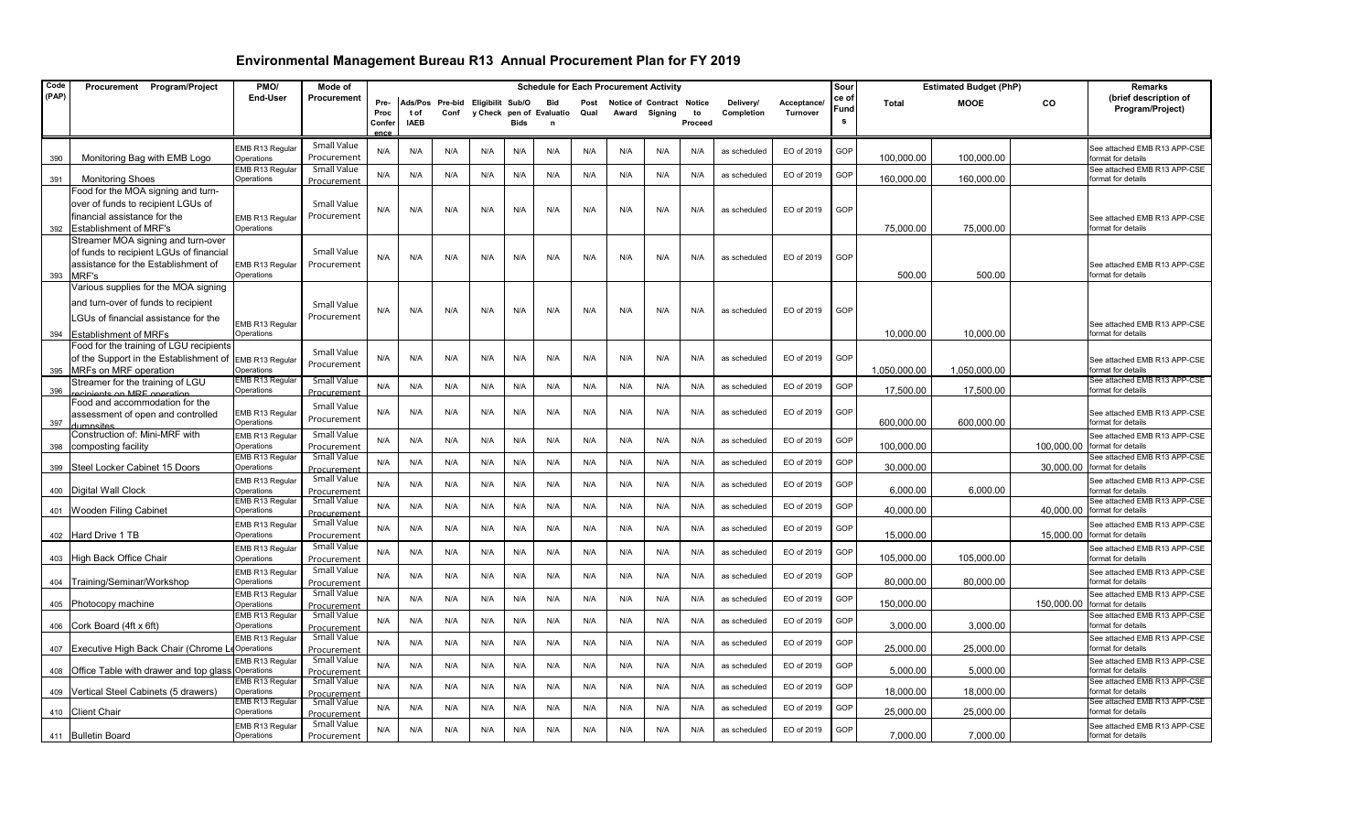| Code  | Procurement Program/Project                                                                                                                         | PMO/                                 | Mode of                           |                                       |                    |                         |                                              |      |          | <b>Schedule for Each Procurement Activity</b> |       |                               |                                |                         | Sour                    |                    | <b>Estimated Budget (PhP)</b> |              | <b>Remarks</b> |                                                    |
|-------|-----------------------------------------------------------------------------------------------------------------------------------------------------|--------------------------------------|-----------------------------------|---------------------------------------|--------------------|-------------------------|----------------------------------------------|------|----------|-----------------------------------------------|-------|-------------------------------|--------------------------------|-------------------------|-------------------------|--------------------|-------------------------------|--------------|----------------|----------------------------------------------------|
| (PAP) |                                                                                                                                                     | End-User                             | Procurement                       | Pre-<br>Proc<br>Confer<br><b>ADC6</b> | tof<br><b>IAEB</b> | Ads/Pos Pre-bid<br>Conf | Eligibilit Sub/O<br>y Check pen of Evaluatio | Bids | Bid<br>n | Post<br>Qual                                  | Award | Notice of Contract<br>Signing | <b>Notice</b><br>to<br>Proceed | Delivery/<br>Completion | Acceptance/<br>Turnover | ce of<br>Fund<br>s | Total                         | <b>MOOE</b>  | CO             | (brief description of<br>Program/Project)          |
| 390   | Monitoring Bag with EMB Logo                                                                                                                        | EMB R13 Regula<br>Operations         | Small Value<br>Procurement        | N/A                                   | N/A                | N/A                     | N/A                                          | N/A  | N/A      | N/A                                           | N/A   | N/A                           | N/A                            | as scheduled            | EO of 2019              | GOP                | 100,000.00                    | 100,000.00   |                | See attached EMB R13 APP-CSE<br>format for details |
| 391   | <b>Monitoring Shoes</b>                                                                                                                             | EMB R13 Regular<br>Operations        | <b>Small Value</b><br>Procurement | N/A                                   | N/A                | N/A                     | N/A                                          | N/A  | N/A      | N/A                                           | N/A   | N/A                           | N/A                            | as scheduled            | EO of 2019              | GOP                | 160,000.00                    | 160,000.00   |                | See attached EMB R13 APP-CSE<br>format for details |
| 392   | Food for the MOA signing and turn-<br>over of funds to recipient LGUs of<br>financial assistance for the<br><b>Establishment of MRF's</b>           | EMB R13 Regular<br>Operations        | Small Value<br>Procurement        | N/A                                   | N/A                | N/A                     | N/A                                          | N/A  | N/A      | N/A                                           | N/A   | N/A                           | N/A                            | as scheduled            | EO of 2019              | GOP                | 75,000.00                     | 75,000.00    |                | See attached EMB R13 APP-CSE<br>format for details |
| 393   | Streamer MOA signing and turn-over<br>of funds to recipient LGUs of financial<br>assistance for the Establishment of<br>MRF's                       | EMB R13 Regular<br>Operations        | Small Value<br>Procurement        | N/A                                   | N/A                | N/A                     | N/A                                          | N/A  | N/A      | N/A                                           | N/A   | N/A                           | N/A                            | as scheduled            | EO of 2019              | GOP                | 500.00                        | 500.00       |                | See attached EMB R13 APP-CSE<br>format for details |
| 394   | Various supplies for the MOA signing<br>and turn-over of funds to recipient<br>LGUs of financial assistance for the<br><b>Establishment of MRFs</b> | EMB R13 Regular<br>Operations        | Small Value<br>Procurement        | N/A                                   | N/A                | N/A                     | N/A                                          | N/A  | N/A      | N/A                                           | N/A   | N/A                           | N/A                            | as scheduled            | EO of 2019              | GOP                | 10,000.00                     | 10,000.00    |                | See attached EMB R13 APP-CSE<br>format for details |
| 395   | Food for the training of LGU recipients<br>of the Support in the Establishment of<br>MRFs on MRF operation                                          | EMB R13 Regular<br>Operations        | Small Value<br>Procurement        | N/A                                   | N/A                | N/A                     | N/A                                          | N/A  | N/A      | N/A                                           | N/A   | N/A                           | N/A                            | as scheduled            | EO of 2019              | GOP                | 1,050,000.00                  | 1,050,000.00 |                | See attached EMB R13 APP-CSE<br>format for details |
| 396   | Streamer for the training of LGU<br>ecinients on MRF oneration.                                                                                     | EMB R13 Regular<br>Operations        | <b>Small Value</b><br>Procurement | N/A                                   | N/A                | N/A                     | N/A                                          | N/A  | N/A      | N/A                                           | N/A   | N/A                           | N/A                            | as scheduled            | EO of 2019              | GOP                | 17,500.00                     | 17,500.00    |                | See attached EMB R13 APP-CSE<br>format for details |
| 397   | Food and accommodation for the<br>assessment of open and controlled<br>dumnsites                                                                    | EMB R13 Regular<br>Operations        | Small Value<br>Procurement        | N/A                                   | N/A                | N/A                     | N/A                                          | N/A  | N/A      | N/A                                           | N/A   | N/A                           | N/A                            | as scheduled            | EO of 2019              | GOP                | 600.000.00                    | 600,000.00   |                | See attached EMB R13 APP-CSE<br>format for details |
|       | Construction of: Mini-MRF with<br>398 composting facility                                                                                           | EMB R13 Regular<br>Operations        | Small Value<br>Procurement        | N/A                                   | N/A                | N/A                     | N/A                                          | N/A  | N/A      | N/A                                           | N/A   | N/A                           | N/A                            | as scheduled            | EO of 2019              | GOP                | 100,000.00                    |              | 100,000.00     | See attached EMB R13 APP-CSE<br>format for details |
| 399   | Steel Locker Cabinet 15 Doors                                                                                                                       | EMB R13 Regular<br>Operations        | <b>Small Value</b><br>Procurement | N/A                                   | N/A                | N/A                     | N/A                                          | N/A  | N/A      | N/A                                           | N/A   | N/A                           | N/A                            | as scheduled            | EO of 2019              | GOP                | 30,000.00                     |              | 30,000.00      | See attached EMB R13 APP-CSE<br>ormat for details  |
|       | 400 Digital Wall Clock                                                                                                                              | EMB R13 Regular<br>Operations        | Small Value<br>Procurement        | N/A                                   | N/A                | N/A                     | N/A                                          | N/A  | N/A      | N/A                                           | N/A   | N/A                           | N/A                            | as scheduled            | EO of 2019              | GOP                | 6,000.00                      | 6,000.00     |                | See attached EMB R13 APP-CSE<br>format for details |
|       | 401 Wooden Filing Cabinet                                                                                                                           | <b>EMB R13 Regular</b><br>Operations | <b>Small Value</b><br>Procurement | N/A                                   | N/A                | N/A                     | N/A                                          | N/A  | N/A      | N/A                                           | N/A   | N/A                           | N/A                            | as scheduled            | EO of 2019              | GOP                | 40,000.00                     |              | 40.000.00      | See attached EMB R13 APP-CSE<br>format for details |
|       | 402 Hard Drive 1 TB                                                                                                                                 | EMB R13 Regular<br>Operations        | Small Value<br>Procurement        | N/A                                   | N/A                | N/A                     | N/A                                          | N/A  | N/A      | N/A                                           | N/A   | N/A                           | N/A                            | as scheduled            | EO of 2019              | GOP                | 15.000.00                     |              | 15,000.00      | See attached EMB R13 APP-CSE<br>format for details |
|       | 403 High Back Office Chair                                                                                                                          | MB R13 Regular<br>Operations         | Small Value<br>Procurement        | N/A                                   | N/A                | N/A                     | N/A                                          | N/A  | N/A      | N/A                                           | N/A   | N/A                           | N/A                            | as scheduled            | EO of 2019              | GOP                | 105,000.00                    | 105,000.00   |                | See attached EMB R13 APP-CSE<br>format for details |
|       | 404 Training/Seminar/Workshop                                                                                                                       | EMB R13 Regular<br>Operations        | Small Value<br>Procurement        | N/A                                   | N/A                | N/A                     | N/A                                          | N/A  | N/A      | N/A                                           | N/A   | N/A                           | N/A                            | as scheduled            | EO of 2019              | GOP                | 80,000.00                     | 80,000.00    |                | See attached EMB R13 APP-CSE<br>format for details |
|       | 405 Photocopy machine                                                                                                                               | EMB R13 Regular<br>Operations        | Small Value<br>Procurement        | N/A                                   | N/A                | N/A                     | N/A                                          | N/A  | N/A      | N/A                                           | N/A   | N/A                           | N/A                            | as scheduled            | EO of 2019              | GOP                | 150.000.00                    |              | 150,000.00     | See attached EMB R13 APP-CSE<br>ormat for details  |
|       | 406 Cork Board (4ft x 6ft)                                                                                                                          | EMB R13 Regular<br>Operations        | Small Value<br>Procurement        | N/A                                   | N/A                | N/A                     | N/A                                          | N/A  | N/A      | N/A                                           | N/A   | N/A                           | N/A                            | as scheduled            | EO of 2019              | GOP                | 3,000.00                      | 3,000.00     |                | See attached EMB R13 APP-CSE<br>format for details |
|       | 407 Executive High Back Chair (Chrome I                                                                                                             | EMB R13 Regular<br>Operations        | Small Value<br>Procurement        | N/A                                   | N/A                | N/A                     | N/A                                          | N/A  | N/A      | N/A                                           | N/A   | N/A                           | N/A                            | as scheduled            | EO of 2019              | GOP                | 25,000.00                     | 25,000.00    |                | See attached EMB R13 APP-CSE<br>format for details |
|       | 408 Office Table with drawer and top glass                                                                                                          | EMB R13 Regular<br>Operations        | Small Value<br>Procurement        | N/A                                   | N/A                | N/A                     | N/A                                          | N/A  | N/A      | N/A                                           | N/A   | N/A                           | N/A                            | as scheduled            | EO of 2019              | GOP                | 5,000.00                      | 5,000.00     |                | See attached EMB R13 APP-CSE<br>format for details |
|       | 409   Vertical Steel Cabinets (5 drawers)                                                                                                           | <b>EMB R13 Regular</b><br>Operations | Small Value<br>Procurement        | N/A                                   | N/A                | N/A                     | N/A                                          | N/A  | N/A      | N/A                                           | N/A   | N/A                           | N/A                            | as scheduled            | EO of 2019              | GOP                | 18,000.00                     | 18,000.00    |                | See attached EMB R13 APP-CSE<br>format for details |
|       | 410 Client Chair                                                                                                                                    | <b>EMB R13 Regular</b><br>Operations | <b>Small Value</b><br>Procurement | N/A                                   | N/A                | N/A                     | N/A                                          | N/A  | N/A      | N/A                                           | N/A   | N/A                           | N/A                            | as scheduled            | EO of 2019              | GOP                | 25,000.00                     | 25,000.00    |                | See attached EMB R13 APP-CSE<br>format for details |
|       | 411 Bulletin Board                                                                                                                                  | EMB R13 Regular<br>Operations        | Small Value<br>Procurement        | N/A                                   | N/A                | N/A                     | N/A                                          | N/A  | N/A      | N/A                                           | N/A   | N/A                           | N/A                            | as scheduled            | EO of 2019              | GOP                | 7,000.00                      | 7,000.00     |                | See attached EMB R13 APP-CSE<br>format for details |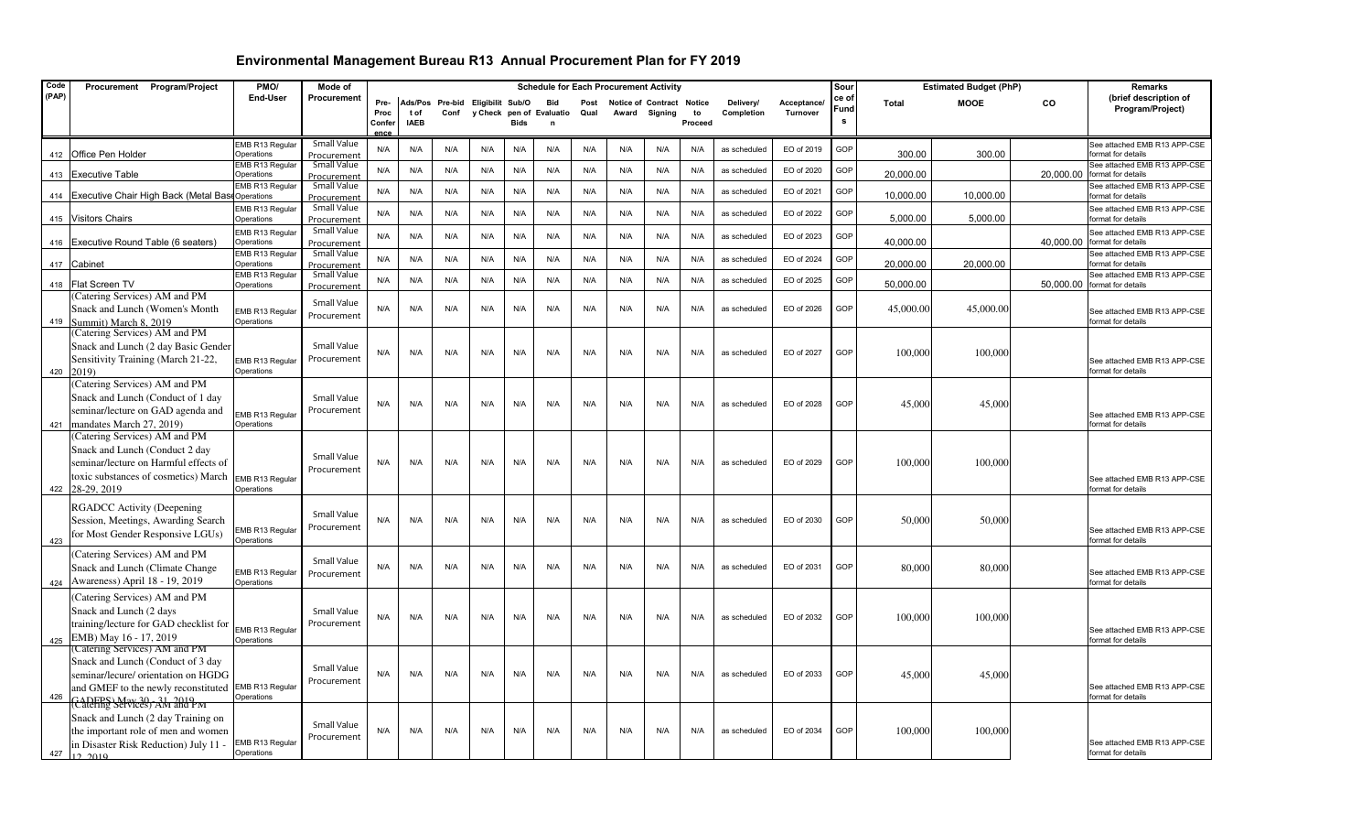| Code  | Procurement Program/Project                                                                                                                                                   | PMO/                                             | Mode of                                   |                                |                     |                                          |     |             | <b>Schedule for Each Procurement Activity</b> |              |                           |               |               |                         |                        | Sour               |              | <b>Estimated Budget (PhP)</b> |           | <b>Remarks</b>                                                                     |
|-------|-------------------------------------------------------------------------------------------------------------------------------------------------------------------------------|--------------------------------------------------|-------------------------------------------|--------------------------------|---------------------|------------------------------------------|-----|-------------|-----------------------------------------------|--------------|---------------------------|---------------|---------------|-------------------------|------------------------|--------------------|--------------|-------------------------------|-----------|------------------------------------------------------------------------------------|
| (PAP) |                                                                                                                                                                               | End-User                                         | Procurement                               | Pre-<br>Proc<br>Confer<br>ence | t of<br><b>IAEB</b> | Ads/Pos Pre-bid Eligibilit Sub/O<br>Conf |     | <b>Bids</b> | <b>Bid</b><br>y Check pen of Evaluatio<br>n   | Post<br>Qual | Notice of Contract Notice | Award Signing | to<br>Proceed | Delivery/<br>Completion | Acceptance<br>Turnover | ce of<br>Fund<br>s | <b>Total</b> | <b>MOOE</b>                   | CO        | (brief description of<br>Program/Project)                                          |
|       | 412 Office Pen Holder                                                                                                                                                         | EMB R13 Regular<br>Operations                    | Small Value<br>Procurement                | N/A                            | N/A                 | N/A                                      | N/A | N/A         | N/A                                           | N/A          | N/A                       | N/A           | N/A           | as scheduled            | EO of 2019             | GOP                | 300.00       | 300.00                        |           | See attached EMB R13 APP-CSE<br>format for details                                 |
|       | 413 Executive Table                                                                                                                                                           | EMB R13 Regula<br>Operations<br>EMB R13 Regular  | Small Value<br>Procurement<br>Small Value | N/A                            | N/A                 | N/A                                      | N/A | N/A         | N/A                                           | N/A          | N/A                       | N/A           | N/A           | as scheduled            | EO of 2020             | GOP                | 20,000.00    |                               | 20,000.00 | See attached EMB R13 APP-CSE<br>format for details<br>See attached EMB R13 APP-CSE |
|       | 414 Executive Chair High Back (Metal Base                                                                                                                                     | Operations<br>EMB R13 Regular                    | Procurement<br>Small Value                | N/A                            | N/A                 | N/A                                      | N/A | N/A         | N/A                                           | N/A          | N/A                       | N/A           | N/A           | as scheduled            | EO of 2021             | GOP                | 10,000.00    | 10,000.00                     |           | format for details<br>See attached EMB R13 APP-CSE                                 |
|       | 415 Visitors Chairs                                                                                                                                                           | Operations                                       | Procurement<br>Small Value                | N/A                            | N/A                 | N/A                                      | N/A | N/A         | N/A                                           | N/A          | N/A                       | N/A           | N/A           | as scheduled            | EO of 2022             | GOP                | 5,000.00     | 5,000.00                      |           | format for details                                                                 |
|       | 416 Executive Round Table (6 seaters)                                                                                                                                         | EMB R13 Regular<br>Operations<br>EMB R13 Regular | Procurement<br><b>Small Value</b>         | N/A                            | N/A                 | N/A                                      | N/A | N/A         | N/A                                           | N/A          | N/A                       | N/A           | N/A           | as scheduled            | EO of 2023             | GOP                | 40,000.00    |                               | 40,000.00 | See attached EMB R13 APP-CSE<br>format for details<br>See attached EMB R13 APP-CSE |
|       | 417 Cabinet                                                                                                                                                                   | Operations<br>EMB R13 Regular                    | Procurement<br>Small Value                | N/A                            | N/A                 | N/A                                      | N/A | N/A         | N/A                                           | N/A          | N/A                       | N/A           | N/A           | as scheduled            | EO of 2024             | GOP                | 20,000.00    | 20,000.00                     |           | format for details<br>See attached EMB R13 APP-CSE                                 |
|       | 418   Flat Screen TV<br>(Catering Services) AM and PM                                                                                                                         | Operations                                       | Procurement                               | N/A                            | N/A                 | N/A                                      | N/A | N/A         | N/A                                           | N/A          | N/A                       | N/A           | N/A           | as scheduled            | EO of 2025             | GOP                | 50,000.00    |                               |           | 50,000.00 format for details                                                       |
| 419   | Snack and Lunch (Women's Month<br>Summit) March 8, 2019                                                                                                                       | EMB R13 Regular<br>Operations                    | Small Value<br>Procurement                | N/A                            | N/A                 | N/A                                      | N/A | N/A         | N/A                                           | N/A          | N/A                       | N/A           | N/A           | as scheduled            | EO of 2026             | GOP                | 45,000.00    | 45,000.00                     |           | See attached EMB R13 APP-CSE<br>format for details                                 |
|       | (Catering Services) AM and PM<br>Snack and Lunch (2 day Basic Gender<br>Sensitivity Training (March 21-22,<br>420 2019)                                                       | EMB R13 Regular<br>Operations                    | Small Value<br>Procurement                | N/A                            | N/A                 | N/A                                      | N/A | N/A         | N/A                                           | N/A          | N/A                       | N/A           | N/A           | as scheduled            | EO of 2027             | GOP                | 100,000      | 100,000                       |           | See attached EMB R13 APP-CSE<br>format for details                                 |
|       | (Catering Services) AM and PM<br>Snack and Lunch (Conduct of 1 day<br>seminar/lecture on GAD agenda and<br>421 mandates March 27, 2019)                                       | EMB R13 Regular<br>Operations                    | Small Value<br>Procurement                | N/A                            | N/A                 | N/A                                      | N/A | N/A         | N/A                                           | N/A          | N/A                       | N/A           | N/A           | as scheduled            | EO of 2028             | GOP                | 45,000       | 45,000                        |           | See attached EMB R13 APP-CSE<br>format for details                                 |
|       | (Catering Services) AM and PM<br>Snack and Lunch (Conduct 2 day<br>seminar/lecture on Harmful effects of<br>toxic substances of cosmetics) March<br>422 28-29, 2019           | EMB R13 Regular<br>Operations                    | Small Value<br>Procurement                | N/A                            | N/A                 | N/A                                      | N/A | N/A         | N/A                                           | N/A          | N/A                       | N/A           | N/A           | as scheduled            | EO of 2029             | GOP                | 100,000      | 100,000                       |           | See attached EMB R13 APP-CSE<br>format for details                                 |
| 423   | <b>RGADCC Activity (Deepening</b><br>Session, Meetings, Awarding Search<br>for Most Gender Responsive LGUs)                                                                   | EMB R13 Regular<br>Operations                    | Small Value<br>Procurement                | N/A                            | N/A                 | N/A                                      | N/A | N/A         | N/A                                           | N/A          | N/A                       | N/A           | N/A           | as scheduled            | EO of 2030             | GOP                | 50,000       | 50,000                        |           | See attached EMB R13 APP-CSE<br>format for details                                 |
|       | (Catering Services) AM and PM<br>Snack and Lunch (Climate Change<br>424   Awareness) April 18 - 19, 2019                                                                      | EMB R13 Regular<br>Operations                    | Small Value<br>Procurement                | N/A                            | N/A                 | N/A                                      | N/A | N/A         | N/A                                           | N/A          | N/A                       | N/A           | N/A           | as scheduled            | EO of 2031             | GOP                | 80,000       | 80,000                        |           | See attached EMB R13 APP-CSE<br>format for details                                 |
| 425   | (Catering Services) AM and PM<br>Snack and Lunch (2 days<br>training/lecture for GAD checklist for<br>EMB) May 16 - 17, 2019                                                  | EMB R13 Regular<br>Operations                    | Small Value<br>Procurement                | N/A                            | N/A                 | N/A                                      | N/A | N/A         | N/A                                           | N/A          | N/A                       | N/A           | N/A           | as scheduled            | EO of 2032             | GOP                | 100,000      | 100,000                       |           | See attached EMB R13 APP-CSE<br>format for details                                 |
| 426   | (Catering Services) AM and PM<br>Snack and Lunch (Conduct of 3 day<br>seminar/lecure/ orientation on HGDG<br>and GMEF to the newly reconstituted<br>CaleFRS Servees, 31, 2019 | EMB R13 Regular<br>Operations                    | Small Value<br>Procurement                | N/A                            | N/A                 | N/A                                      | N/A | N/A         | N/A                                           | N/A          | N/A                       | N/A           | N/A           | as scheduled            | EO of 2033             | GOP                | 45,000       | 45,000                        |           | See attached EMB R13 APP-CSE<br>format for details                                 |
| 427   | Snack and Lunch (2 day Training on<br>the important role of men and women<br>in Disaster Risk Reduction) July 11 -<br>12,2010                                                 | EMB R13 Regular<br>Operations                    | Small Value<br>Procurement                | N/A                            | N/A                 | N/A                                      | N/A | N/A         | N/A                                           | N/A          | N/A                       | N/A           | N/A           | as scheduled            | EO of 2034             | GOP                | 100,000      | 100,000                       |           | See attached EMB R13 APP-CSE<br>format for details                                 |